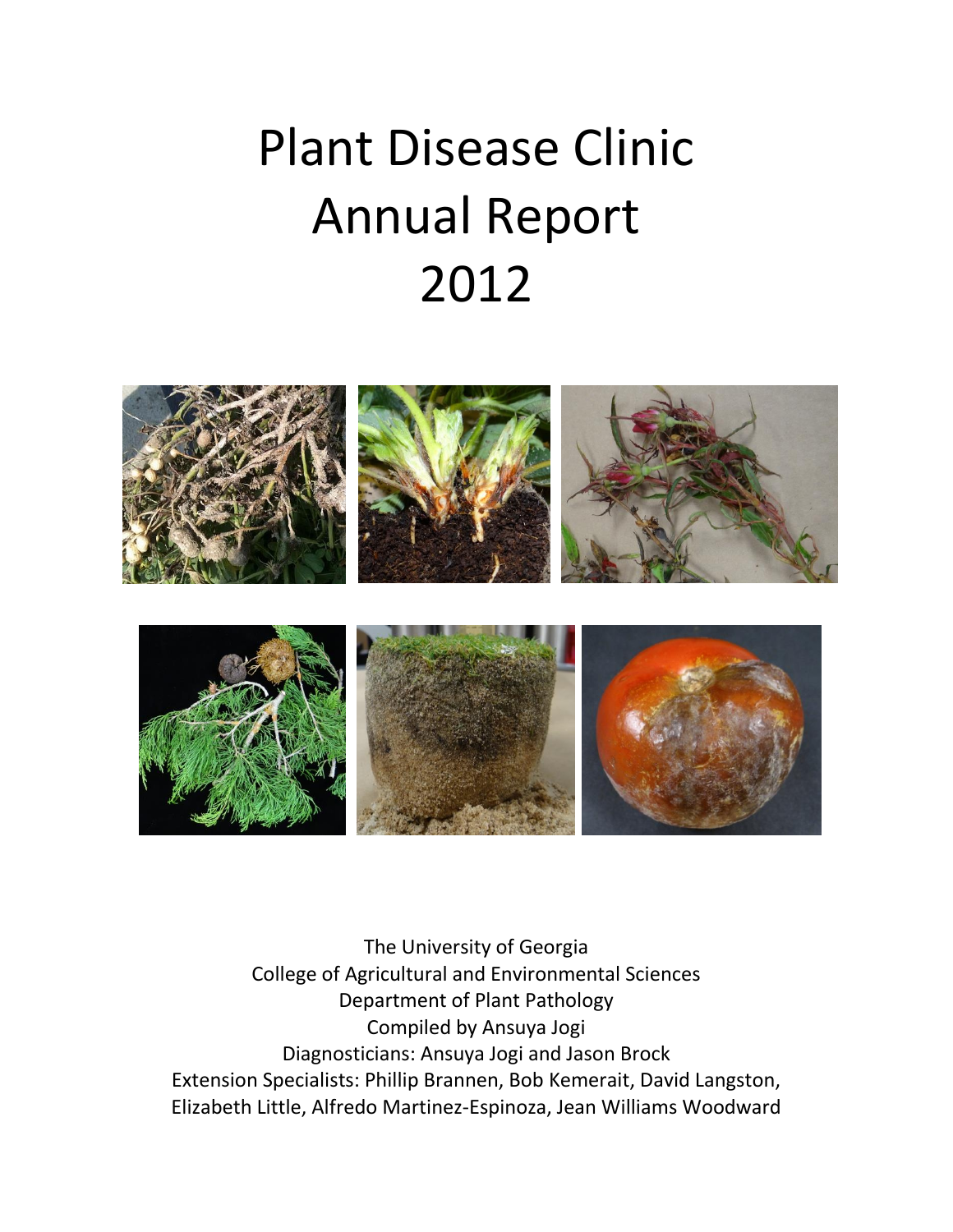# Plant Disease Clinic Annual Report 2012



The University of Georgia College of Agricultural and Environmental Sciences Department of Plant Pathology Compiled by Ansuya Jogi Diagnosticians: Ansuya Jogi and Jason Brock Extension Specialists: Phillip Brannen, Bob Kemerait, David Langston, Elizabeth Little, Alfredo Martinez-Espinoza, Jean Williams Woodward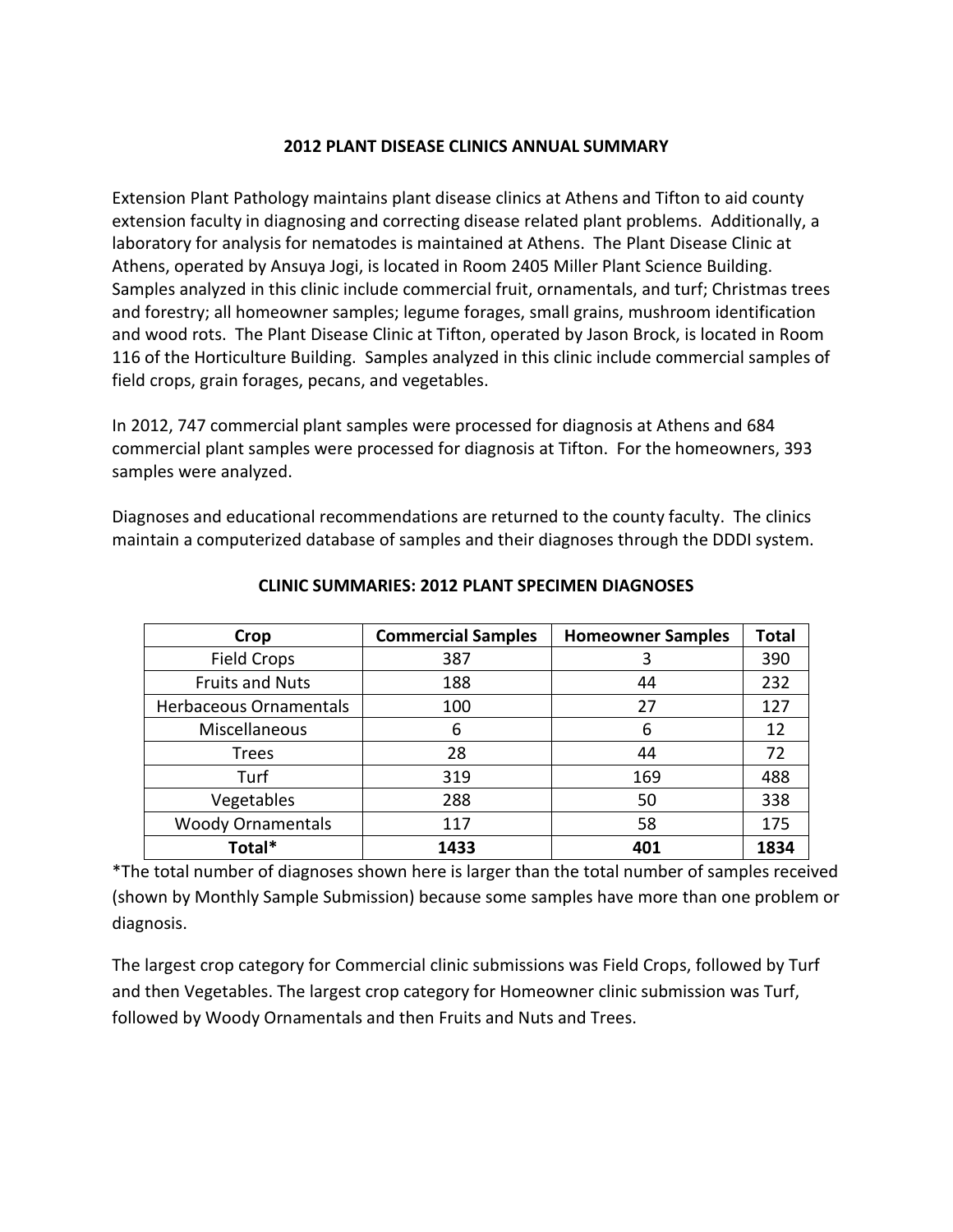#### **2012 PLANT DISEASE CLINICS ANNUAL SUMMARY**

Extension Plant Pathology maintains plant disease clinics at Athens and Tifton to aid county extension faculty in diagnosing and correcting disease related plant problems. Additionally, a laboratory for analysis for nematodes is maintained at Athens. The Plant Disease Clinic at Athens, operated by Ansuya Jogi, is located in Room 2405 Miller Plant Science Building. Samples analyzed in this clinic include commercial fruit, ornamentals, and turf; Christmas trees and forestry; all homeowner samples; legume forages, small grains, mushroom identification and wood rots. The Plant Disease Clinic at Tifton, operated by Jason Brock, is located in Room 116 of the Horticulture Building. Samples analyzed in this clinic include commercial samples of field crops, grain forages, pecans, and vegetables.

In 2012, 747 commercial plant samples were processed for diagnosis at Athens and 684 commercial plant samples were processed for diagnosis at Tifton. For the homeowners, 393 samples were analyzed.

Diagnoses and educational recommendations are returned to the county faculty. The clinics maintain a computerized database of samples and their diagnoses through the DDDI system.

| Crop                     | <b>Commercial Samples</b> | <b>Homeowner Samples</b> | <b>Total</b> |
|--------------------------|---------------------------|--------------------------|--------------|
| <b>Field Crops</b>       | 387                       |                          | 390          |
| <b>Fruits and Nuts</b>   | 188                       | 44                       | 232          |
| Herbaceous Ornamentals   | 100                       | 27                       | 127          |
| Miscellaneous            | 6                         | 6                        | 12           |
| <b>Trees</b>             | 28                        | 44                       | 72           |
| Turf                     | 319                       | 169                      | 488          |
| Vegetables               | 288                       | 50                       | 338          |
| <b>Woody Ornamentals</b> | 117                       | 58                       | 175          |
| Total*                   | 1433                      | 401                      | 1834         |

**CLINIC SUMMARIES: 2012 PLANT SPECIMEN DIAGNOSES**

\*The total number of diagnoses shown here is larger than the total number of samples received (shown by Monthly Sample Submission) because some samples have more than one problem or diagnosis.

The largest crop category for Commercial clinic submissions was Field Crops, followed by Turf and then Vegetables. The largest crop category for Homeowner clinic submission was Turf, followed by Woody Ornamentals and then Fruits and Nuts and Trees.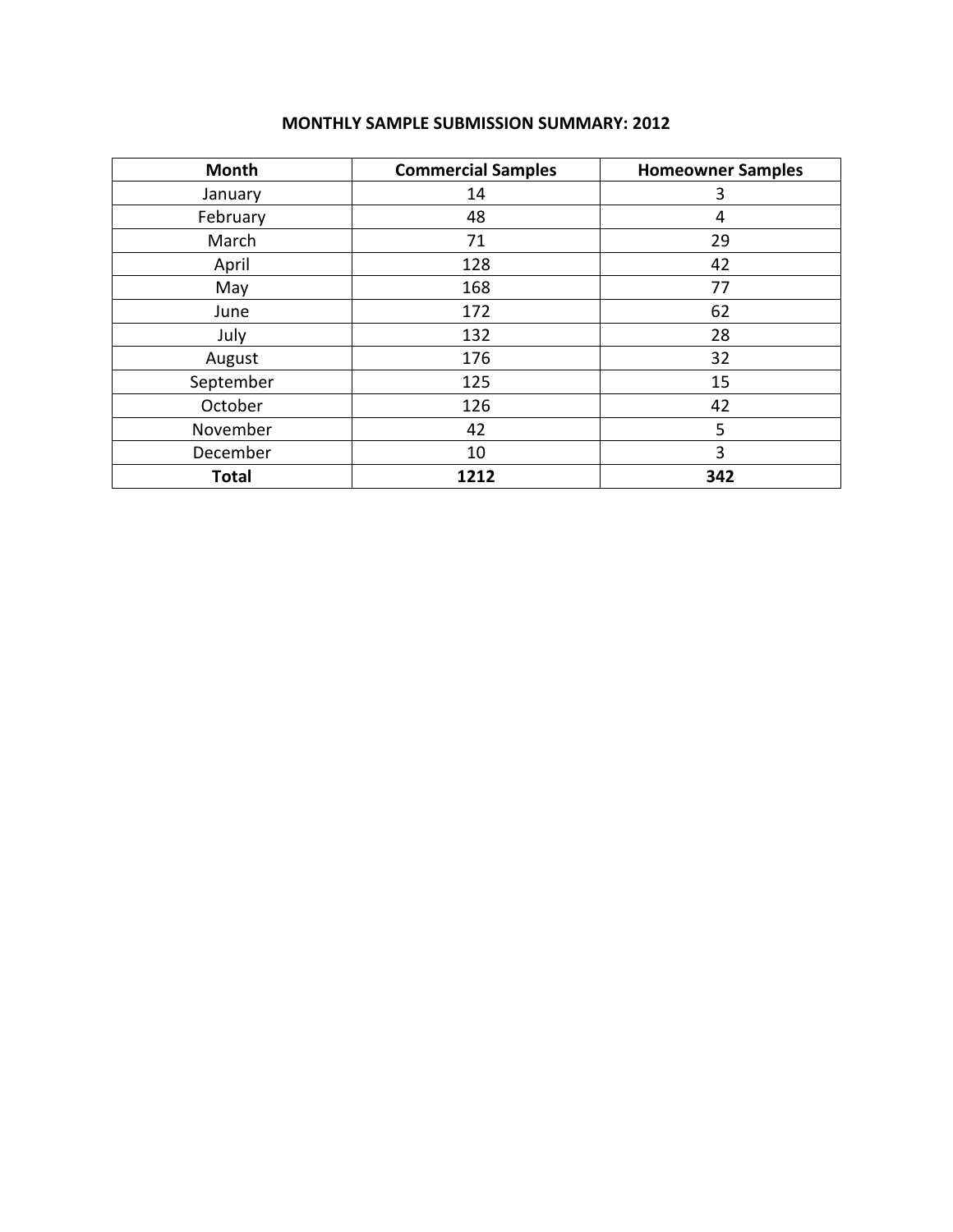| Month        | <b>Commercial Samples</b> | <b>Homeowner Samples</b> |
|--------------|---------------------------|--------------------------|
| January      | 14                        | 3                        |
| February     | 48                        | 4                        |
| March        | 71                        | 29                       |
| April        | 128                       | 42                       |
| May          | 168                       | 77                       |
| June         | 172                       | 62                       |
| July         | 132                       | 28                       |
| August       | 176                       | 32                       |
| September    | 125                       | 15                       |
| October      | 126                       | 42                       |
| November     | 42                        | 5                        |
| December     | 10                        | 3                        |
| <b>Total</b> | 1212                      | 342                      |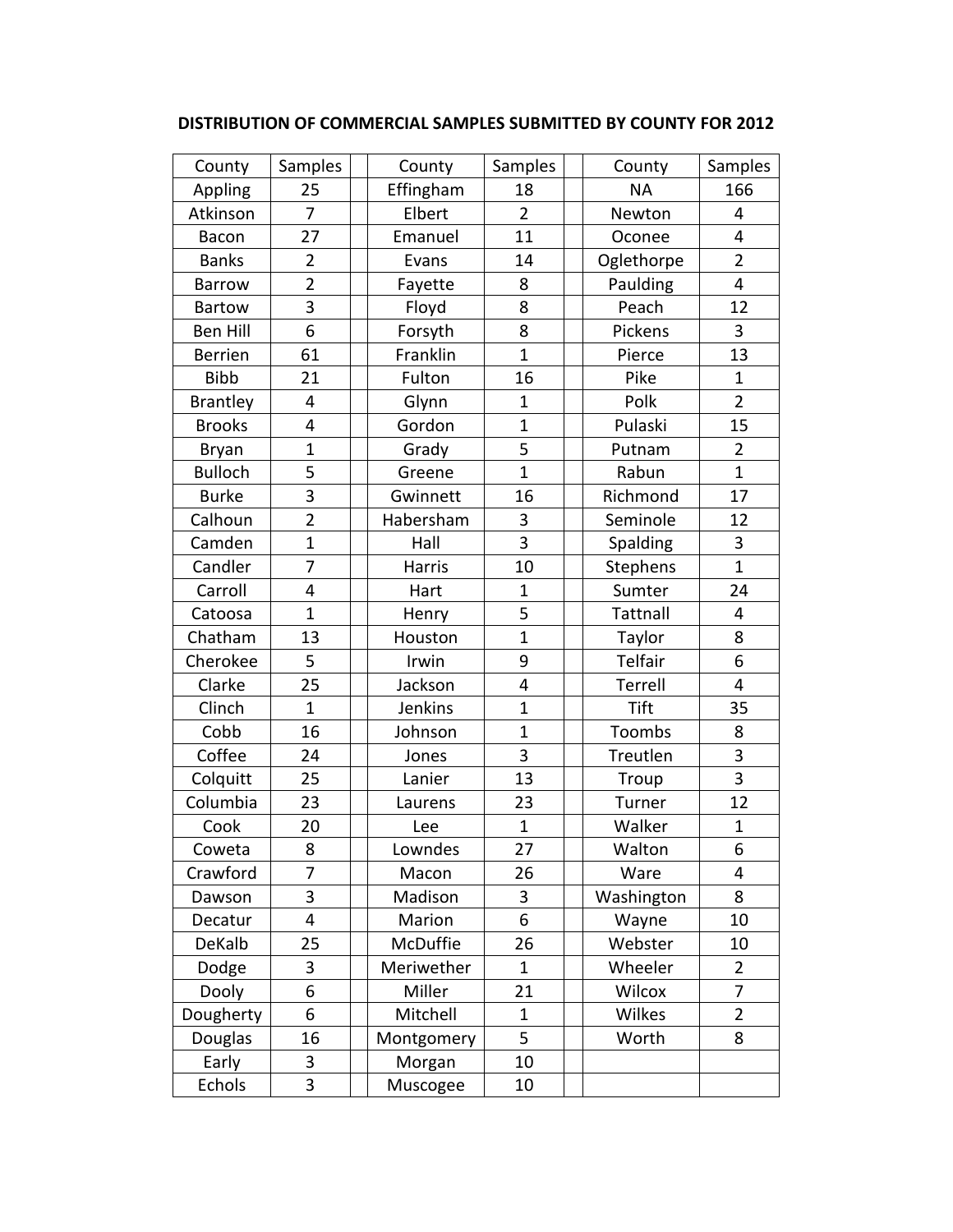| County          | Samples              | County     | Samples                 | County     | Samples                 |
|-----------------|----------------------|------------|-------------------------|------------|-------------------------|
| Appling         | 25<br>$\overline{7}$ | Effingham  | 18                      | <b>NA</b>  | 166                     |
| Atkinson        |                      | Elbert     | $\overline{2}$          | Newton     | $\overline{4}$          |
| Bacon           | 27                   | Emanuel    | 11                      | Oconee     | $\overline{\mathbf{4}}$ |
| <b>Banks</b>    | $\overline{2}$       | Evans      | 14                      | Oglethorpe | $\overline{2}$          |
| <b>Barrow</b>   | $\overline{2}$       | Fayette    | 8                       | Paulding   | 4                       |
| Bartow          | $\overline{3}$       | Floyd      | 8                       | Peach      | 12                      |
| <b>Ben Hill</b> | 6                    | Forsyth    | 8                       | Pickens    | 3                       |
| <b>Berrien</b>  | 61                   | Franklin   | $\mathbf{1}$            | Pierce     | 13                      |
| <b>Bibb</b>     | 21                   | Fulton     | 16                      | Pike       | $\mathbf{1}$            |
| <b>Brantley</b> | $\overline{4}$       | Glynn      | $\mathbf{1}$            | Polk       | $\overline{2}$          |
| <b>Brooks</b>   | 4                    | Gordon     | $\mathbf{1}$            | Pulaski    | 15                      |
| <b>Bryan</b>    | $\mathbf{1}$         | Grady      | 5                       | Putnam     | $\overline{2}$          |
| <b>Bulloch</b>  | 5                    | Greene     | $\mathbf{1}$            | Rabun      | $\mathbf{1}$            |
| <b>Burke</b>    | 3                    | Gwinnett   | 16                      | Richmond   | 17                      |
| Calhoun         | $\overline{2}$       | Habersham  | 3                       | Seminole   | 12                      |
| Camden          | $\overline{1}$       | Hall       | 3                       | Spalding   | 3                       |
| Candler         | $\overline{7}$       | Harris     | 10                      | Stephens   | $\mathbf{1}$            |
| Carroll         | 4                    | Hart       | $\mathbf{1}$            | Sumter     | 24                      |
| Catoosa         | $\mathbf{1}$         | Henry      | 5                       | Tattnall   | 4                       |
| Chatham         | 13                   | Houston    | $\mathbf{1}$            | Taylor     | 8                       |
| Cherokee        | 5                    | Irwin      | 9                       | Telfair    | 6                       |
| Clarke          | 25                   | Jackson    | $\overline{\mathbf{4}}$ | Terrell    | $\overline{4}$          |
| Clinch          | $\mathbf{1}$         | Jenkins    | $\mathbf{1}$            | Tift       | 35                      |
| Cobb            | 16                   | Johnson    | $\mathbf{1}$            | Toombs     | 8                       |
| Coffee          | 24                   | Jones      | 3                       | Treutlen   | 3                       |
| Colquitt        | 25                   | Lanier     | 13                      | Troup      | 3                       |
| Columbia        | 23                   | Laurens    | 23                      | Turner     | 12                      |
| Cook            | 20                   | Lee        | $\mathbf{1}$            | Walker     | $\mathbf{1}$            |
| Coweta          | 8                    | Lowndes    | 27                      | Walton     | 6                       |
| Crawford        | 7                    | Macon      | 26                      | Ware       | 4                       |
| Dawson          | 3                    | Madison    | 3                       | Washington | 8                       |
| Decatur         | 4                    | Marion     | 6                       | Wayne      | 10                      |
| DeKalb          | 25                   | McDuffie   | 26                      | Webster    | 10                      |
| Dodge           | 3                    | Meriwether | $\mathbf{1}$            | Wheeler    | $\overline{2}$          |
| Dooly           | 6                    | Miller     | 21                      | Wilcox     | 7                       |
| Dougherty       | 6                    | Mitchell   | $\mathbf{1}$            | Wilkes     | $\overline{2}$          |
| Douglas         | 16                   | Montgomery | 5                       | Worth      | 8                       |
| Early           | 3                    |            | 10                      |            |                         |
|                 |                      | Morgan     |                         |            |                         |
| Echols          | 3                    | Muscogee   | 10                      |            |                         |

## **DISTRIBUTION OF COMMERCIAL SAMPLES SUBMITTED BY COUNTY FOR 2012**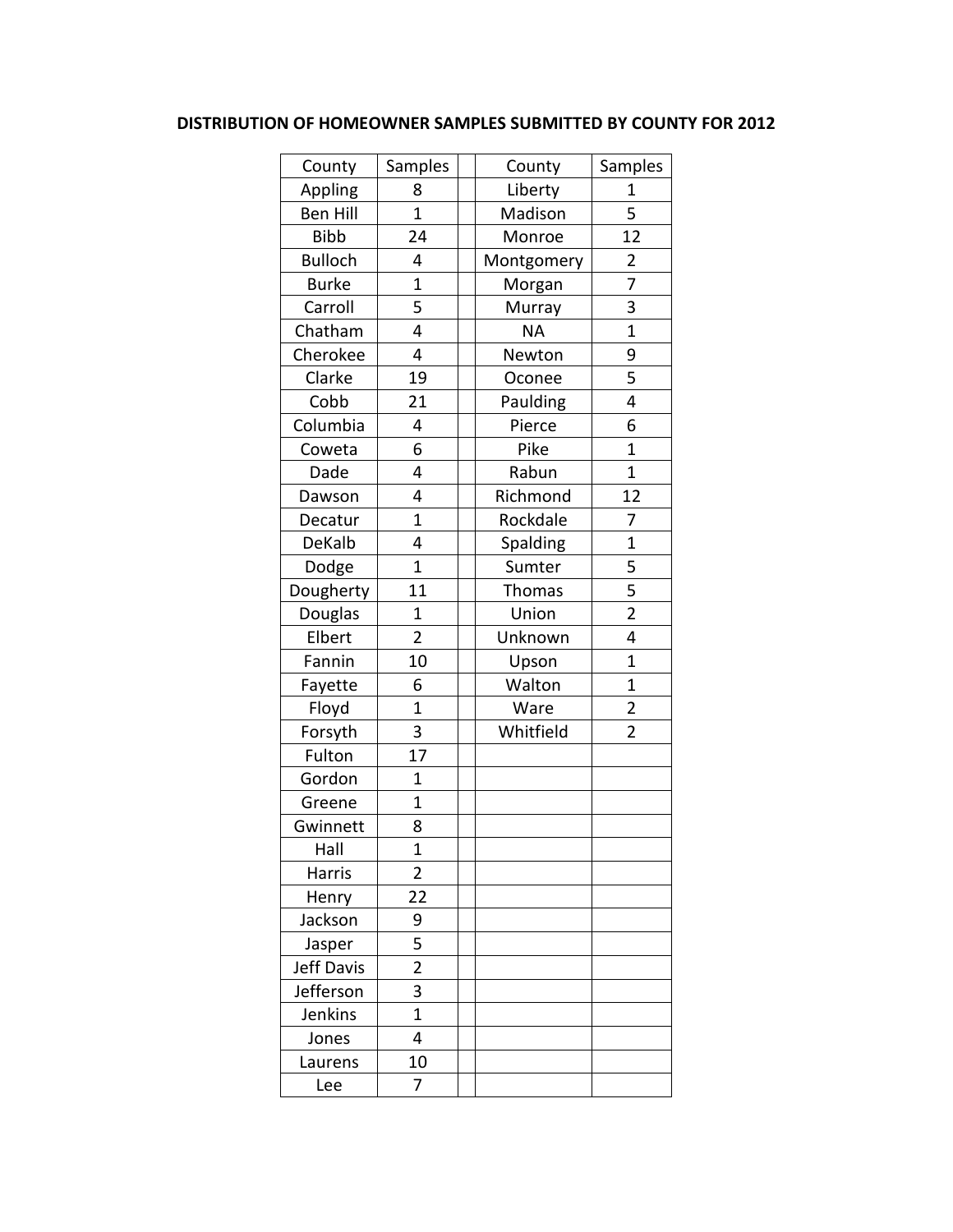## **DISTRIBUTION OF HOMEOWNER SAMPLES SUBMITTED BY COUNTY FOR 2012**

| County            | Samples        | County        | Samples        |
|-------------------|----------------|---------------|----------------|
| Appling           | 8              | Liberty       | 1              |
| <b>Ben Hill</b>   | $\mathbf{1}$   | Madison       | 5              |
| <b>Bibb</b>       | 24             | Monroe        | 12             |
| <b>Bulloch</b>    | 4              | Montgomery    | $\overline{2}$ |
| <b>Burke</b>      | $\overline{1}$ | Morgan        | 7              |
| Carroll           | 5              | Murray        | 3              |
| Chatham           | 4              | <b>NA</b>     | $\overline{1}$ |
| Cherokee          | 4              | Newton        | 9              |
| Clarke            | 19             | Oconee        | 5              |
| Cobb              | 21             | Paulding      | 4              |
| Columbia          | 4              | Pierce        | 6              |
| Coweta            | 6              | Pike          | $\overline{1}$ |
| Dade              | 4              | Rabun         | $\overline{1}$ |
| Dawson            | 4              | Richmond      | 12             |
| Decatur           | $\overline{1}$ | Rockdale      | 7              |
| DeKalb            | 4              | Spalding      | $\mathbf{1}$   |
| Dodge             | $\mathbf{1}$   | Sumter        | 5              |
| Dougherty         | 11             | <b>Thomas</b> | 5              |
| Douglas           | $\mathbf{1}$   | Union         | $\overline{2}$ |
| Elbert            | $\overline{2}$ | Unknown       | 4              |
| Fannin            | 10             | Upson         | $\mathbf{1}$   |
| Fayette           | 6              | Walton        | $\mathbf{1}$   |
| Floyd             | $\overline{1}$ | Ware          | $\overline{2}$ |
| Forsyth           | 3              | Whitfield     | 2              |
| Fulton            | 17             |               |                |
| Gordon            | 1              |               |                |
| Greene            | $\mathbf{1}$   |               |                |
| Gwinnett          | 8              |               |                |
| Hall              | 1              |               |                |
| Harris            | $\overline{2}$ |               |                |
| Henry             | 22             |               |                |
| Jackson           | 9              |               |                |
| Jasper            | 5              |               |                |
| <b>Jeff Davis</b> | $\overline{2}$ |               |                |
| Jefferson         | 3              |               |                |
| Jenkins           | $\overline{1}$ |               |                |
| Jones             | 4              |               |                |
| Laurens           | 10             |               |                |
| Lee               | 7              |               |                |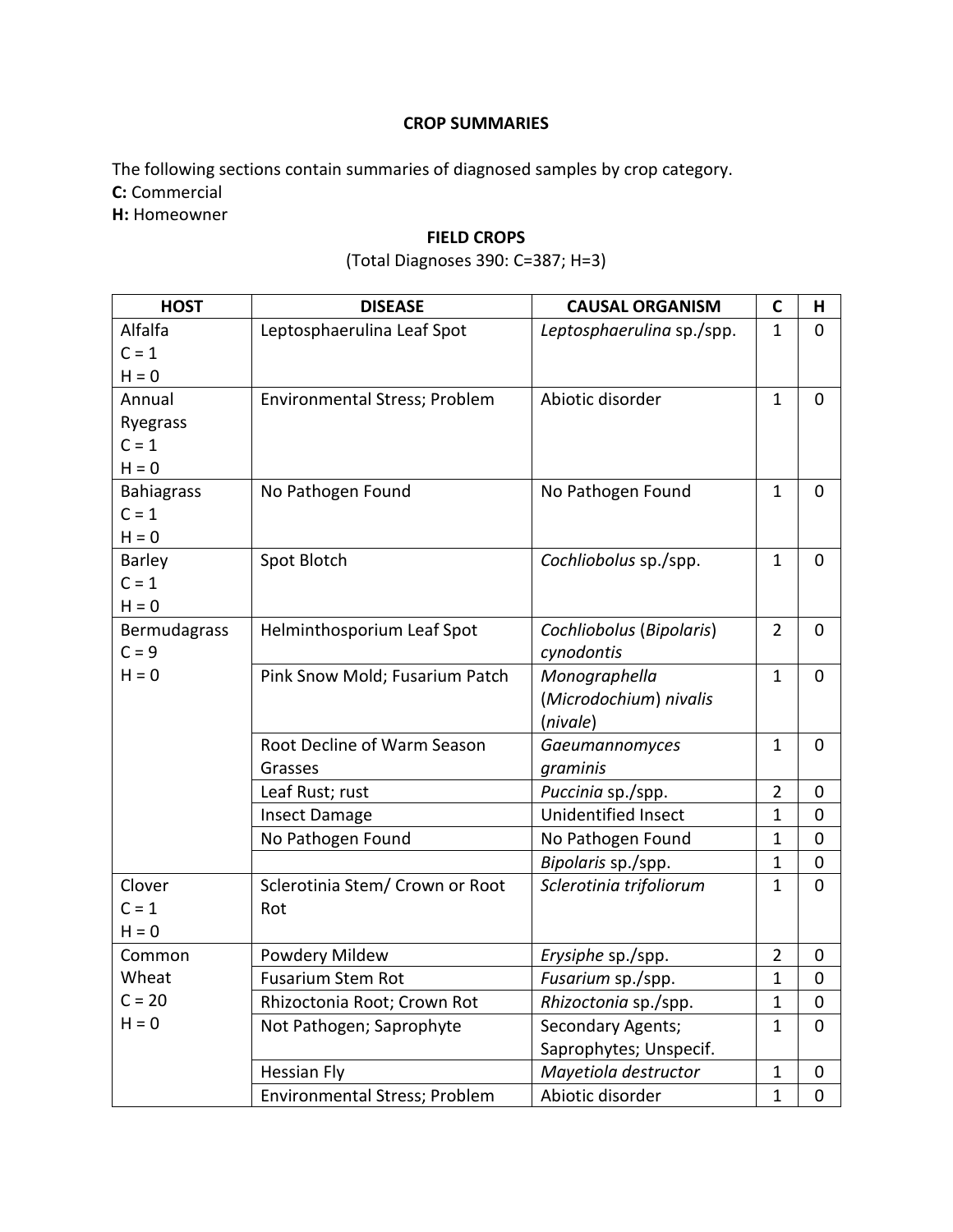#### **CROP SUMMARIES**

The following sections contain summaries of diagnosed samples by crop category. **C:** Commercial

**H:** Homeowner

# **FIELD CROPS**

# (Total Diagnoses 390: C=387; H=3)

| <b>HOST</b>       | <b>DISEASE</b>                  | <b>CAUSAL ORGANISM</b>    | $\mathsf{C}$   | н              |
|-------------------|---------------------------------|---------------------------|----------------|----------------|
| Alfalfa           | Leptosphaerulina Leaf Spot      | Leptosphaerulina sp./spp. | $\mathbf{1}$   | 0              |
| $C = 1$           |                                 |                           |                |                |
| $H = 0$           |                                 |                           |                |                |
| Annual            | Environmental Stress; Problem   | Abiotic disorder          | $\mathbf{1}$   | $\mathbf 0$    |
| Ryegrass          |                                 |                           |                |                |
| $C = 1$           |                                 |                           |                |                |
| $H = 0$           |                                 |                           |                |                |
| <b>Bahiagrass</b> | No Pathogen Found               | No Pathogen Found         | $\mathbf{1}$   | $\mathbf 0$    |
| $C = 1$           |                                 |                           |                |                |
| $H = 0$           |                                 |                           |                |                |
| <b>Barley</b>     | Spot Blotch                     | Cochliobolus sp./spp.     | $\mathbf{1}$   | $\overline{0}$ |
| $C = 1$           |                                 |                           |                |                |
| $H = 0$           |                                 |                           |                |                |
| Bermudagrass      | Helminthosporium Leaf Spot      | Cochliobolus (Bipolaris)  | $\overline{2}$ | 0              |
| $C = 9$           |                                 | cynodontis                |                |                |
| $H = 0$           | Pink Snow Mold; Fusarium Patch  | Monographella             | $\mathbf{1}$   | $\mathbf 0$    |
|                   |                                 | (Microdochium) nivalis    |                |                |
|                   |                                 | (nivale)                  |                |                |
|                   | Root Decline of Warm Season     | Gaeumannomyces            | $\mathbf{1}$   | $\mathbf 0$    |
|                   | Grasses                         | graminis                  |                |                |
|                   | Leaf Rust; rust                 | Puccinia sp./spp.         | $\overline{2}$ | $\mathbf 0$    |
|                   | <b>Insect Damage</b>            | Unidentified Insect       | $\mathbf{1}$   | $\mathbf 0$    |
|                   | No Pathogen Found               | No Pathogen Found         | $\mathbf{1}$   | $\mathbf 0$    |
|                   |                                 | Bipolaris sp./spp.        | $\mathbf{1}$   | 0              |
| Clover            | Sclerotinia Stem/ Crown or Root | Sclerotinia trifoliorum   | $\mathbf{1}$   | $\mathbf 0$    |
| $C = 1$           | Rot                             |                           |                |                |
| $H = 0$           |                                 |                           |                |                |
| Common            | Powdery Mildew                  | Erysiphe sp./spp.         | $\overline{2}$ | 0              |
| Wheat             | <b>Fusarium Stem Rot</b>        | Fusarium sp./spp.         | $\mathbf{1}$   | $\mathbf 0$    |
| $C = 20$          | Rhizoctonia Root; Crown Rot     | Rhizoctonia sp./spp.      | $\mathbf{1}$   | 0              |
| $H = 0$           | Not Pathogen; Saprophyte        | Secondary Agents;         | $\mathbf{1}$   | $\mathbf 0$    |
|                   |                                 | Saprophytes; Unspecif.    |                |                |
|                   | <b>Hessian Fly</b>              | Mayetiola destructor      | $\mathbf{1}$   | $\mathbf 0$    |
|                   | Environmental Stress; Problem   | Abiotic disorder          | $\mathbf{1}$   | $\mathbf 0$    |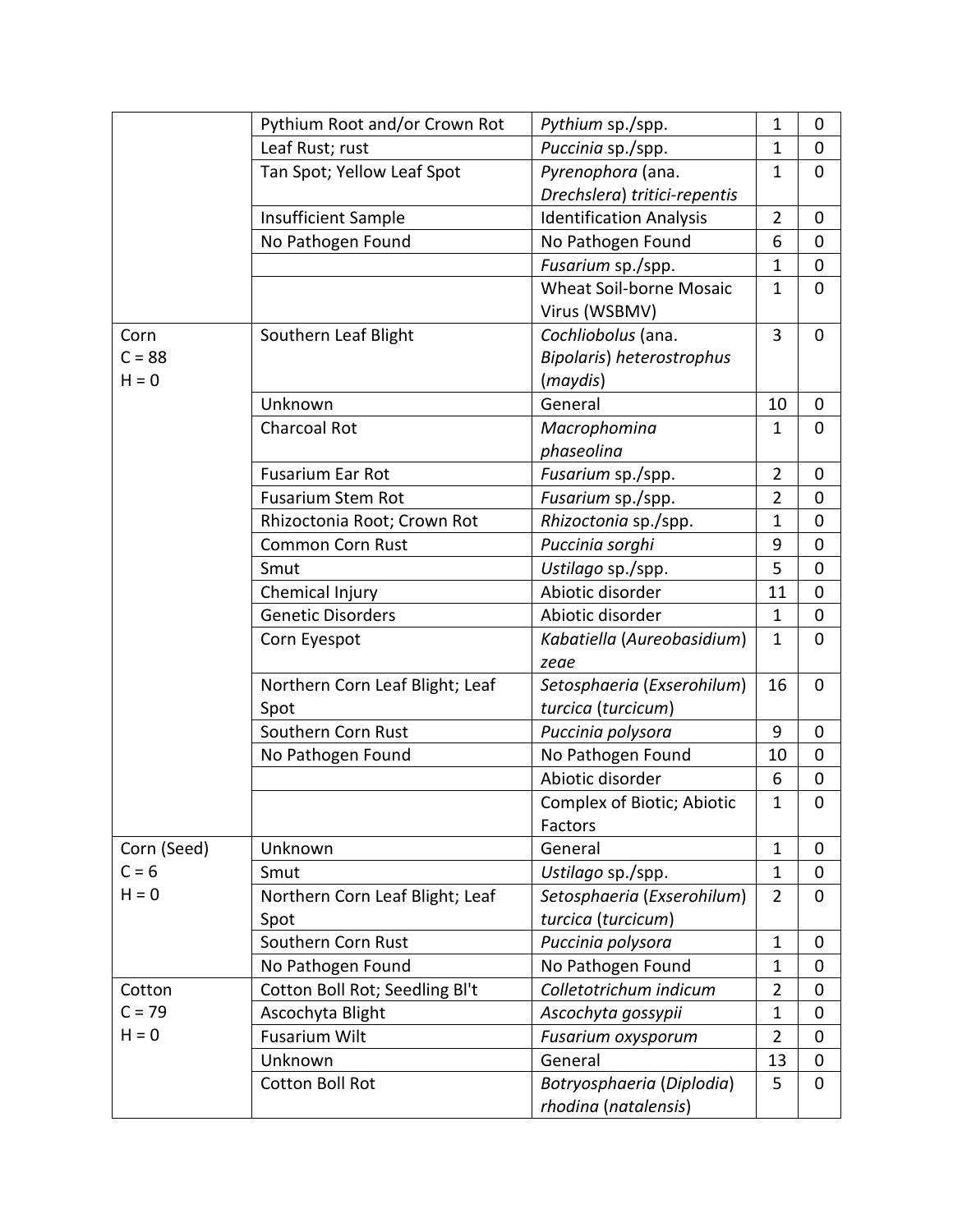|             | Pythium Root and/or Crown Rot   | Pythium sp./spp.                 | $\mathbf{1}$   | $\mathbf 0$      |
|-------------|---------------------------------|----------------------------------|----------------|------------------|
|             | Leaf Rust; rust                 | Puccinia sp./spp.                | 1              | $\mathbf 0$      |
|             | Tan Spot; Yellow Leaf Spot      | Pyrenophora (ana.                | 1              | $\mathbf 0$      |
|             |                                 | Drechslera) tritici-repentis     |                |                  |
|             | <b>Insufficient Sample</b>      | <b>Identification Analysis</b>   | $\overline{2}$ | $\mathbf 0$      |
|             | No Pathogen Found               | No Pathogen Found                | 6              | $\boldsymbol{0}$ |
|             |                                 | Fusarium sp./spp.                | $\mathbf{1}$   | $\mathbf 0$      |
|             |                                 | Wheat Soil-borne Mosaic          | $\mathbf{1}$   | $\mathbf 0$      |
|             |                                 | Virus (WSBMV)                    |                |                  |
| Corn        | Southern Leaf Blight            | Cochliobolus (ana.               | $\overline{3}$ | $\mathbf 0$      |
| $C = 88$    |                                 | <b>Bipolaris) heterostrophus</b> |                |                  |
| $H = 0$     |                                 | (maydis)                         |                |                  |
|             | Unknown                         | General                          | 10             | $\mathbf 0$      |
|             | <b>Charcoal Rot</b>             | Macrophomina                     | $\mathbf{1}$   | $\mathbf 0$      |
|             |                                 | phaseolina                       |                |                  |
|             | <b>Fusarium Ear Rot</b>         | Fusarium sp./spp.                | $\overline{2}$ | $\mathbf 0$      |
|             | <b>Fusarium Stem Rot</b>        | Fusarium sp./spp.                | $\overline{2}$ | $\mathbf 0$      |
|             | Rhizoctonia Root; Crown Rot     | Rhizoctonia sp./spp.             | 1              | $\mathbf 0$      |
|             | <b>Common Corn Rust</b>         | Puccinia sorghi                  | 9              | $\mathbf 0$      |
|             | Smut                            | Ustilago sp./spp.                | 5              | $\mathbf 0$      |
|             | Chemical Injury                 | Abiotic disorder                 | 11             | $\mathbf 0$      |
|             | <b>Genetic Disorders</b>        | Abiotic disorder                 | $\mathbf{1}$   | $\mathbf 0$      |
|             | Corn Eyespot                    | Kabatiella (Aureobasidium)       | $\mathbf{1}$   | $\mathbf 0$      |
|             |                                 | zeae                             |                |                  |
|             | Northern Corn Leaf Blight; Leaf | Setosphaeria (Exserohilum)       | 16             | $\mathbf 0$      |
|             | Spot                            | turcica (turcicum)               |                |                  |
|             | Southern Corn Rust              | Puccinia polysora                | 9              | $\mathbf 0$      |
|             | No Pathogen Found               | No Pathogen Found                | 10             | $\mathbf 0$      |
|             |                                 | Abiotic disorder                 | 6              | $\mathbf 0$      |
|             |                                 | Complex of Biotic; Abiotic       | $\mathbf{1}$   | $\mathbf 0$      |
|             |                                 | Factors                          |                |                  |
| Corn (Seed) | Unknown                         | General                          | $\mathbf{1}$   | $\mathbf 0$      |
| $C = 6$     | Smut                            | Ustilago sp./spp.                | $\mathbf{1}$   | $\mathbf 0$      |
| $H = 0$     | Northern Corn Leaf Blight; Leaf | Setosphaeria (Exserohilum)       | $\overline{2}$ | $\mathbf 0$      |
|             | Spot                            | turcica (turcicum)               |                |                  |
|             | Southern Corn Rust              | Puccinia polysora                | $\mathbf{1}$   | 0                |
|             | No Pathogen Found               | No Pathogen Found                | 1              | $\mathbf 0$      |
| Cotton      | Cotton Boll Rot; Seedling Bl't  | Colletotrichum indicum           | $\overline{2}$ | $\mathbf 0$      |
| $C = 79$    | Ascochyta Blight                | Ascochyta gossypii               | 1              | $\mathbf 0$      |
| $H = 0$     | <b>Fusarium Wilt</b>            | Fusarium oxysporum               | $\overline{2}$ | $\boldsymbol{0}$ |
|             | Unknown                         | General                          | 13             | $\mathbf 0$      |
|             | <b>Cotton Boll Rot</b>          | Botryosphaeria (Diplodia)        | 5              | $\mathbf 0$      |
|             |                                 | rhodina (natalensis)             |                |                  |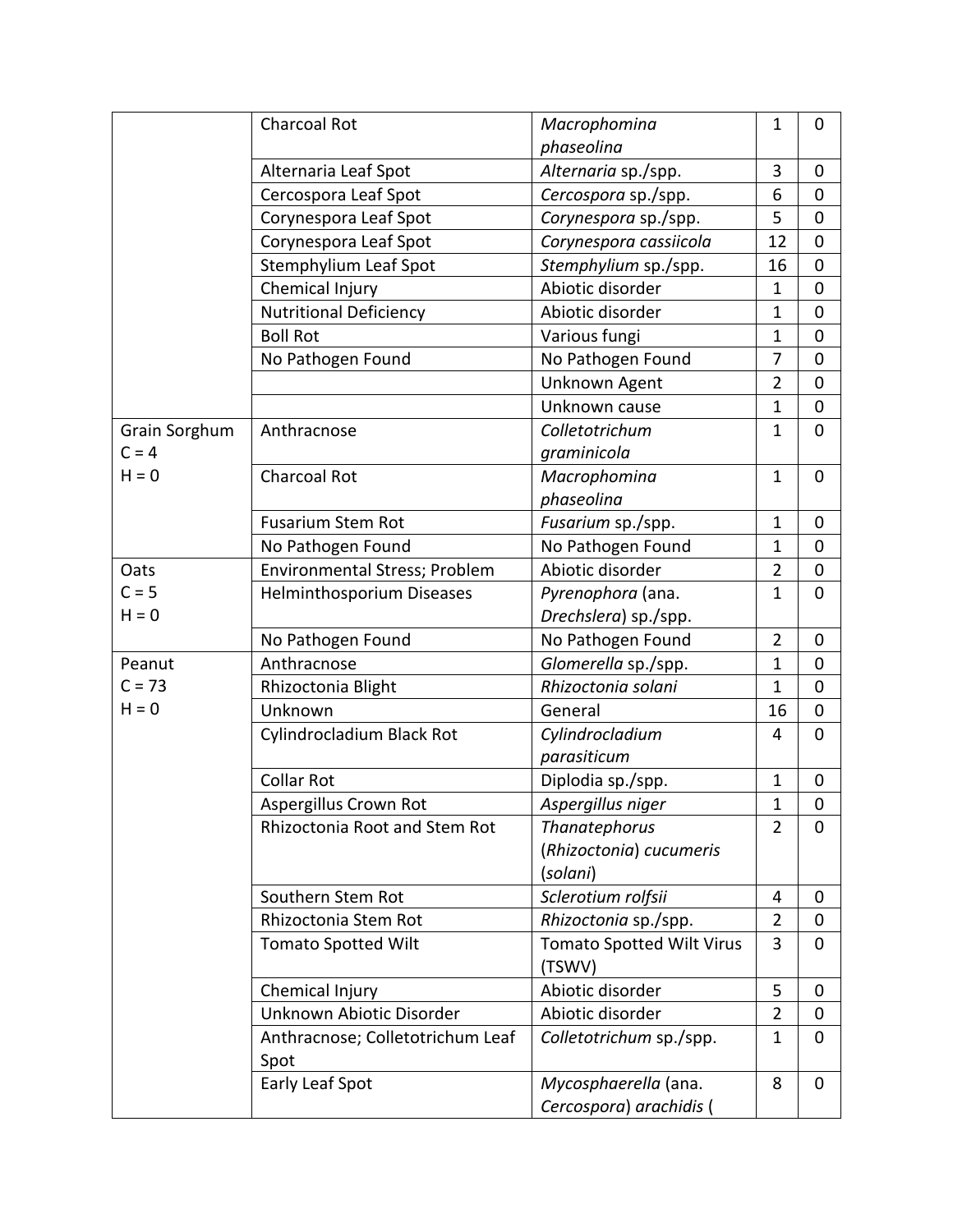|               | <b>Charcoal Rot</b>                                | Macrophomina                          | $\mathbf{1}$   | 0              |
|---------------|----------------------------------------------------|---------------------------------------|----------------|----------------|
|               |                                                    | phaseolina                            |                |                |
|               | Alternaria Leaf Spot                               | Alternaria sp./spp.                   | 3              | $\overline{0}$ |
|               | Cercospora Leaf Spot                               | Cercospora sp./spp.                   | 6              | 0              |
|               | Corynespora Leaf Spot                              | Corynespora sp./spp.                  | 5              | $\mathbf 0$    |
|               | Corynespora Leaf Spot                              | Corynespora cassiicola                | 12             | 0              |
|               | <b>Stemphylium Leaf Spot</b>                       | Stemphylium sp./spp.                  | 16             | $\mathbf 0$    |
|               | Chemical Injury                                    | Abiotic disorder                      | $\mathbf{1}$   | $\mathbf 0$    |
|               | <b>Nutritional Deficiency</b>                      | Abiotic disorder                      | $\mathbf{1}$   | $\overline{0}$ |
|               | <b>Boll Rot</b>                                    | Various fungi                         | $\mathbf{1}$   | $\mathbf 0$    |
|               | No Pathogen Found                                  | No Pathogen Found                     | $\overline{7}$ | $\mathbf 0$    |
|               |                                                    | Unknown Agent                         | $\overline{2}$ | $\mathbf 0$    |
|               |                                                    | Unknown cause                         | $\mathbf{1}$   | $\mathbf 0$    |
| Grain Sorghum | Anthracnose                                        | Colletotrichum                        | $\mathbf{1}$   | $\mathbf 0$    |
| $C = 4$       |                                                    | graminicola                           |                |                |
| $H = 0$       | <b>Charcoal Rot</b>                                | Macrophomina                          | $\mathbf{1}$   | $\mathbf 0$    |
|               |                                                    | phaseolina                            |                |                |
|               | <b>Fusarium Stem Rot</b>                           | Fusarium sp./spp.                     | $\mathbf{1}$   | 0              |
|               |                                                    |                                       | $\mathbf{1}$   | $\overline{0}$ |
| Oats          | No Pathogen Found<br>Environmental Stress; Problem | No Pathogen Found<br>Abiotic disorder | $\overline{2}$ | $\mathbf 0$    |
| $C = 5$       |                                                    |                                       |                |                |
| $H = 0$       | <b>Helminthosporium Diseases</b>                   | Pyrenophora (ana.                     | 1              | $\mathbf 0$    |
|               |                                                    | Drechslera) sp./spp.                  | $\overline{2}$ |                |
|               | No Pathogen Found                                  | No Pathogen Found                     |                | $\overline{0}$ |
| Peanut        | Anthracnose                                        | Glomerella sp./spp.                   | $\mathbf{1}$   | 0              |
| $C = 73$      | Rhizoctonia Blight                                 | Rhizoctonia solani                    | 1              | $\mathbf 0$    |
| $H = 0$       | Unknown                                            | General                               | 16             | $\mathbf 0$    |
|               | Cylindrocladium Black Rot                          | Cylindrocladium                       | 4              | $\mathbf 0$    |
|               |                                                    | parasiticum                           |                |                |
|               | <b>Collar Rot</b>                                  | Diplodia sp./spp.                     | $\mathbf{1}$   | $\mathbf 0$    |
|               | Aspergillus Crown Rot                              | Aspergillus niger                     | 1              | $\mathbf 0$    |
|               | Rhizoctonia Root and Stem Rot                      | Thanatephorus                         | $\overline{2}$ | $\overline{0}$ |
|               |                                                    | (Rhizoctonia) cucumeris               |                |                |
|               |                                                    | (solani)                              |                |                |
|               | Southern Stem Rot                                  | Sclerotium rolfsii                    | 4              | 0              |
|               | Rhizoctonia Stem Rot                               | Rhizoctonia sp./spp.                  | $\overline{2}$ | 0              |
|               | <b>Tomato Spotted Wilt</b>                         | <b>Tomato Spotted Wilt Virus</b>      | 3              | 0              |
|               |                                                    | (TSWV)                                |                |                |
|               | Chemical Injury                                    | Abiotic disorder                      | 5              | 0              |
|               | Unknown Abiotic Disorder                           | Abiotic disorder                      | $\overline{2}$ | $\mathbf 0$    |
|               | Anthracnose; Colletotrichum Leaf                   | Colletotrichum sp./spp.               | 1              | 0              |
|               | Spot                                               |                                       |                |                |
|               | <b>Early Leaf Spot</b>                             | Mycosphaerella (ana.                  | 8              | 0              |
|               |                                                    | Cercospora) arachidis (               |                |                |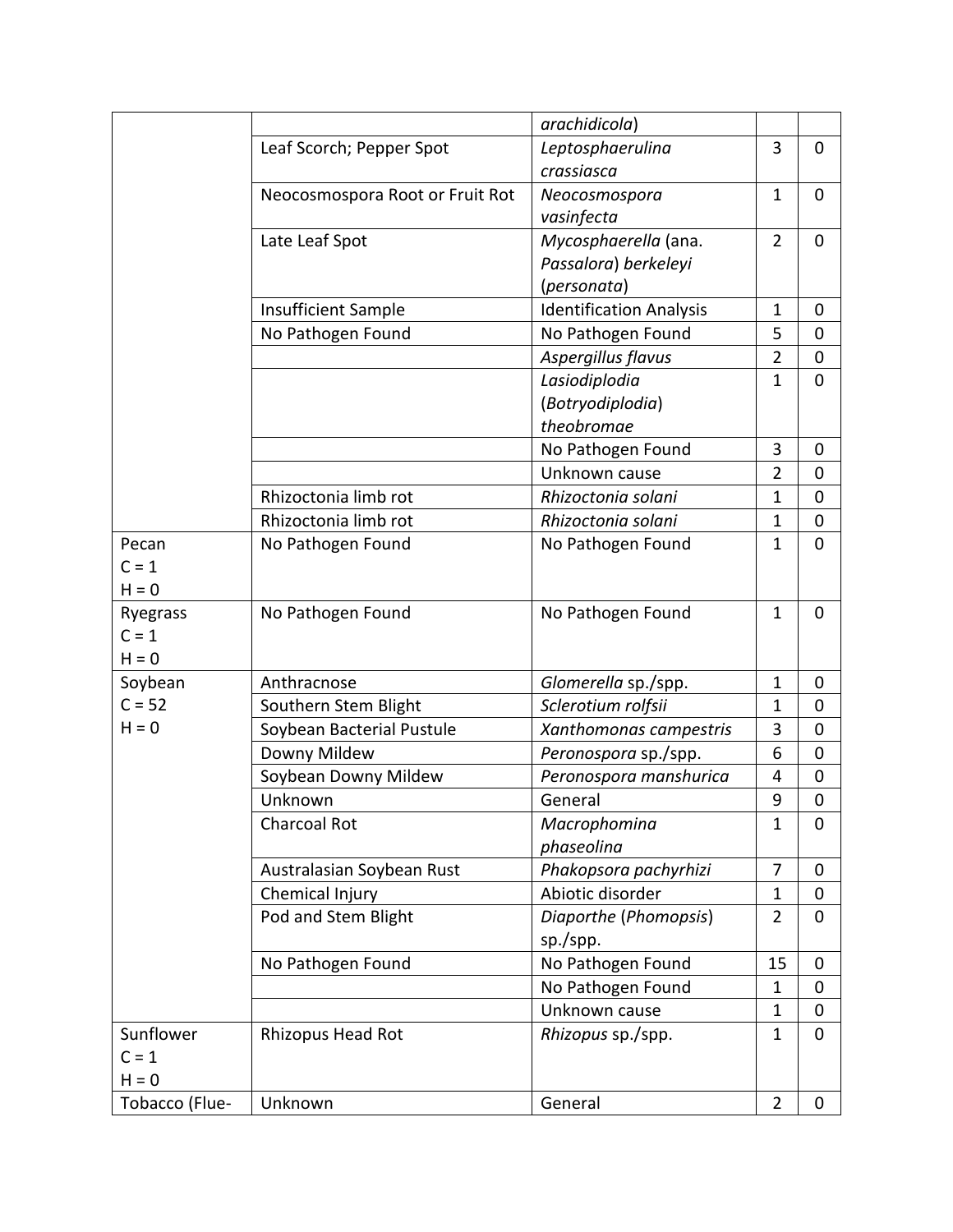|                |                                 | arachidicola)                  |                |                  |
|----------------|---------------------------------|--------------------------------|----------------|------------------|
|                | Leaf Scorch; Pepper Spot        | Leptosphaerulina               | 3              | $\mathbf 0$      |
|                |                                 | crassiasca                     |                |                  |
|                | Neocosmospora Root or Fruit Rot | Neocosmospora                  | $\mathbf 1$    | $\mathbf 0$      |
|                |                                 | vasinfecta                     |                |                  |
|                | Late Leaf Spot                  | Mycosphaerella (ana.           | $\overline{2}$ | $\overline{0}$   |
|                |                                 | Passalora) berkeleyi           |                |                  |
|                |                                 | (personata)                    |                |                  |
|                | Insufficient Sample             | <b>Identification Analysis</b> | 1              | $\boldsymbol{0}$ |
|                | No Pathogen Found               | No Pathogen Found              | 5              | $\mathbf 0$      |
|                |                                 | Aspergillus flavus             | $\overline{2}$ | $\mathbf 0$      |
|                |                                 | Lasiodiplodia                  | $\mathbf{1}$   | $\mathbf 0$      |
|                |                                 | (Botryodiplodia)               |                |                  |
|                |                                 | theobromae                     |                |                  |
|                |                                 | No Pathogen Found              | 3              | $\boldsymbol{0}$ |
|                |                                 | Unknown cause                  | $\overline{2}$ | $\mathbf 0$      |
|                | Rhizoctonia limb rot            | Rhizoctonia solani             | 1              | $\mathbf 0$      |
|                | Rhizoctonia limb rot            | Rhizoctonia solani             | 1              | $\mathbf 0$      |
| Pecan          | No Pathogen Found               | No Pathogen Found              | $\mathbf{1}$   | $\overline{0}$   |
| $C = 1$        |                                 |                                |                |                  |
| $H = 0$        |                                 |                                |                |                  |
| Ryegrass       | No Pathogen Found               | No Pathogen Found              | $\mathbf{1}$   | $\mathbf 0$      |
| $C = 1$        |                                 |                                |                |                  |
| $H = 0$        |                                 |                                |                |                  |
| Soybean        | Anthracnose                     | Glomerella sp./spp.            | 1              | 0                |
| $C = 52$       | Southern Stem Blight            | Sclerotium rolfsii             | 1              | $\mathbf 0$      |
| $H = 0$        | Soybean Bacterial Pustule       | Xanthomonas campestris         | 3              | $\mathbf 0$      |
|                | Downy Mildew                    | Peronospora sp./spp.           | 6              | $\mathbf 0$      |
|                | Soybean Downy Mildew            | Peronospora manshurica         | 4              | $\mathbf 0$      |
|                | Unknown                         | General                        | 9              | $\mathbf 0$      |
|                | Charcoal Rot                    | Macrophomina                   | $\mathbf{1}$   | $\mathbf 0$      |
|                |                                 | phaseolina                     |                |                  |
|                | Australasian Soybean Rust       | Phakopsora pachyrhizi          | 7              | $\boldsymbol{0}$ |
|                | Chemical Injury                 | Abiotic disorder               | $\mathbf{1}$   | $\mathbf 0$      |
|                | Pod and Stem Blight             | Diaporthe (Phomopsis)          | $\overline{2}$ | $\mathbf 0$      |
|                |                                 | sp./spp.                       |                |                  |
|                | No Pathogen Found               | No Pathogen Found              | 15             | $\mathbf 0$      |
|                |                                 | No Pathogen Found              | 1              | $\mathbf 0$      |
|                |                                 | Unknown cause                  | $\mathbf{1}$   | $\mathbf 0$      |
| Sunflower      | Rhizopus Head Rot               | Rhizopus sp./spp.              | $\mathbf{1}$   | $\mathbf 0$      |
| $C = 1$        |                                 |                                |                |                  |
| $H = 0$        |                                 |                                |                |                  |
| Tobacco (Flue- | Unknown                         | General                        | $\overline{2}$ | $\boldsymbol{0}$ |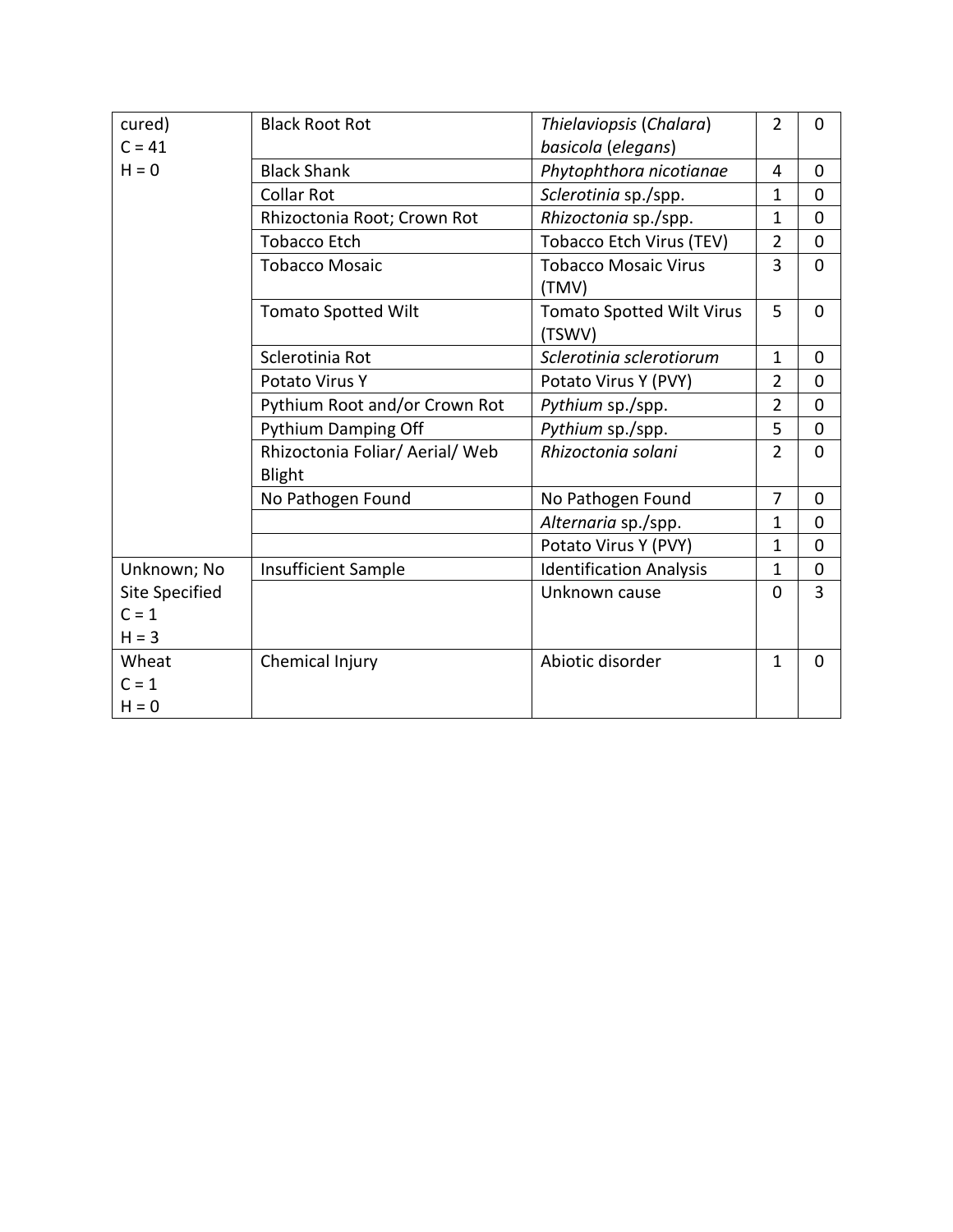| cured)                               | <b>Black Root Rot</b>                     | Thielaviopsis (Chalara)                    | $\overline{2}$ | $\overline{0}$ |
|--------------------------------------|-------------------------------------------|--------------------------------------------|----------------|----------------|
| $C = 41$                             |                                           | basicola (elegans)                         |                |                |
| $H = 0$                              | <b>Black Shank</b>                        | Phytophthora nicotianae                    | 4              | 0              |
|                                      | <b>Collar Rot</b>                         | Sclerotinia sp./spp.                       | $\mathbf{1}$   | 0              |
|                                      | Rhizoctonia Root; Crown Rot               | Rhizoctonia sp./spp.                       | $\mathbf{1}$   | $\mathbf 0$    |
|                                      | <b>Tobacco Etch</b>                       | <b>Tobacco Etch Virus (TEV)</b>            | $\overline{2}$ | $\mathbf 0$    |
|                                      | <b>Tobacco Mosaic</b>                     | <b>Tobacco Mosaic Virus</b><br>(TMV)       | 3              | $\overline{0}$ |
|                                      | <b>Tomato Spotted Wilt</b>                | <b>Tomato Spotted Wilt Virus</b><br>(TSWV) | 5              | $\overline{0}$ |
|                                      | Sclerotinia Rot                           | Sclerotinia sclerotiorum                   | $\mathbf{1}$   | 0              |
|                                      | Potato Virus Y                            | Potato Virus Y (PVY)                       | $\overline{2}$ | 0              |
|                                      | Pythium Root and/or Crown Rot             | Pythium sp./spp.                           | $\overline{2}$ | $\mathbf 0$    |
|                                      | Pythium Damping Off                       | Pythium sp./spp.                           | 5              | $\overline{0}$ |
|                                      | Rhizoctonia Foliar/ Aerial/ Web<br>Blight | Rhizoctonia solani                         | $\overline{2}$ | $\overline{0}$ |
|                                      | No Pathogen Found                         | No Pathogen Found                          | $\overline{7}$ | $\overline{0}$ |
|                                      |                                           | Alternaria sp./spp.                        | $\mathbf{1}$   | $\overline{0}$ |
|                                      |                                           | Potato Virus Y (PVY)                       | $\mathbf{1}$   | $\mathbf 0$    |
| Unknown; No                          | <b>Insufficient Sample</b>                | <b>Identification Analysis</b>             | $\mathbf{1}$   | $\mathbf 0$    |
| Site Specified<br>$C = 1$<br>$H = 3$ |                                           | Unknown cause                              | $\overline{0}$ | 3              |
| Wheat<br>$C = 1$<br>$H = 0$          | Chemical Injury                           | Abiotic disorder                           | $\mathbf{1}$   | $\overline{0}$ |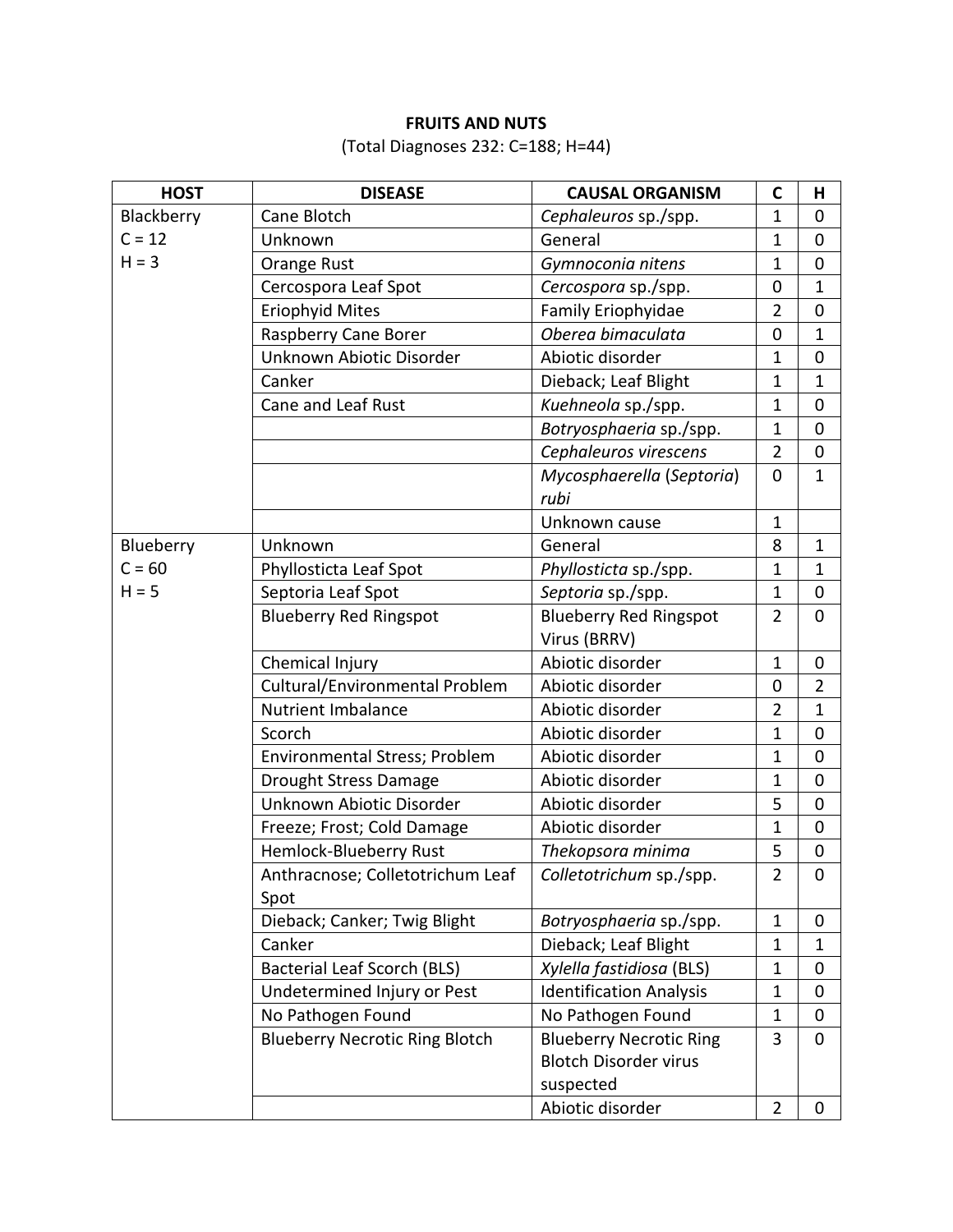# **FRUITS AND NUTS**

(Total Diagnoses 232: C=188; H=44)

| <b>HOST</b> | <b>DISEASE</b>                        | <b>CAUSAL ORGANISM</b>         | C              | н              |
|-------------|---------------------------------------|--------------------------------|----------------|----------------|
| Blackberry  | Cane Blotch                           | Cephaleuros sp./spp.           | $\mathbf{1}$   | $\overline{0}$ |
| $C = 12$    | Unknown                               | General                        | $\mathbf{1}$   | $\mathbf 0$    |
| $H = 3$     | Orange Rust                           | Gymnoconia nitens              | $\mathbf{1}$   | $\mathbf 0$    |
|             | Cercospora Leaf Spot                  | Cercospora sp./spp.            | 0              | $\mathbf{1}$   |
|             | <b>Eriophyid Mites</b>                | Family Eriophyidae             | $\overline{2}$ | $\mathbf 0$    |
|             | Raspberry Cane Borer                  | Oberea bimaculata              | 0              | $\mathbf{1}$   |
|             | Unknown Abiotic Disorder              | Abiotic disorder               | $\mathbf{1}$   | $\mathbf 0$    |
|             | Canker                                | Dieback; Leaf Blight           | $\mathbf{1}$   | $\mathbf{1}$   |
|             | Cane and Leaf Rust                    | Kuehneola sp./spp.             | $\mathbf{1}$   | $\mathbf 0$    |
|             |                                       | Botryosphaeria sp./spp.        | $\mathbf{1}$   | $\mathbf 0$    |
|             |                                       | Cephaleuros virescens          | $\overline{2}$ | $\mathbf 0$    |
|             |                                       | Mycosphaerella (Septoria)      | $\mathbf 0$    | $\mathbf{1}$   |
|             |                                       | rubi                           |                |                |
|             |                                       | Unknown cause                  | $\mathbf{1}$   |                |
| Blueberry   | Unknown                               | General                        | 8              | $\mathbf{1}$   |
| $C = 60$    | Phyllosticta Leaf Spot                | Phyllosticta sp./spp.          | $\mathbf{1}$   | $\mathbf{1}$   |
| $H = 5$     | Septoria Leaf Spot                    | Septoria sp./spp.              | $\mathbf{1}$   | $\mathbf 0$    |
|             | <b>Blueberry Red Ringspot</b>         | <b>Blueberry Red Ringspot</b>  | $\overline{2}$ | $\overline{0}$ |
|             |                                       | Virus (BRRV)                   |                |                |
|             | Chemical Injury                       | Abiotic disorder               | $\mathbf{1}$   | $\mathbf 0$    |
|             | Cultural/Environmental Problem        | Abiotic disorder               | 0              | $\overline{2}$ |
|             | Nutrient Imbalance                    | Abiotic disorder               | $\overline{2}$ | $\mathbf{1}$   |
|             | Scorch                                | Abiotic disorder               | $\mathbf{1}$   | $\overline{0}$ |
|             | Environmental Stress; Problem         | Abiotic disorder               | $\mathbf{1}$   | $\mathbf 0$    |
|             | <b>Drought Stress Damage</b>          | Abiotic disorder               | $\mathbf{1}$   | $\mathbf 0$    |
|             | Unknown Abiotic Disorder              | Abiotic disorder               | 5              | $\mathbf 0$    |
|             | Freeze; Frost; Cold Damage            | Abiotic disorder               | $\mathbf{1}$   | $\mathbf 0$    |
|             | Hemlock-Blueberry Rust                | Thekopsora minima              | 5              | $\mathbf 0$    |
|             | Anthracnose; Colletotrichum Leaf      | Colletotrichum sp./spp.        | $\overline{2}$ | $\mathbf 0$    |
|             | Spot                                  |                                |                |                |
|             | Dieback; Canker; Twig Blight          | Botryosphaeria sp./spp.        | $\mathbf{1}$   | $\mathbf 0$    |
|             | Canker                                | Dieback; Leaf Blight           | $\mathbf{1}$   | $\mathbf{1}$   |
|             | <b>Bacterial Leaf Scorch (BLS)</b>    | Xylella fastidiosa (BLS)       | $\mathbf{1}$   | 0              |
|             | Undetermined Injury or Pest           | <b>Identification Analysis</b> | $\mathbf{1}$   | $\mathbf 0$    |
|             | No Pathogen Found                     | No Pathogen Found              | 1              | 0              |
|             | <b>Blueberry Necrotic Ring Blotch</b> | <b>Blueberry Necrotic Ring</b> | 3              | $\mathbf 0$    |
|             |                                       | <b>Blotch Disorder virus</b>   |                |                |
|             |                                       | suspected                      |                |                |
|             |                                       | Abiotic disorder               | $\overline{2}$ | 0              |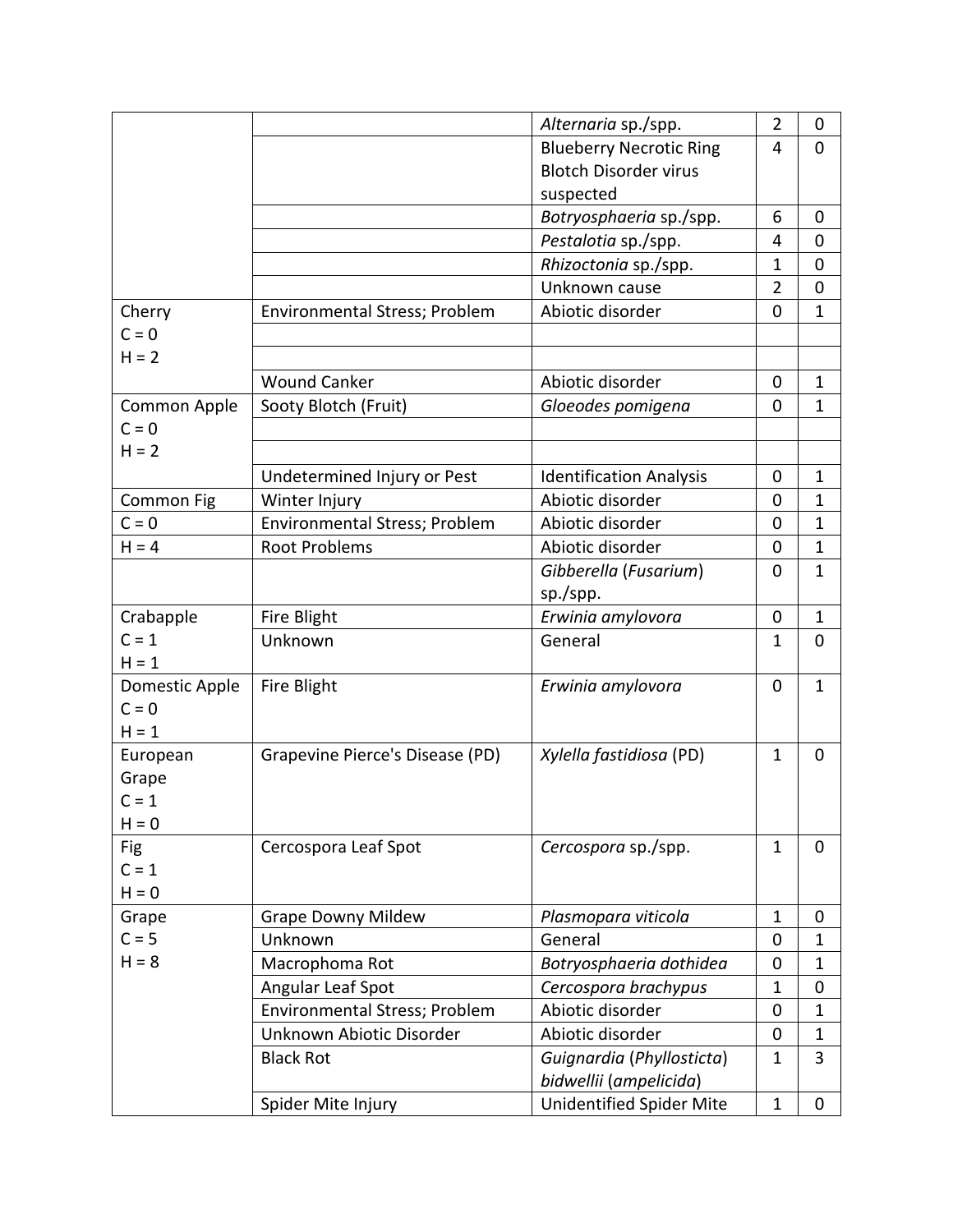|                |                                 | Alternaria sp./spp.             | $\overline{2}$ | 0              |
|----------------|---------------------------------|---------------------------------|----------------|----------------|
|                |                                 | <b>Blueberry Necrotic Ring</b>  | 4              | $\overline{0}$ |
|                |                                 | <b>Blotch Disorder virus</b>    |                |                |
|                |                                 | suspected                       |                |                |
|                |                                 | Botryosphaeria sp./spp.         | 6              | 0              |
|                |                                 | Pestalotia sp./spp.             | 4              | $\mathbf 0$    |
|                |                                 | Rhizoctonia sp./spp.            | 1              | $\mathbf 0$    |
|                |                                 | Unknown cause                   | $\overline{2}$ | $\mathbf 0$    |
| Cherry         | Environmental Stress; Problem   | Abiotic disorder                | 0              | $\mathbf{1}$   |
| $C = 0$        |                                 |                                 |                |                |
| $H = 2$        |                                 |                                 |                |                |
|                | <b>Wound Canker</b>             | Abiotic disorder                | 0              | $\mathbf{1}$   |
| Common Apple   | Sooty Blotch (Fruit)            | Gloeodes pomigena               | 0              | 1              |
| $C = 0$        |                                 |                                 |                |                |
| $H = 2$        |                                 |                                 |                |                |
|                | Undetermined Injury or Pest     | <b>Identification Analysis</b>  | 0              | 1              |
| Common Fig     | Winter Injury                   | Abiotic disorder                | 0              | $\mathbf{1}$   |
| $C = 0$        | Environmental Stress; Problem   | Abiotic disorder                | 0              | 1              |
| $H = 4$        | <b>Root Problems</b>            | Abiotic disorder                | 0              | $\mathbf{1}$   |
|                |                                 | Gibberella (Fusarium)           | 0              | $\mathbf{1}$   |
|                |                                 | sp./spp.                        |                |                |
| Crabapple      | Fire Blight                     | Erwinia amylovora               | 0              | $\mathbf{1}$   |
| $C = 1$        | Unknown                         | General                         | $\mathbf{1}$   | $\mathbf 0$    |
| $H = 1$        |                                 |                                 |                |                |
| Domestic Apple | Fire Blight                     | Erwinia amylovora               | $\mathbf 0$    | $\mathbf{1}$   |
| $C = 0$        |                                 |                                 |                |                |
| $H = 1$        |                                 |                                 |                |                |
| European       | Grapevine Pierce's Disease (PD) | Xylella fastidiosa (PD)         | $\mathbf{1}$   | $\overline{0}$ |
| Grape          |                                 |                                 |                |                |
| $C = 1$        |                                 |                                 |                |                |
| $H = 0$        |                                 |                                 |                |                |
| Fig            | Cercospora Leaf Spot            | Cercospora sp./spp.             | $\mathbf{1}$   | $\mathbf{0}$   |
| $C = 1$        |                                 |                                 |                |                |
| $H = 0$        |                                 |                                 |                |                |
| Grape          | <b>Grape Downy Mildew</b>       | Plasmopara viticola             | $\mathbf{1}$   | 0              |
| $C = 5$        | Unknown                         | General                         | 0              | $\mathbf{1}$   |
| $H = 8$        | Macrophoma Rot                  | Botryosphaeria dothidea         | 0              | $\mathbf{1}$   |
|                | Angular Leaf Spot               | Cercospora brachypus            | $\mathbf{1}$   | $\mathbf 0$    |
|                | Environmental Stress; Problem   | Abiotic disorder                | 0              | $\mathbf{1}$   |
|                | Unknown Abiotic Disorder        | Abiotic disorder                | 0              | $\mathbf{1}$   |
|                | <b>Black Rot</b>                | Guignardia (Phyllosticta)       | $\mathbf{1}$   | 3              |
|                |                                 | bidwellii (ampelicida)          |                |                |
|                | Spider Mite Injury              | <b>Unidentified Spider Mite</b> | $\mathbf{1}$   | 0              |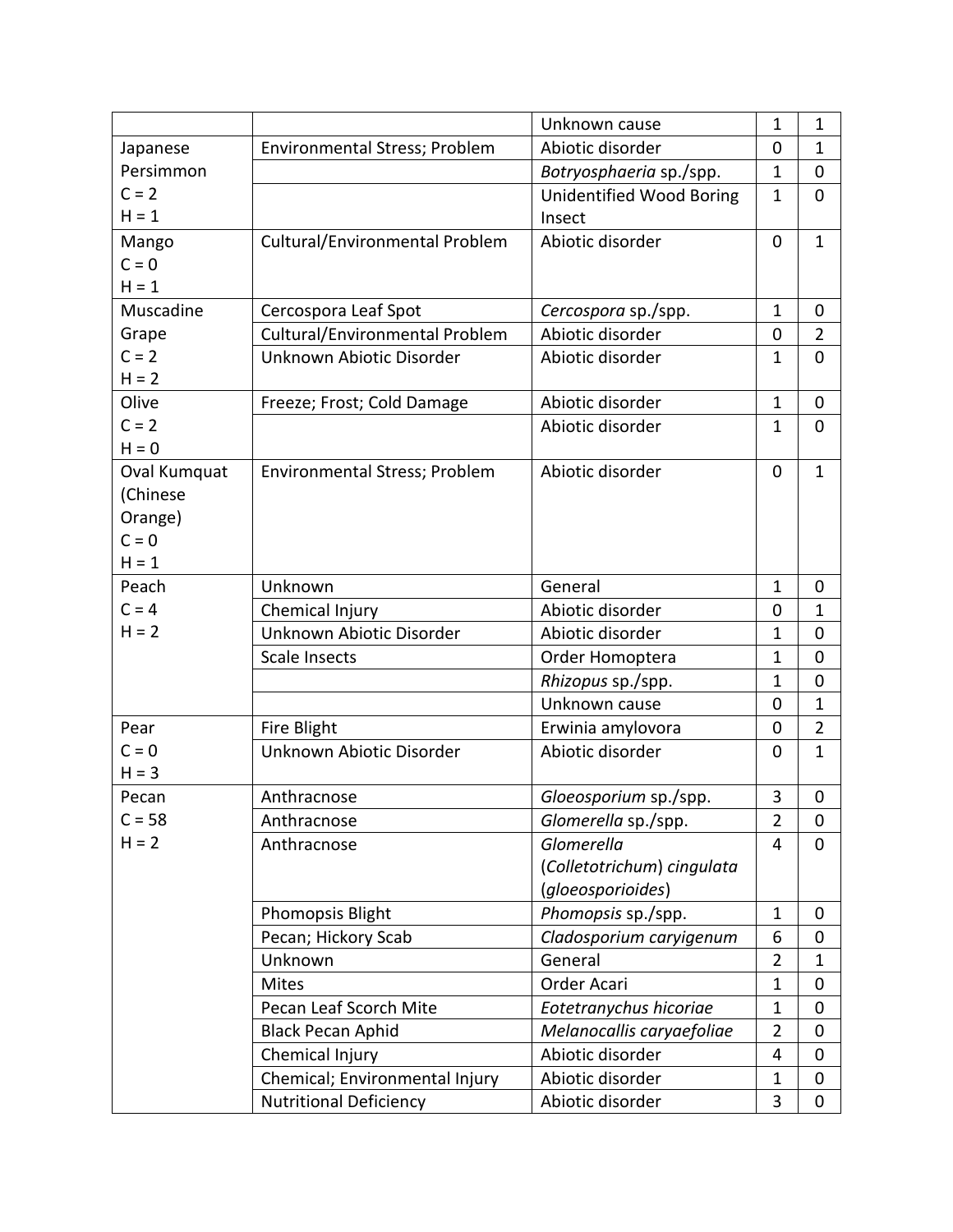|              |                                | Unknown cause              | 1              | $\mathbf{1}$     |
|--------------|--------------------------------|----------------------------|----------------|------------------|
| Japanese     | Environmental Stress; Problem  | Abiotic disorder           | $\mathbf 0$    | $\mathbf{1}$     |
| Persimmon    |                                | Botryosphaeria sp./spp.    | $\mathbf{1}$   | $\boldsymbol{0}$ |
| $C = 2$      |                                | Unidentified Wood Boring   | $\mathbf{1}$   | $\mathbf 0$      |
| $H = 1$      |                                | Insect                     |                |                  |
| Mango        | Cultural/Environmental Problem | Abiotic disorder           | $\mathbf 0$    | $\mathbf{1}$     |
| $C = 0$      |                                |                            |                |                  |
| $H = 1$      |                                |                            |                |                  |
| Muscadine    | Cercospora Leaf Spot           | Cercospora sp./spp.        | 1              | $\boldsymbol{0}$ |
| Grape        | Cultural/Environmental Problem | Abiotic disorder           | $\mathbf 0$    | $\overline{2}$   |
| $C = 2$      | Unknown Abiotic Disorder       | Abiotic disorder           | 1              | $\mathbf 0$      |
| $H = 2$      |                                |                            |                |                  |
| Olive        | Freeze; Frost; Cold Damage     | Abiotic disorder           | $\mathbf{1}$   | $\mathbf 0$      |
| $C = 2$      |                                | Abiotic disorder           | $\mathbf{1}$   | $\mathbf 0$      |
| $H = 0$      |                                |                            |                |                  |
| Oval Kumquat | Environmental Stress; Problem  | Abiotic disorder           | 0              | $\mathbf{1}$     |
| (Chinese     |                                |                            |                |                  |
| Orange)      |                                |                            |                |                  |
| $C = 0$      |                                |                            |                |                  |
| $H = 1$      |                                |                            |                |                  |
| Peach        | Unknown                        | General                    | $\mathbf{1}$   | $\mathbf 0$      |
| $C = 4$      | Chemical Injury                | Abiotic disorder           | $\mathbf 0$    | $\mathbf{1}$     |
| $H = 2$      | Unknown Abiotic Disorder       | Abiotic disorder           | 1              | $\mathbf 0$      |
|              | <b>Scale Insects</b>           | Order Homoptera            | 1              | $\mathbf 0$      |
|              |                                | <i>Rhizopus</i> sp./spp.   | 1              | $\mathbf 0$      |
|              |                                | Unknown cause              | $\mathbf 0$    | $\mathbf{1}$     |
| Pear         | Fire Blight                    | Erwinia amylovora          | $\mathbf 0$    | $\overline{2}$   |
| $C = 0$      | Unknown Abiotic Disorder       | Abiotic disorder           | $\mathbf 0$    | $\mathbf{1}$     |
| $H = 3$      |                                |                            |                |                  |
| Pecan        | Anthracnose                    | Gloeosporium sp./spp.      | 3              | $\mathbf 0$      |
| $C = 58$     | Anthracnose                    | Glomerella sp./spp.        | $\overline{2}$ | $\boldsymbol{0}$ |
| $H = 2$      | Anthracnose                    | Glomerella                 | $\overline{4}$ | $\mathbf 0$      |
|              |                                | (Colletotrichum) cinqulata |                |                  |
|              |                                | (gloeosporioides)          |                |                  |
|              | Phomopsis Blight               | Phomopsis sp./spp.         | $\mathbf{1}$   | $\mathbf 0$      |
|              | Pecan; Hickory Scab            | Cladosporium caryigenum    | 6              | 0                |
|              | Unknown                        | General                    | $\overline{2}$ | $\mathbf{1}$     |
|              | <b>Mites</b>                   | Order Acari                | $\mathbf{1}$   | $\mathbf 0$      |
|              | Pecan Leaf Scorch Mite         | Eotetranychus hicoriae     | 1              | $\mathbf 0$      |
|              | <b>Black Pecan Aphid</b>       | Melanocallis caryaefoliae  | $\overline{2}$ | $\mathbf 0$      |
|              | Chemical Injury                | Abiotic disorder           | 4              | $\mathbf 0$      |
|              | Chemical; Environmental Injury | Abiotic disorder           | $\mathbf{1}$   | $\mathbf 0$      |
|              | <b>Nutritional Deficiency</b>  | Abiotic disorder           | 3              | $\mathbf 0$      |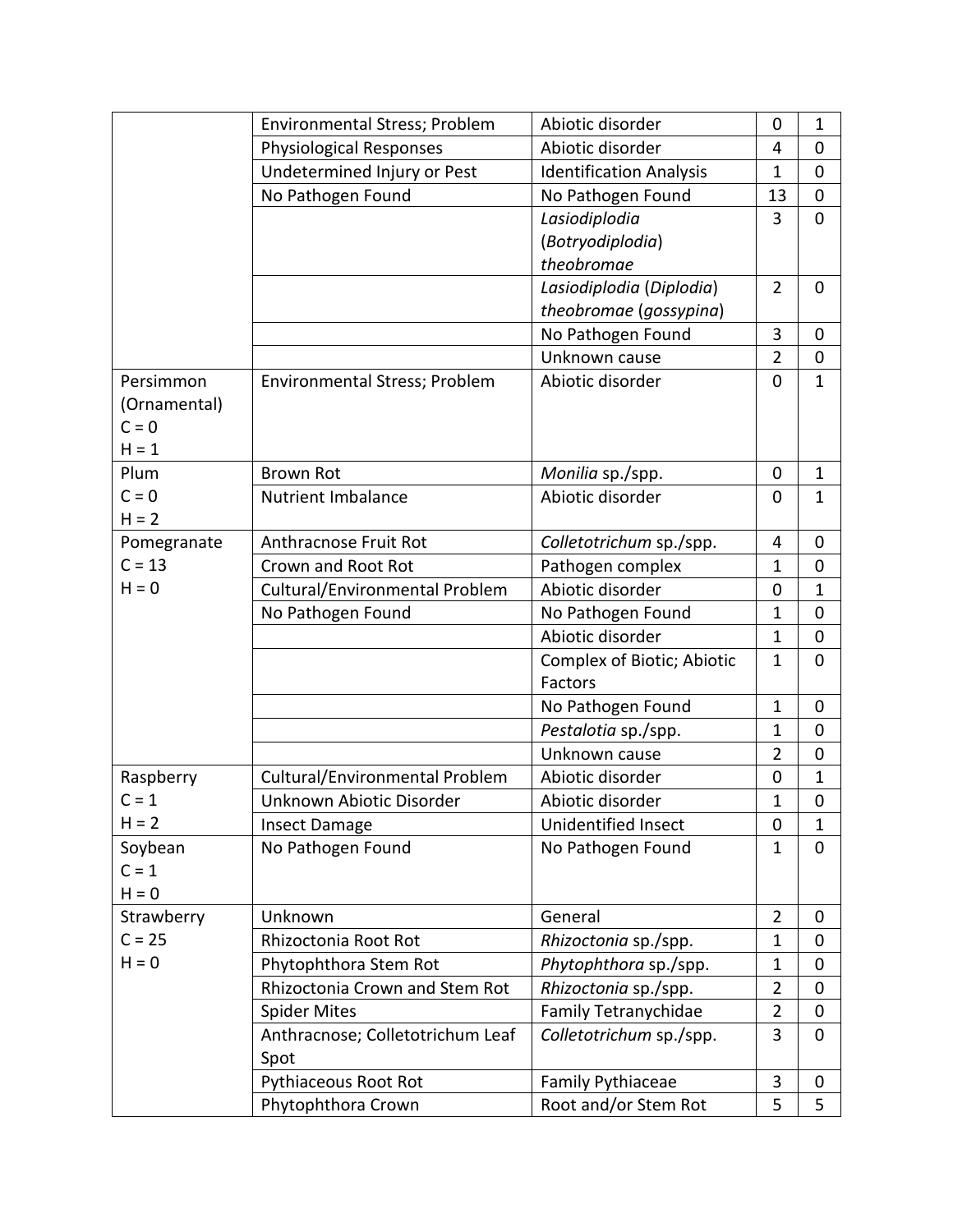|              | Environmental Stress; Problem    | Abiotic disorder               | $\mathbf 0$    | $\mathbf{1}$   |
|--------------|----------------------------------|--------------------------------|----------------|----------------|
|              | <b>Physiological Responses</b>   | Abiotic disorder               | 4              | $\mathbf 0$    |
|              | Undetermined Injury or Pest      | <b>Identification Analysis</b> | $\mathbf{1}$   | $\mathbf 0$    |
|              | No Pathogen Found                | No Pathogen Found              | 13             | $\mathbf 0$    |
|              |                                  | Lasiodiplodia                  | 3              | $\overline{0}$ |
|              |                                  | (Botryodiplodia)               |                |                |
|              |                                  | theobromae                     |                |                |
|              |                                  | Lasiodiplodia (Diplodia)       | $\overline{2}$ | $\mathbf 0$    |
|              |                                  | theobromae (gossypina)         |                |                |
|              |                                  | No Pathogen Found              | 3              | $\mathbf 0$    |
|              |                                  | Unknown cause                  | $\overline{2}$ | 0              |
| Persimmon    | Environmental Stress; Problem    | Abiotic disorder               | $\mathbf 0$    | $\mathbf{1}$   |
| (Ornamental) |                                  |                                |                |                |
| $C = 0$      |                                  |                                |                |                |
| $H = 1$      |                                  |                                |                |                |
| Plum         | <b>Brown Rot</b>                 | Monilia sp./spp.               | $\mathbf 0$    | $\mathbf{1}$   |
| $C = 0$      | <b>Nutrient Imbalance</b>        | Abiotic disorder               | $\mathbf 0$    | $\mathbf{1}$   |
| $H = 2$      |                                  |                                |                |                |
| Pomegranate  | Anthracnose Fruit Rot            | Colletotrichum sp./spp.        | 4              | 0              |
| $C = 13$     | Crown and Root Rot               | Pathogen complex               | $\mathbf{1}$   | $\mathbf 0$    |
| $H = 0$      | Cultural/Environmental Problem   | Abiotic disorder               | $\mathbf 0$    | $\mathbf{1}$   |
|              | No Pathogen Found                | No Pathogen Found              | $\mathbf{1}$   | $\mathbf 0$    |
|              |                                  | Abiotic disorder               | $\mathbf{1}$   | $\mathbf 0$    |
|              |                                  | Complex of Biotic; Abiotic     | $\mathbf{1}$   | $\overline{0}$ |
|              |                                  | Factors                        |                |                |
|              |                                  | No Pathogen Found              | $\mathbf{1}$   | $\mathbf 0$    |
|              |                                  | Pestalotia sp./spp.            | $\mathbf{1}$   | 0              |
|              |                                  | Unknown cause                  | $\overline{2}$ | $\mathbf 0$    |
| Raspberry    | Cultural/Environmental Problem   | Abiotic disorder               | $\mathbf 0$    | $\mathbf{1}$   |
| $C = 1$      | Unknown Abiotic Disorder         | Abiotic disorder               | $\overline{1}$ | 0              |
| $H = 2$      | <b>Insect Damage</b>             | <b>Unidentified Insect</b>     | 0              | $\mathbf{1}$   |
| Soybean      | No Pathogen Found                | No Pathogen Found              | $\mathbf{1}$   | $\mathbf 0$    |
| $C = 1$      |                                  |                                |                |                |
| $H = 0$      |                                  |                                |                |                |
| Strawberry   | Unknown                          | General                        | $\overline{2}$ | 0              |
| $C = 25$     | Rhizoctonia Root Rot             | Rhizoctonia sp./spp.           | $\mathbf{1}$   | $\pmb{0}$      |
| $H = 0$      | Phytophthora Stem Rot            | Phytophthora sp./spp.          | $\mathbf{1}$   | 0              |
|              | Rhizoctonia Crown and Stem Rot   | Rhizoctonia sp./spp.           | $\overline{2}$ | 0              |
|              | <b>Spider Mites</b>              | Family Tetranychidae           | $\overline{2}$ | 0              |
|              | Anthracnose; Colletotrichum Leaf | Colletotrichum sp./spp.        | 3              | $\mathbf 0$    |
|              | Spot                             |                                |                |                |
|              | Pythiaceous Root Rot             | Family Pythiaceae              | 3              | 0              |
|              | Phytophthora Crown               | Root and/or Stem Rot           | 5              | 5              |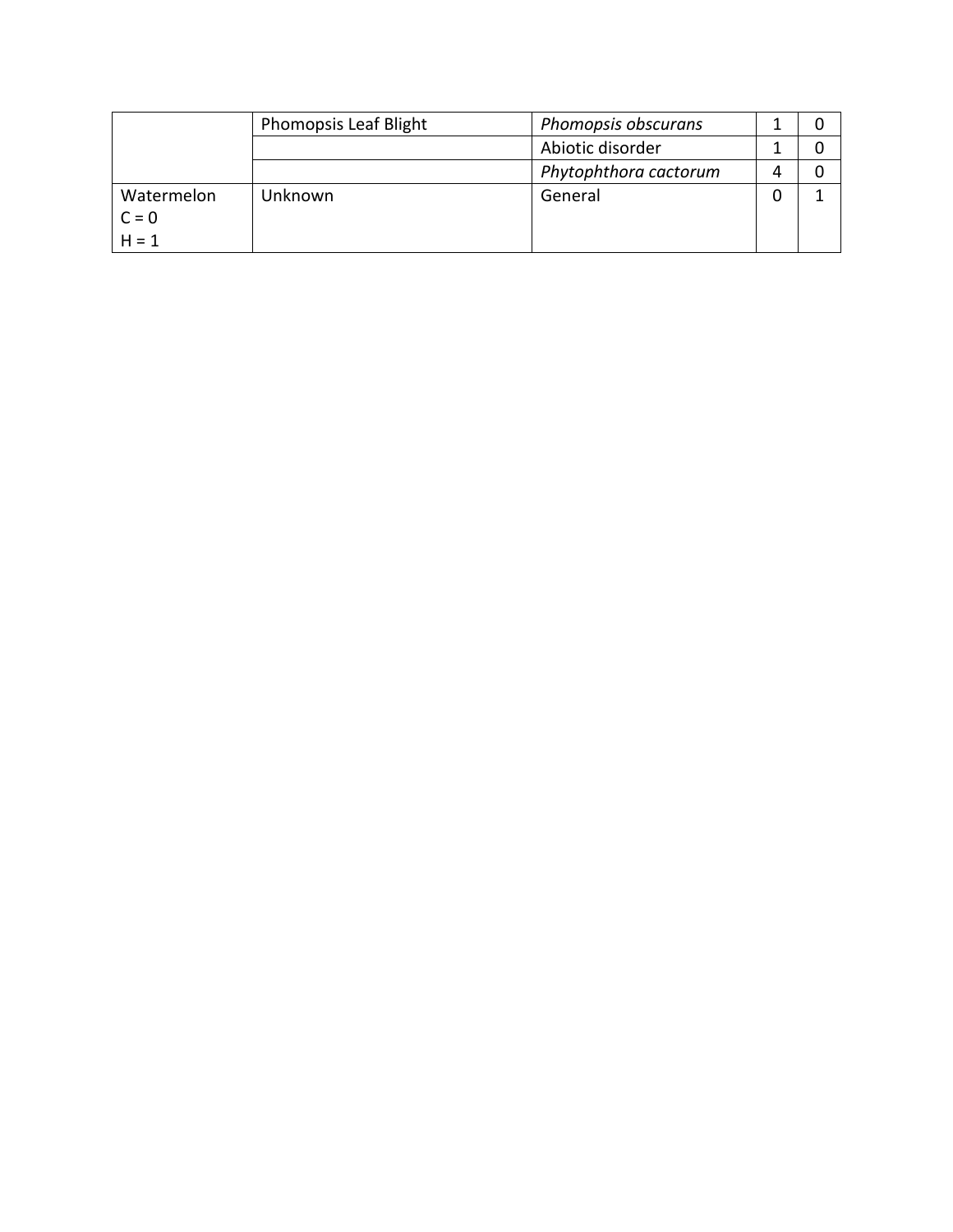|            | <b>Phomopsis Leaf Blight</b> | Phomopsis obscurans   |  |
|------------|------------------------------|-----------------------|--|
|            |                              | Abiotic disorder      |  |
|            |                              | Phytophthora cactorum |  |
| Watermelon | Unknown                      | General               |  |
| $C = 0$    |                              |                       |  |
| $H = 1$    |                              |                       |  |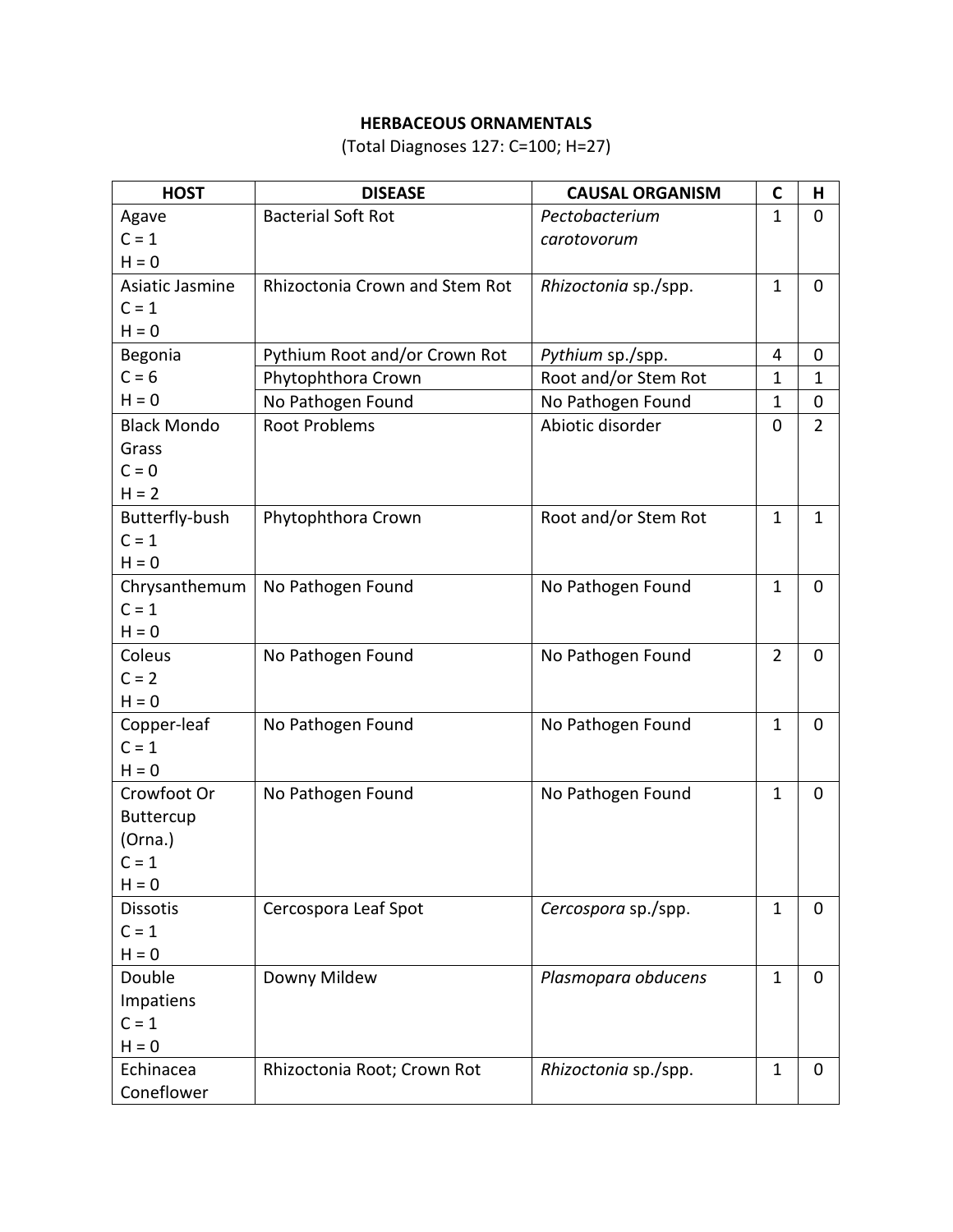# **HERBACEOUS ORNAMENTALS**

(Total Diagnoses 127: C=100; H=27)

| <b>HOST</b>        | <b>DISEASE</b>                 | <b>CAUSAL ORGANISM</b> | C              | н              |
|--------------------|--------------------------------|------------------------|----------------|----------------|
| Agave              | <b>Bacterial Soft Rot</b>      | Pectobacterium         | $\mathbf{1}$   | $\mathbf 0$    |
| $C = 1$            |                                | carotovorum            |                |                |
| $H = 0$            |                                |                        |                |                |
| Asiatic Jasmine    | Rhizoctonia Crown and Stem Rot | Rhizoctonia sp./spp.   | $\mathbf{1}$   | $\mathbf 0$    |
| $C = 1$            |                                |                        |                |                |
| $H = 0$            |                                |                        |                |                |
| Begonia            | Pythium Root and/or Crown Rot  | Pythium sp./spp.       | 4              | $\mathbf 0$    |
| $C = 6$            | Phytophthora Crown             | Root and/or Stem Rot   | $\mathbf{1}$   | 1              |
| $H = 0$            | No Pathogen Found              | No Pathogen Found      | $\mathbf{1}$   | $\mathbf 0$    |
| <b>Black Mondo</b> | <b>Root Problems</b>           | Abiotic disorder       | 0              | $\overline{2}$ |
| Grass              |                                |                        |                |                |
| $C = 0$            |                                |                        |                |                |
| $H = 2$            |                                |                        |                |                |
| Butterfly-bush     | Phytophthora Crown             | Root and/or Stem Rot   | $\mathbf{1}$   | $\mathbf{1}$   |
| $C = 1$            |                                |                        |                |                |
| $H = 0$            |                                |                        |                |                |
| Chrysanthemum      | No Pathogen Found              | No Pathogen Found      | $\mathbf{1}$   | $\mathbf 0$    |
| $C = 1$            |                                |                        |                |                |
| $H = 0$            |                                |                        |                |                |
| Coleus             | No Pathogen Found              | No Pathogen Found      | $\overline{2}$ | $\mathbf 0$    |
| $C = 2$            |                                |                        |                |                |
| $H = 0$            |                                |                        |                |                |
| Copper-leaf        | No Pathogen Found              | No Pathogen Found      | $\mathbf{1}$   | $\mathbf 0$    |
| $C = 1$            |                                |                        |                |                |
| $H = 0$            |                                |                        |                |                |
| Crowfoot Or        | No Pathogen Found              | No Pathogen Found      | $\mathbf{1}$   | $\mathbf 0$    |
| Buttercup          |                                |                        |                |                |
| (Orna.)            |                                |                        |                |                |
| $C = 1$            |                                |                        |                |                |
| $H = 0$            |                                |                        |                |                |
| <b>Dissotis</b>    | Cercospora Leaf Spot           | Cercospora sp./spp.    | $\mathbf{1}$   | $\mathbf 0$    |
| $C = 1$            |                                |                        |                |                |
| $H = 0$            |                                |                        |                |                |
| Double             | Downy Mildew                   | Plasmopara obducens    | $\mathbf{1}$   | $\mathbf 0$    |
| Impatiens          |                                |                        |                |                |
| $C = 1$            |                                |                        |                |                |
| $H = 0$            |                                |                        |                |                |
| Echinacea          | Rhizoctonia Root; Crown Rot    | Rhizoctonia sp./spp.   | $\mathbf{1}$   | $\mathbf 0$    |
| Coneflower         |                                |                        |                |                |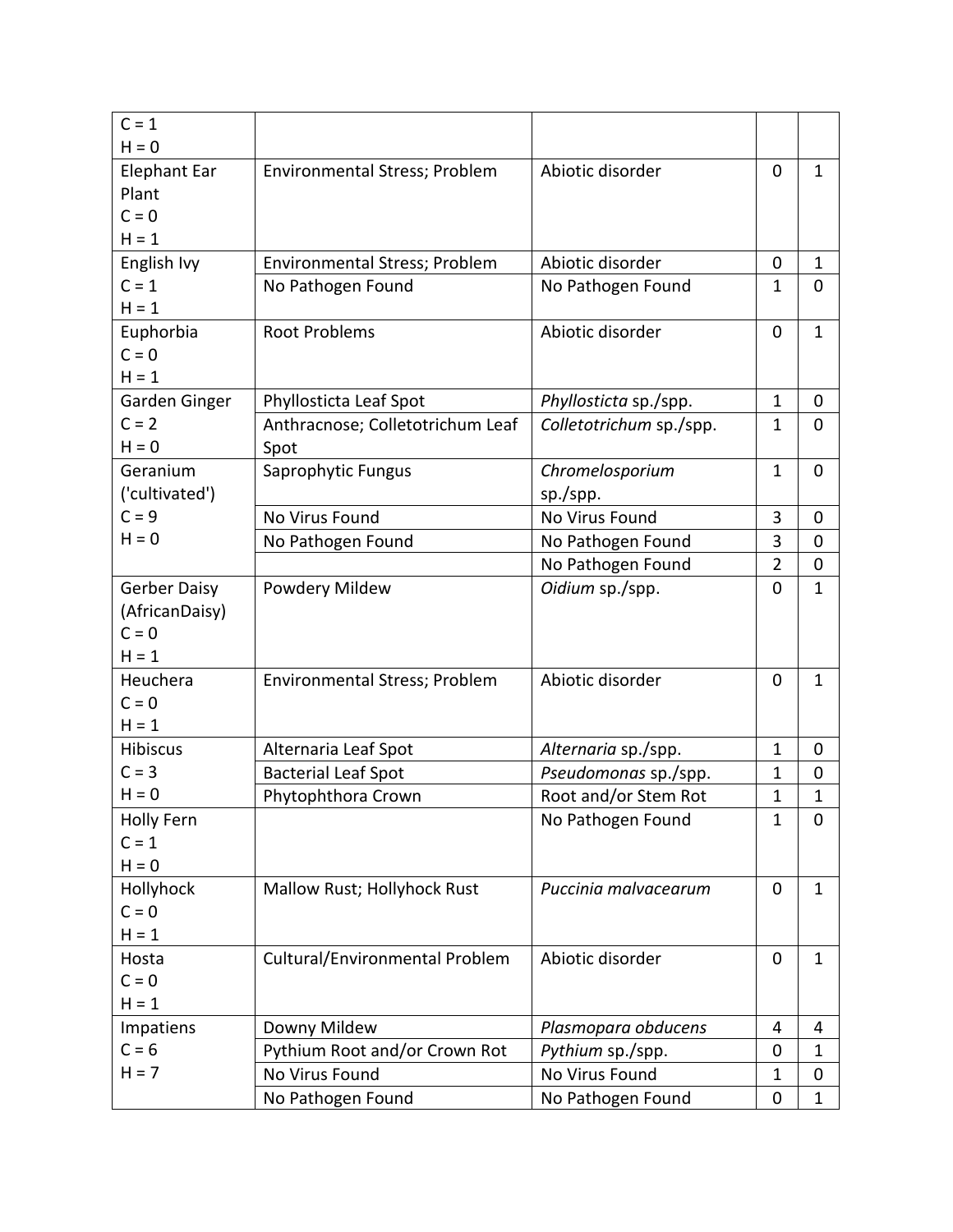| $C = 1$             |                                  |                         |                |              |
|---------------------|----------------------------------|-------------------------|----------------|--------------|
| $H = 0$             |                                  |                         |                |              |
| <b>Elephant Ear</b> | Environmental Stress; Problem    | Abiotic disorder        | $\mathbf 0$    | $\mathbf{1}$ |
| Plant               |                                  |                         |                |              |
| $C = 0$             |                                  |                         |                |              |
| $H = 1$             |                                  |                         |                |              |
| English Ivy         | Environmental Stress; Problem    | Abiotic disorder        | $\mathbf 0$    | $\mathbf{1}$ |
| $C = 1$             | No Pathogen Found                | No Pathogen Found       | $\mathbf{1}$   | $\mathbf 0$  |
| $H = 1$             |                                  |                         |                |              |
| Euphorbia           | <b>Root Problems</b>             | Abiotic disorder        | $\mathbf 0$    | $\mathbf{1}$ |
| $C = 0$             |                                  |                         |                |              |
| $H = 1$             |                                  |                         |                |              |
| Garden Ginger       | Phyllosticta Leaf Spot           | Phyllosticta sp./spp.   | $\mathbf{1}$   | $\mathbf 0$  |
| $C = 2$             | Anthracnose; Colletotrichum Leaf | Colletotrichum sp./spp. | $\mathbf{1}$   | $\mathbf 0$  |
| $H = 0$             | Spot                             |                         |                |              |
| Geranium            | Saprophytic Fungus               | Chromelosporium         | $\mathbf{1}$   | $\mathbf{0}$ |
| ('cultivated')      |                                  | sp./spp.                |                |              |
| $C = 9$             | No Virus Found                   | No Virus Found          | 3              | $\mathbf 0$  |
| $H = 0$             | No Pathogen Found                | No Pathogen Found       | $\overline{3}$ | $\mathbf 0$  |
|                     |                                  | No Pathogen Found       | $\overline{2}$ | $\mathbf 0$  |
| <b>Gerber Daisy</b> | Powdery Mildew                   | Oidium sp./spp.         | $\overline{0}$ | $\mathbf{1}$ |
| (AfricanDaisy)      |                                  |                         |                |              |
| $C = 0$             |                                  |                         |                |              |
| $H = 1$             |                                  |                         |                |              |
| Heuchera            | Environmental Stress; Problem    | Abiotic disorder        | $\mathbf 0$    | $\mathbf{1}$ |
| $C = 0$             |                                  |                         |                |              |
| $H = 1$             |                                  |                         |                |              |
| Hibiscus            | Alternaria Leaf Spot             | Alternaria sp./spp.     | $\mathbf{1}$   | $\mathbf 0$  |
| $C = 3$             | <b>Bacterial Leaf Spot</b>       | Pseudomonas sp./spp.    | $\mathbf{1}$   | $\mathbf 0$  |
| $H = 0$             | Phytophthora Crown               | Root and/or Stem Rot    | $\mathbf{1}$   | $\mathbf{1}$ |
| <b>Holly Fern</b>   |                                  | No Pathogen Found       | $\mathbf{1}$   | $\mathbf 0$  |
| $C = 1$             |                                  |                         |                |              |
| $H = 0$             |                                  |                         |                |              |
| Hollyhock           | Mallow Rust; Hollyhock Rust      | Puccinia malvacearum    | $\mathbf 0$    | $\mathbf{1}$ |
| $C = 0$             |                                  |                         |                |              |
| $H = 1$             |                                  |                         |                |              |
| Hosta               | Cultural/Environmental Problem   | Abiotic disorder        | $\mathbf 0$    | $\mathbf{1}$ |
| $C = 0$             |                                  |                         |                |              |
| $H = 1$             |                                  |                         |                |              |
| Impatiens           | Downy Mildew                     | Plasmopara obducens     | 4              | 4            |
| $C = 6$             | Pythium Root and/or Crown Rot    | Pythium sp./spp.        | $\mathbf 0$    | $\mathbf{1}$ |
| $H = 7$             | No Virus Found                   | No Virus Found          | $\mathbf 1$    | 0            |
|                     | No Pathogen Found                | No Pathogen Found       | 0              | $\mathbf{1}$ |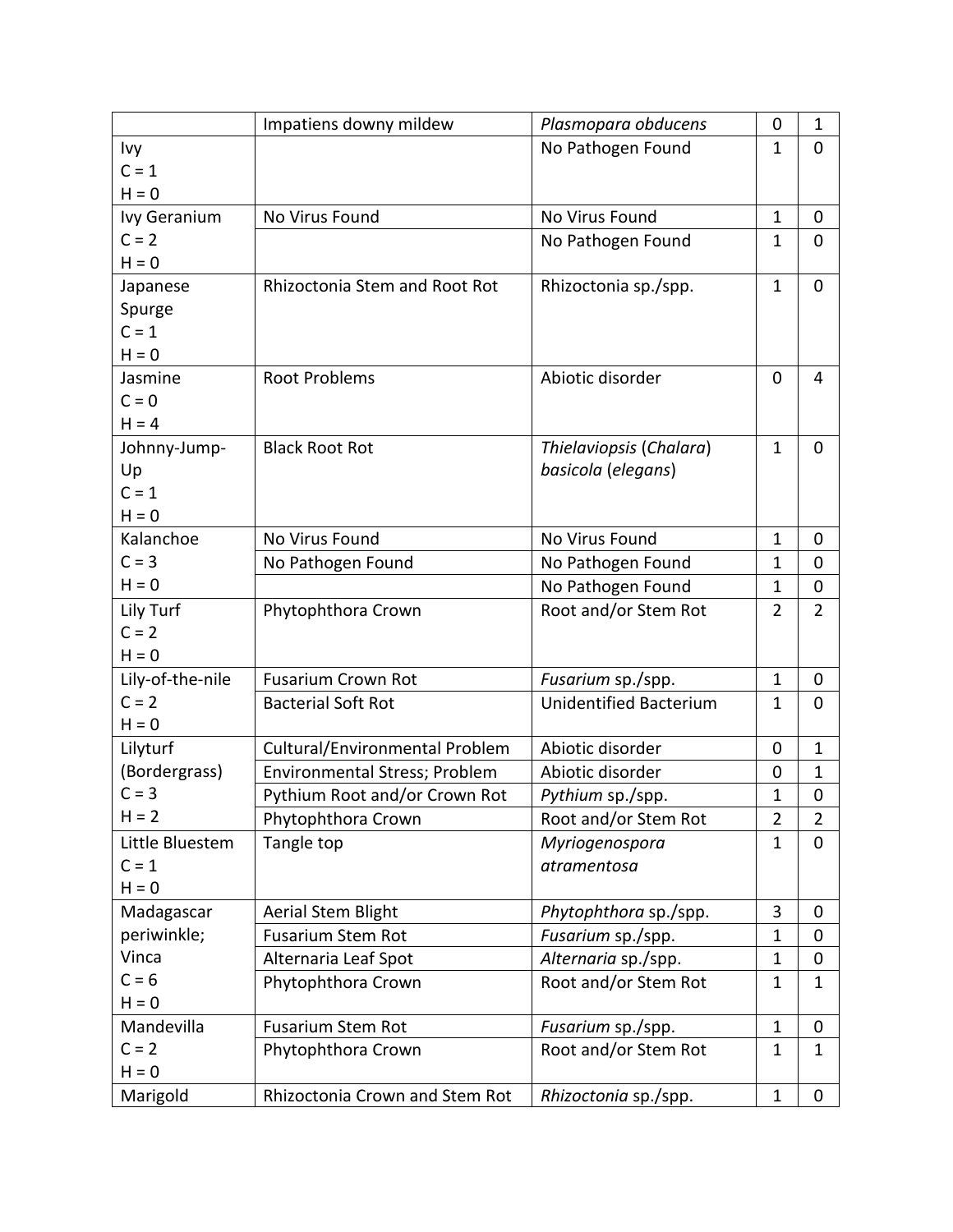|                  | Impatiens downy mildew               | Plasmopara obducens           | $\mathbf 0$    | $\mathbf{1}$     |
|------------------|--------------------------------------|-------------------------------|----------------|------------------|
| Ivy              |                                      | No Pathogen Found             | $\mathbf{1}$   | $\mathbf{0}$     |
| $C = 1$          |                                      |                               |                |                  |
| $H = 0$          |                                      |                               |                |                  |
| Ivy Geranium     | No Virus Found                       | No Virus Found                | $\mathbf{1}$   | $\mathbf 0$      |
| $C = 2$          |                                      | No Pathogen Found             | $\mathbf{1}$   | $\mathbf 0$      |
| $H = 0$          |                                      |                               |                |                  |
| Japanese         | Rhizoctonia Stem and Root Rot        | Rhizoctonia sp./spp.          | $\mathbf{1}$   | $\mathbf 0$      |
| Spurge           |                                      |                               |                |                  |
| $C = 1$          |                                      |                               |                |                  |
| $H = 0$          |                                      |                               |                |                  |
| Jasmine          | <b>Root Problems</b>                 | Abiotic disorder              | $\mathbf 0$    | 4                |
| $C = 0$          |                                      |                               |                |                  |
| $H = 4$          |                                      |                               |                |                  |
| Johnny-Jump-     | <b>Black Root Rot</b>                | Thielaviopsis (Chalara)       | $\mathbf{1}$   | $\mathbf 0$      |
| Up               |                                      | basicola (elegans)            |                |                  |
| $C = 1$          |                                      |                               |                |                  |
| $H = 0$          |                                      |                               |                |                  |
| Kalanchoe        | No Virus Found                       | No Virus Found                | $\mathbf{1}$   | $\mathbf 0$      |
| $C = 3$          | No Pathogen Found                    | No Pathogen Found             | $\mathbf{1}$   | $\boldsymbol{0}$ |
| $H = 0$          |                                      | No Pathogen Found             | $\mathbf{1}$   | $\mathbf 0$      |
| Lily Turf        | Phytophthora Crown                   | Root and/or Stem Rot          | $\overline{2}$ | $\overline{2}$   |
| $C = 2$          |                                      |                               |                |                  |
| $H = 0$          |                                      |                               |                |                  |
| Lily-of-the-nile | <b>Fusarium Crown Rot</b>            | Fusarium sp./spp.             | $\mathbf{1}$   | $\mathbf 0$      |
| $C = 2$          | <b>Bacterial Soft Rot</b>            | <b>Unidentified Bacterium</b> | $\mathbf{1}$   | $\mathbf 0$      |
| $H = 0$          |                                      |                               |                |                  |
| Lilyturf         | Cultural/Environmental Problem       | Abiotic disorder              | 0              | 1                |
| (Bordergrass)    | <b>Environmental Stress; Problem</b> | Abiotic disorder              | $\mathbf 0$    | $\mathbf{1}$     |
| $C = 3$          | Pythium Root and/or Crown Rot        | Pythium sp./spp.              | 1              | $\mathbf 0$      |
| $H = 2$          | Phytophthora Crown                   | Root and/or Stem Rot          | $\overline{2}$ | $\overline{2}$   |
| Little Bluestem  | Tangle top                           | Myriogenospora                | $\mathbf{1}$   | $\mathbf 0$      |
| $C = 1$          |                                      | atramentosa                   |                |                  |
| $H = 0$          |                                      |                               |                |                  |
| Madagascar       | <b>Aerial Stem Blight</b>            | Phytophthora sp./spp.         | 3              | $\mathbf 0$      |
| periwinkle;      | <b>Fusarium Stem Rot</b>             | Fusarium sp./spp.             | $\mathbf{1}$   | 0                |
| Vinca            | Alternaria Leaf Spot                 | Alternaria sp./spp.           | $\mathbf{1}$   | $\mathbf 0$      |
| $C = 6$          | Phytophthora Crown                   | Root and/or Stem Rot          | $\mathbf{1}$   | $\mathbf{1}$     |
| $H = 0$          |                                      |                               |                |                  |
| Mandevilla       | <b>Fusarium Stem Rot</b>             | Fusarium sp./spp.             | $\mathbf{1}$   | $\boldsymbol{0}$ |
| $C = 2$          | Phytophthora Crown                   | Root and/or Stem Rot          | $\mathbf{1}$   | $\mathbf{1}$     |
| $H = 0$          |                                      |                               |                |                  |
| Marigold         | Rhizoctonia Crown and Stem Rot       | Rhizoctonia sp./spp.          | $\mathbf{1}$   | $\boldsymbol{0}$ |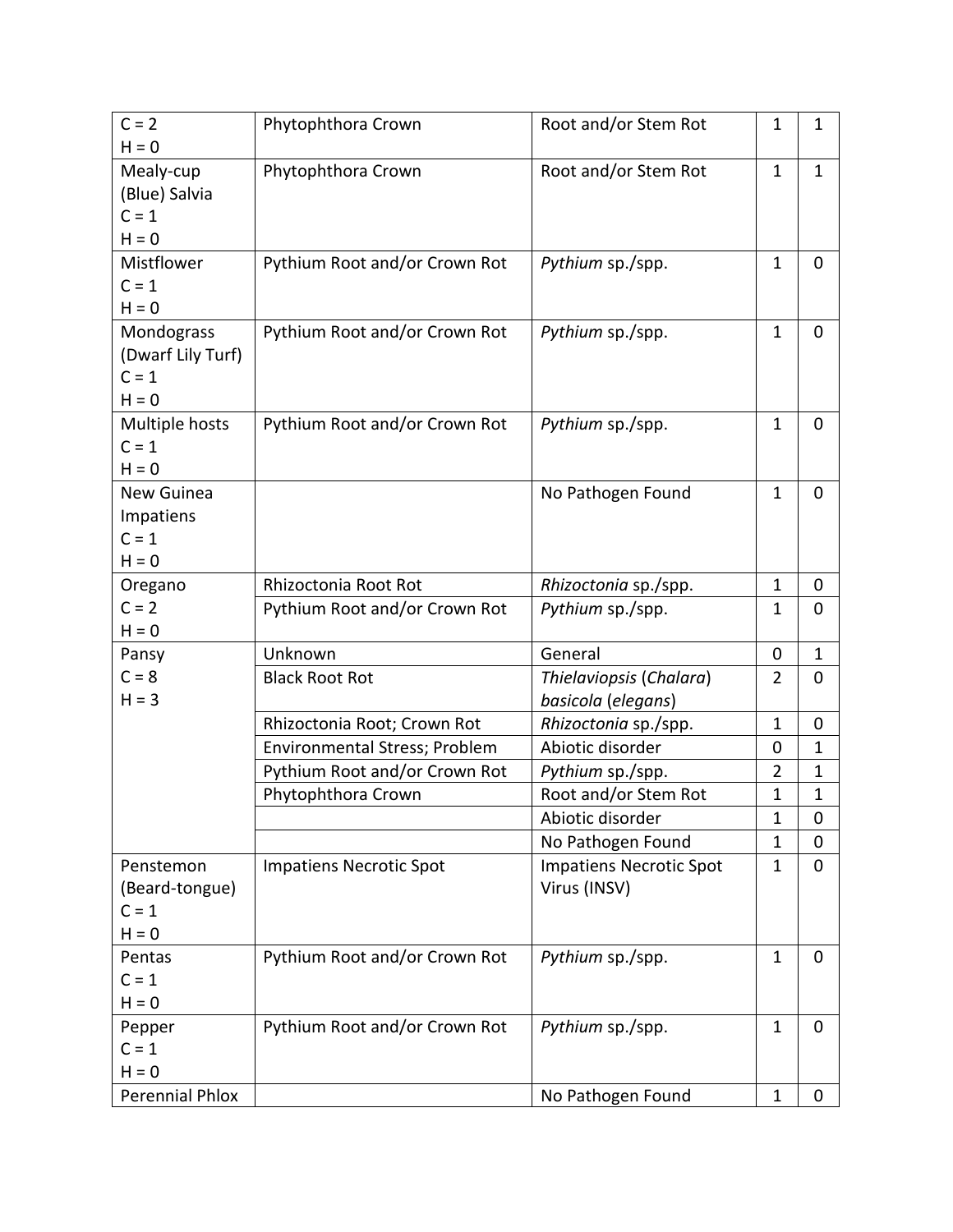| $C = 2$                | Phytophthora Crown             | Root and/or Stem Rot           | $\mathbf{1}$   | $\mathbf{1}$   |
|------------------------|--------------------------------|--------------------------------|----------------|----------------|
| $H = 0$                |                                |                                |                |                |
| Mealy-cup              | Phytophthora Crown             | Root and/or Stem Rot           | $\mathbf{1}$   | $\mathbf{1}$   |
| (Blue) Salvia          |                                |                                |                |                |
| $C = 1$                |                                |                                |                |                |
| $H = 0$                |                                |                                |                |                |
| Mistflower             | Pythium Root and/or Crown Rot  | Pythium sp./spp.               | $\mathbf{1}$   | $\mathbf 0$    |
| $C = 1$                |                                |                                |                |                |
| $H = 0$                |                                |                                |                |                |
| Mondograss             | Pythium Root and/or Crown Rot  | Pythium sp./spp.               | $\mathbf{1}$   | $\mathbf 0$    |
| (Dwarf Lily Turf)      |                                |                                |                |                |
| $C = 1$                |                                |                                |                |                |
| $H = 0$                |                                |                                |                |                |
| Multiple hosts         | Pythium Root and/or Crown Rot  | Pythium sp./spp.               | $\mathbf{1}$   | $\mathbf 0$    |
| $C = 1$                |                                |                                |                |                |
| $H = 0$                |                                |                                |                |                |
| New Guinea             |                                | No Pathogen Found              | $\mathbf{1}$   | $\mathbf 0$    |
| Impatiens              |                                |                                |                |                |
| $C = 1$                |                                |                                |                |                |
| $H = 0$                |                                |                                |                |                |
| Oregano                | Rhizoctonia Root Rot           | Rhizoctonia sp./spp.           | $\mathbf{1}$   | $\mathbf 0$    |
| $C = 2$                | Pythium Root and/or Crown Rot  | Pythium sp./spp.               | $\mathbf{1}$   | $\overline{0}$ |
| $H = 0$                |                                |                                |                |                |
| Pansy                  | Unknown                        | General                        | 0              | $\mathbf{1}$   |
| $C = 8$                | <b>Black Root Rot</b>          | Thielaviopsis (Chalara)        | $\overline{2}$ | $\mathbf 0$    |
| $H = 3$                |                                | basicola (elegans)             |                |                |
|                        | Rhizoctonia Root; Crown Rot    | Rhizoctonia sp./spp.           | $\mathbf{1}$   | $\mathbf 0$    |
|                        | Environmental Stress; Problem  | Abiotic disorder               | 0              | 1              |
|                        | Pythium Root and/or Crown Rot  | Pythium sp./spp.               | $\overline{2}$ | $\mathbf{1}$   |
|                        | Phytophthora Crown             | Root and/or Stem Rot           | $\mathbf{1}$   | $\mathbf 1$    |
|                        |                                | Abiotic disorder               | $\mathbf{1}$   | 0              |
|                        |                                | No Pathogen Found              | $\mathbf{1}$   | $\mathbf 0$    |
| Penstemon              | <b>Impatiens Necrotic Spot</b> | <b>Impatiens Necrotic Spot</b> | $\mathbf{1}$   | $\mathbf 0$    |
| (Beard-tongue)         |                                | Virus (INSV)                   |                |                |
| $C = 1$                |                                |                                |                |                |
| $H = 0$                |                                |                                |                |                |
| Pentas                 | Pythium Root and/or Crown Rot  | Pythium sp./spp.               | $\mathbf{1}$   | $\mathbf 0$    |
| $C = 1$                |                                |                                |                |                |
| $H = 0$                |                                |                                |                |                |
| Pepper                 | Pythium Root and/or Crown Rot  | Pythium sp./spp.               | $\mathbf{1}$   | $\mathbf 0$    |
| $C = 1$                |                                |                                |                |                |
| $H = 0$                |                                |                                |                |                |
| <b>Perennial Phlox</b> |                                | No Pathogen Found              | $\mathbf{1}$   | $\mathbf 0$    |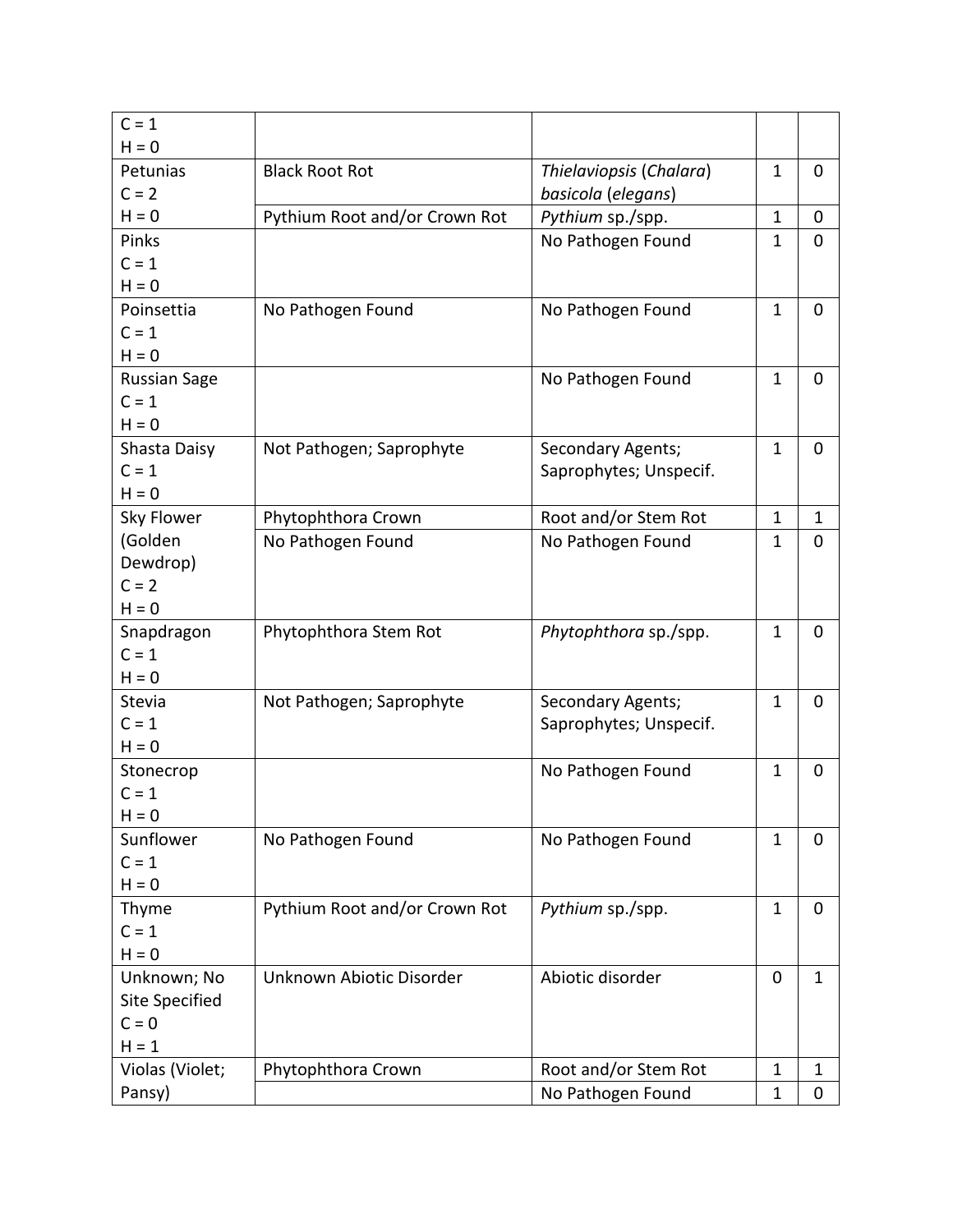| $C = 1$<br>$H = 0$  |                               |                         |              |              |
|---------------------|-------------------------------|-------------------------|--------------|--------------|
| Petunias            | <b>Black Root Rot</b>         | Thielaviopsis (Chalara) | $\mathbf{1}$ | $\mathbf 0$  |
| $C = 2$             |                               | basicola (elegans)      |              |              |
| $H = 0$             | Pythium Root and/or Crown Rot | Pythium sp./spp.        | $\mathbf{1}$ | $\mathbf 0$  |
| Pinks               |                               | No Pathogen Found       | $\mathbf{1}$ | $\mathbf 0$  |
| $C = 1$             |                               |                         |              |              |
| $H = 0$             |                               |                         |              |              |
| Poinsettia          | No Pathogen Found             | No Pathogen Found       | $\mathbf{1}$ | $\mathbf 0$  |
| $C = 1$             |                               |                         |              |              |
| $H = 0$             |                               |                         |              |              |
| <b>Russian Sage</b> |                               | No Pathogen Found       | $\mathbf{1}$ | $\mathbf 0$  |
| $C = 1$             |                               |                         |              |              |
| $H = 0$             |                               |                         |              |              |
| Shasta Daisy        | Not Pathogen; Saprophyte      | Secondary Agents;       | $\mathbf{1}$ | $\mathbf 0$  |
| $C = 1$             |                               | Saprophytes; Unspecif.  |              |              |
| $H = 0$             |                               |                         |              |              |
| Sky Flower          | Phytophthora Crown            | Root and/or Stem Rot    | 1            | 1            |
| (Golden             | No Pathogen Found             | No Pathogen Found       | $\mathbf{1}$ | $\mathbf 0$  |
| Dewdrop)            |                               |                         |              |              |
| $C = 2$             |                               |                         |              |              |
| $H = 0$             |                               |                         |              |              |
| Snapdragon          | Phytophthora Stem Rot         | Phytophthora sp./spp.   | $\mathbf{1}$ | $\mathbf{0}$ |
| $C = 1$             |                               |                         |              |              |
| $H = 0$             |                               |                         |              |              |
| Stevia<br>$C = 1$   | Not Pathogen; Saprophyte      | Secondary Agents;       | $\mathbf{1}$ | $\mathbf 0$  |
| $H = 0$             |                               | Saprophytes; Unspecif.  |              |              |
| Stonecrop           |                               | No Pathogen Found       | $\mathbf{1}$ | $\mathbf 0$  |
| $C = 1$             |                               |                         |              |              |
| $H = 0$             |                               |                         |              |              |
| Sunflower           | No Pathogen Found             | No Pathogen Found       | $\mathbf{1}$ | $\mathbf 0$  |
| $C = 1$             |                               |                         |              |              |
| $H = 0$             |                               |                         |              |              |
| Thyme               | Pythium Root and/or Crown Rot | Pythium sp./spp.        | $\mathbf{1}$ | $\mathbf 0$  |
| $C = 1$             |                               |                         |              |              |
| $H = 0$             |                               |                         |              |              |
| Unknown; No         | Unknown Abiotic Disorder      | Abiotic disorder        | $\mathbf 0$  | $\mathbf{1}$ |
| Site Specified      |                               |                         |              |              |
| $C = 0$             |                               |                         |              |              |
| $H = 1$             |                               |                         |              |              |
| Violas (Violet;     | Phytophthora Crown            | Root and/or Stem Rot    | $\mathbf{1}$ | $\mathbf{1}$ |
| Pansy)              |                               | No Pathogen Found       | $\mathbf 1$  | $\mathbf 0$  |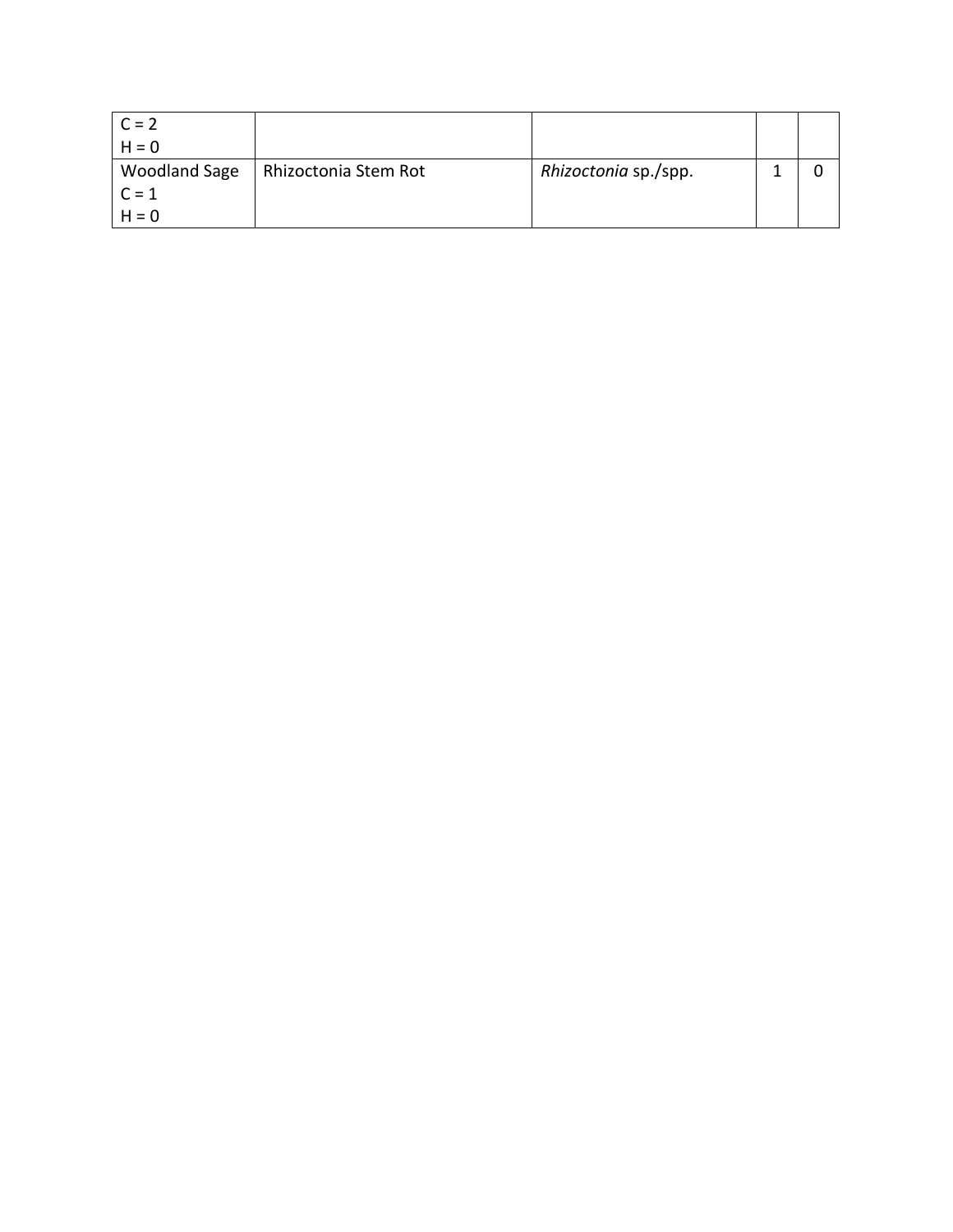| $C = 2$              |                      |                      |  |
|----------------------|----------------------|----------------------|--|
| $H = 0$              |                      |                      |  |
| <b>Woodland Sage</b> | Rhizoctonia Stem Rot | Rhizoctonia sp./spp. |  |
| $C = 1$              |                      |                      |  |
| $H = 0$              |                      |                      |  |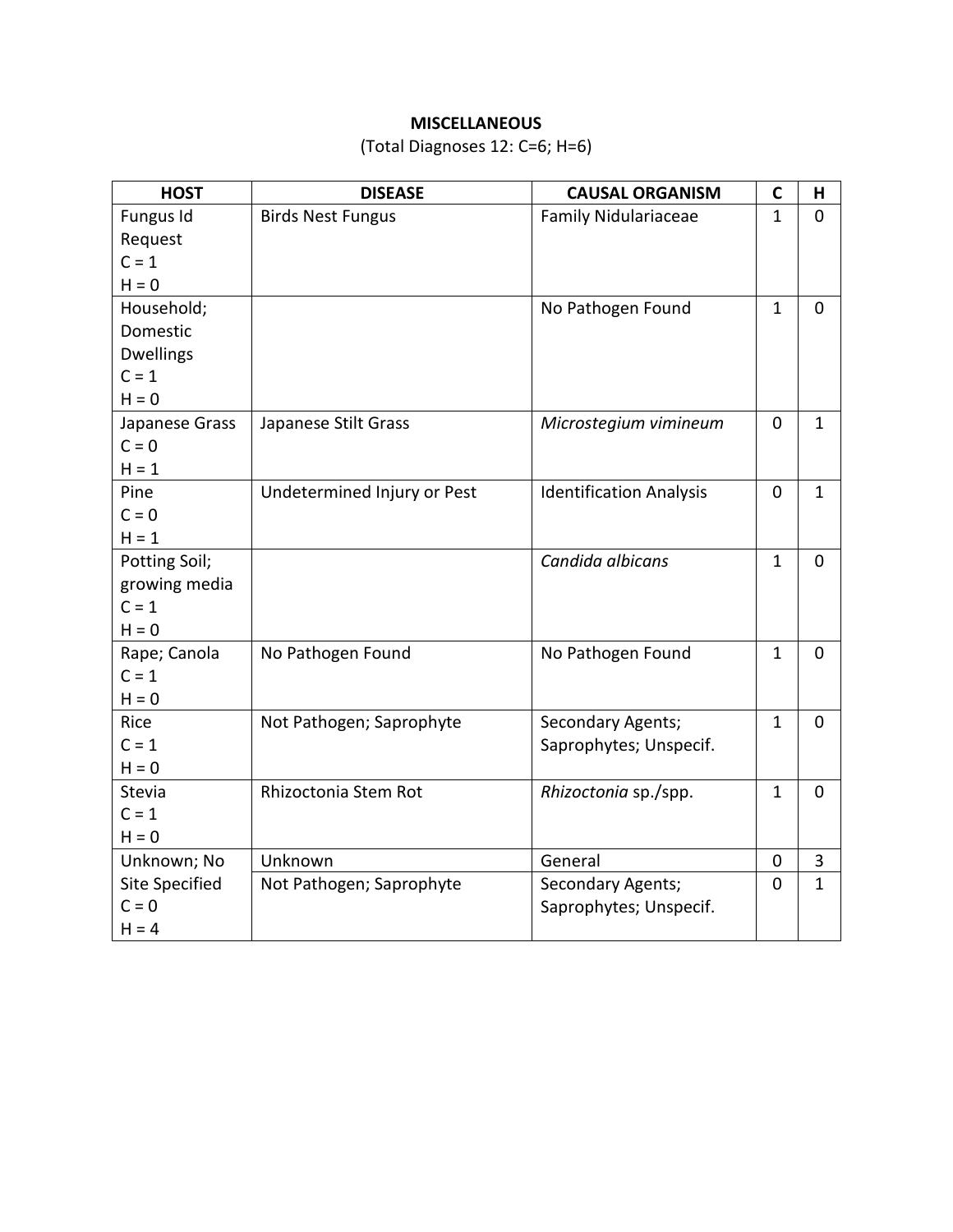## **MISCELLANEOUS**

(Total Diagnoses 12: C=6; H=6)

| <b>HOST</b>           | <b>DISEASE</b>              | <b>CAUSAL ORGANISM</b>         | C              | н              |
|-----------------------|-----------------------------|--------------------------------|----------------|----------------|
| Fungus Id             | <b>Birds Nest Fungus</b>    | <b>Family Nidulariaceae</b>    | $\mathbf{1}$   | $\mathbf 0$    |
| Request               |                             |                                |                |                |
| $C = 1$               |                             |                                |                |                |
| $H = 0$               |                             |                                |                |                |
| Household;            |                             | No Pathogen Found              | $\mathbf{1}$   | $\mathbf 0$    |
| Domestic              |                             |                                |                |                |
| <b>Dwellings</b>      |                             |                                |                |                |
| $C = 1$               |                             |                                |                |                |
| $H = 0$               |                             |                                |                |                |
| Japanese Grass        | Japanese Stilt Grass        | Microstegium vimineum          | $\mathbf 0$    | $\mathbf{1}$   |
| $C = 0$               |                             |                                |                |                |
| $H = 1$               |                             |                                |                |                |
| Pine                  | Undetermined Injury or Pest | <b>Identification Analysis</b> | $\overline{0}$ | $\mathbf{1}$   |
| $C = 0$               |                             |                                |                |                |
| $H = 1$               |                             |                                |                |                |
| Potting Soil;         |                             | Candida albicans               | $\mathbf{1}$   | $\mathbf 0$    |
| growing media         |                             |                                |                |                |
| $C = 1$               |                             |                                |                |                |
| $H = 0$               |                             |                                |                |                |
| Rape; Canola          | No Pathogen Found           | No Pathogen Found              | $\mathbf{1}$   | $\overline{0}$ |
| $C = 1$               |                             |                                |                |                |
| $H = 0$               |                             |                                |                |                |
| Rice                  | Not Pathogen; Saprophyte    | Secondary Agents;              | $\mathbf{1}$   | $\mathbf 0$    |
| $C = 1$               |                             | Saprophytes; Unspecif.         |                |                |
| $H = 0$               |                             |                                |                |                |
| Stevia                | Rhizoctonia Stem Rot        | Rhizoctonia sp./spp.           | $\mathbf{1}$   | $\mathbf 0$    |
| $C = 1$               |                             |                                |                |                |
| $H = 0$               |                             |                                |                |                |
| Unknown; No           | Unknown                     | General                        | 0              | $\mathbf{3}$   |
| <b>Site Specified</b> | Not Pathogen; Saprophyte    | Secondary Agents;              | $\mathbf 0$    | $\mathbf{1}$   |
| $C = 0$               |                             | Saprophytes; Unspecif.         |                |                |
| $H = 4$               |                             |                                |                |                |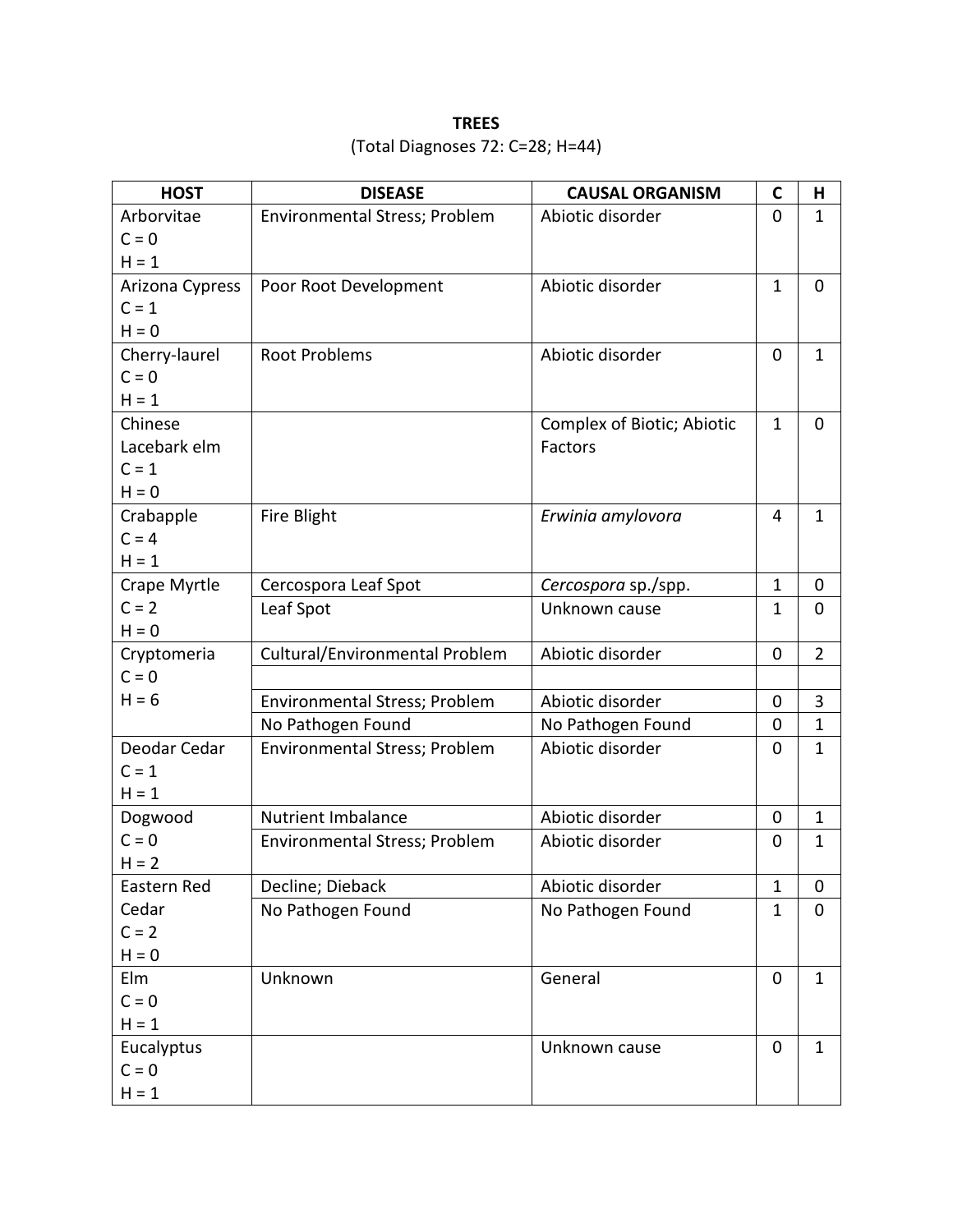**TREES** (Total Diagnoses 72: C=28; H=44)

| <b>HOST</b>     | <b>DISEASE</b>                 | <b>CAUSAL ORGANISM</b>     | $\mathbf C$    | н                |
|-----------------|--------------------------------|----------------------------|----------------|------------------|
| Arborvitae      | Environmental Stress; Problem  | Abiotic disorder           | $\overline{0}$ | $\mathbf{1}$     |
| $C = 0$         |                                |                            |                |                  |
| $H = 1$         |                                |                            |                |                  |
| Arizona Cypress | Poor Root Development          | Abiotic disorder           | $\mathbf{1}$   | $\mathbf 0$      |
| $C = 1$         |                                |                            |                |                  |
| $H = 0$         |                                |                            |                |                  |
| Cherry-laurel   | <b>Root Problems</b>           | Abiotic disorder           | $\mathbf 0$    | $\mathbf{1}$     |
| $C = 0$         |                                |                            |                |                  |
| $H = 1$         |                                |                            |                |                  |
| Chinese         |                                | Complex of Biotic; Abiotic | $\mathbf{1}$   | $\mathbf 0$      |
| Lacebark elm    |                                | Factors                    |                |                  |
| $C = 1$         |                                |                            |                |                  |
| $H = 0$         |                                |                            |                |                  |
| Crabapple       | Fire Blight                    | Erwinia amylovora          | 4              | $\mathbf{1}$     |
| $C = 4$         |                                |                            |                |                  |
| $H = 1$         |                                |                            |                |                  |
| Crape Myrtle    | Cercospora Leaf Spot           | Cercospora sp./spp.        | $\mathbf{1}$   | 0                |
| $C = 2$         | Leaf Spot                      | Unknown cause              | $\mathbf{1}$   | $\mathbf 0$      |
| $H = 0$         |                                |                            |                |                  |
| Cryptomeria     | Cultural/Environmental Problem | Abiotic disorder           | $\mathbf 0$    | $\overline{2}$   |
| $C = 0$         |                                |                            |                |                  |
| $H = 6$         | Environmental Stress; Problem  | Abiotic disorder           | $\mathbf 0$    | 3                |
|                 | No Pathogen Found              | No Pathogen Found          | 0              | $\mathbf 1$      |
| Deodar Cedar    | Environmental Stress; Problem  | Abiotic disorder           | $\mathbf 0$    | $\mathbf{1}$     |
| $C = 1$         |                                |                            |                |                  |
| $H = 1$         |                                |                            |                |                  |
| Dogwood         | <b>Nutrient Imbalance</b>      | Abiotic disorder           | $\mathbf 0$    | $\mathbf{1}$     |
| $C = 0$         | Environmental Stress; Problem  | Abiotic disorder           | $\overline{0}$ | $\mathbf{1}$     |
| $H = 2$         |                                |                            |                |                  |
| Eastern Red     | Decline; Dieback               | Abiotic disorder           | $\mathbf{1}$   | $\boldsymbol{0}$ |
| Cedar           | No Pathogen Found              | No Pathogen Found          | $\mathbf{1}$   | $\mathbf 0$      |
| $C = 2$         |                                |                            |                |                  |
| $H = 0$         |                                |                            |                |                  |
| Elm             | Unknown                        | General                    | $\mathbf 0$    | $\mathbf{1}$     |
| $C = 0$         |                                |                            |                |                  |
| $H = 1$         |                                |                            |                |                  |
| Eucalyptus      |                                | Unknown cause              | $\overline{0}$ | $\mathbf{1}$     |
| $C = 0$         |                                |                            |                |                  |
| $H = 1$         |                                |                            |                |                  |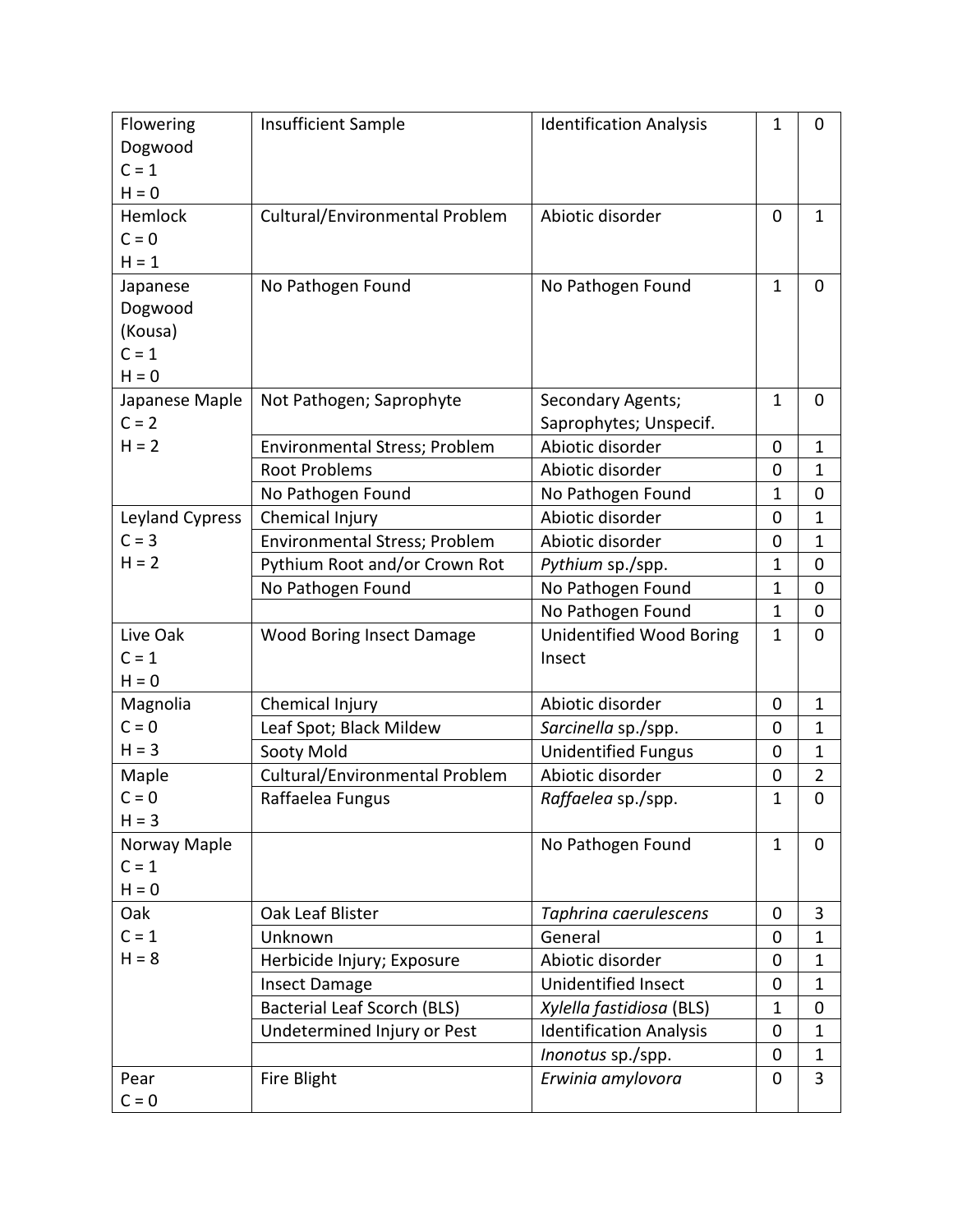| Flowering       | <b>Insufficient Sample</b>         | <b>Identification Analysis</b> | 1              | $\mathbf 0$    |
|-----------------|------------------------------------|--------------------------------|----------------|----------------|
| Dogwood         |                                    |                                |                |                |
| $C = 1$         |                                    |                                |                |                |
| $H = 0$         |                                    |                                |                |                |
| Hemlock         | Cultural/Environmental Problem     | Abiotic disorder               | 0              | $\mathbf{1}$   |
| $C = 0$         |                                    |                                |                |                |
| $H = 1$         |                                    |                                |                |                |
| Japanese        | No Pathogen Found                  | No Pathogen Found              | $\mathbf{1}$   | $\mathbf 0$    |
| Dogwood         |                                    |                                |                |                |
| (Kousa)         |                                    |                                |                |                |
| $C = 1$         |                                    |                                |                |                |
| $H = 0$         |                                    |                                |                |                |
| Japanese Maple  | Not Pathogen; Saprophyte           | Secondary Agents;              | $\mathbf{1}$   | $\overline{0}$ |
| $C = 2$         |                                    | Saprophytes; Unspecif.         |                |                |
| $H = 2$         | Environmental Stress; Problem      | Abiotic disorder               | $\mathbf 0$    | $\mathbf{1}$   |
|                 | <b>Root Problems</b>               | Abiotic disorder               | $\mathbf 0$    | $\mathbf{1}$   |
|                 | No Pathogen Found                  | No Pathogen Found              | $\overline{1}$ | $\mathbf 0$    |
| Leyland Cypress | Chemical Injury                    | Abiotic disorder               | $\mathbf 0$    | $\mathbf{1}$   |
| $C = 3$         | Environmental Stress; Problem      | Abiotic disorder               | $\mathbf 0$    | $\mathbf{1}$   |
| $H = 2$         | Pythium Root and/or Crown Rot      | Pythium sp./spp.               | 1              | $\mathbf 0$    |
|                 | No Pathogen Found                  | No Pathogen Found              | 1              | $\mathbf 0$    |
|                 |                                    | No Pathogen Found              | 1              | $\mathbf 0$    |
| Live Oak        | Wood Boring Insect Damage          | Unidentified Wood Boring       | $\mathbf{1}$   | $\mathbf 0$    |
| $C = 1$         |                                    | Insect                         |                |                |
| $H = 0$         |                                    |                                |                |                |
| Magnolia        | Chemical Injury                    | Abiotic disorder               | $\mathbf 0$    | 1              |
| $C = 0$         | Leaf Spot; Black Mildew            | Sarcinella sp./spp.            | $\mathbf 0$    | $\mathbf{1}$   |
| $H = 3$         | Sooty Mold                         | <b>Unidentified Fungus</b>     | $\mathbf 0$    | $\mathbf{1}$   |
| Maple           | Cultural/Environmental Problem     | Abiotic disorder               | 0              | $\overline{2}$ |
| $C = 0$         | Raffaelea Fungus                   | Raffaelea sp./spp.             | $\mathbf{1}$   | $\mathbf 0$    |
| $H = 3$         |                                    |                                |                |                |
| Norway Maple    |                                    | No Pathogen Found              | $\mathbf{1}$   | $\mathbf 0$    |
| $C = 1$         |                                    |                                |                |                |
| $H = 0$         |                                    |                                |                |                |
| Oak             | Oak Leaf Blister                   | Taphrina caerulescens          | $\mathbf 0$    | 3              |
| $C = 1$         | Unknown                            | General                        | $\mathbf 0$    | $\mathbf{1}$   |
| $H = 8$         | Herbicide Injury; Exposure         | Abiotic disorder               | $\mathbf 0$    | $\mathbf{1}$   |
|                 | <b>Insect Damage</b>               | <b>Unidentified Insect</b>     | 0              | $\mathbf{1}$   |
|                 | <b>Bacterial Leaf Scorch (BLS)</b> | Xylella fastidiosa (BLS)       | $\mathbf{1}$   | $\mathbf 0$    |
|                 | Undetermined Injury or Pest        | <b>Identification Analysis</b> | $\mathbf 0$    | 1              |
|                 |                                    | Inonotus sp./spp.              | $\mathbf 0$    | $\mathbf{1}$   |
| Pear            | Fire Blight                        | Erwinia amylovora              | 0              | 3              |
| $C = 0$         |                                    |                                |                |                |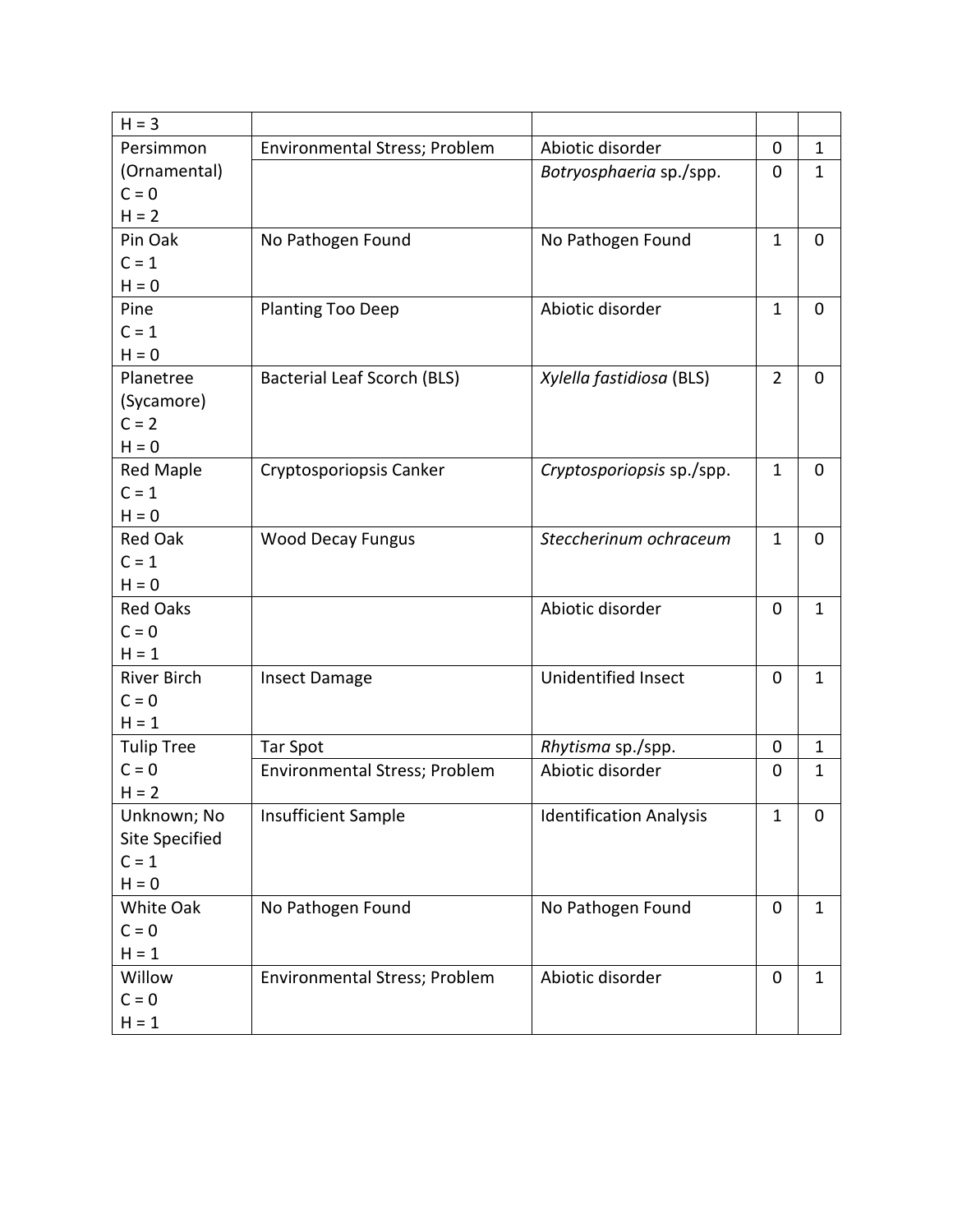| $H = 3$               |                                    |                                |                |                  |
|-----------------------|------------------------------------|--------------------------------|----------------|------------------|
| Persimmon             | Environmental Stress; Problem      | Abiotic disorder               | 0              | 1                |
| (Ornamental)          |                                    | Botryosphaeria sp./spp.        | 0              | $\mathbf{1}$     |
| $C = 0$               |                                    |                                |                |                  |
| $H = 2$               |                                    |                                |                |                  |
| Pin Oak<br>$C = 1$    | No Pathogen Found                  | No Pathogen Found              | $\mathbf{1}$   | $\mathbf 0$      |
|                       |                                    |                                |                |                  |
| $H = 0$               |                                    | Abiotic disorder               |                |                  |
| Pine<br>$C = 1$       | Planting Too Deep                  |                                | $\mathbf{1}$   | $\mathbf 0$      |
| $H = 0$               |                                    |                                |                |                  |
|                       |                                    |                                |                |                  |
| Planetree             | <b>Bacterial Leaf Scorch (BLS)</b> | Xylella fastidiosa (BLS)       | $\overline{2}$ | $\overline{0}$   |
| (Sycamore)<br>$C = 2$ |                                    |                                |                |                  |
| $H = 0$               |                                    |                                |                |                  |
|                       |                                    |                                | $\mathbf{1}$   | 0                |
| Red Maple<br>$C = 1$  | Cryptosporiopsis Canker            | Cryptosporiopsis sp./spp.      |                |                  |
| $H = 0$               |                                    |                                |                |                  |
| <b>Red Oak</b>        |                                    | Steccherinum ochraceum         | $\mathbf{1}$   | $\mathbf 0$      |
| $C = 1$               | <b>Wood Decay Fungus</b>           |                                |                |                  |
| $H = 0$               |                                    |                                |                |                  |
| <b>Red Oaks</b>       |                                    | Abiotic disorder               | 0              | $\mathbf{1}$     |
| $C = 0$               |                                    |                                |                |                  |
| $H = 1$               |                                    |                                |                |                  |
| <b>River Birch</b>    | <b>Insect Damage</b>               | <b>Unidentified Insect</b>     | 0              | $\mathbf{1}$     |
| $C = 0$               |                                    |                                |                |                  |
| $H = 1$               |                                    |                                |                |                  |
| <b>Tulip Tree</b>     | Tar Spot                           | Rhytisma sp./spp.              | 0              | 1                |
| $C = 0$               | Environmental Stress; Problem      | Abiotic disorder               | $\overline{0}$ | $\mathbf{1}$     |
| $H = 2$               |                                    |                                |                |                  |
| Unknown; No           | <b>Insufficient Sample</b>         | <b>Identification Analysis</b> | $\mathbf{1}$   | $\boldsymbol{0}$ |
| Site Specified        |                                    |                                |                |                  |
| $C = 1$               |                                    |                                |                |                  |
| $H = 0$               |                                    |                                |                |                  |
| White Oak             | No Pathogen Found                  | No Pathogen Found              | $\mathbf 0$    | $\mathbf{1}$     |
| $C = 0$               |                                    |                                |                |                  |
| $H = 1$               |                                    |                                |                |                  |
| Willow                | Environmental Stress; Problem      | Abiotic disorder               | $\mathbf 0$    | $\mathbf{1}$     |
| $C = 0$               |                                    |                                |                |                  |
| $H = 1$               |                                    |                                |                |                  |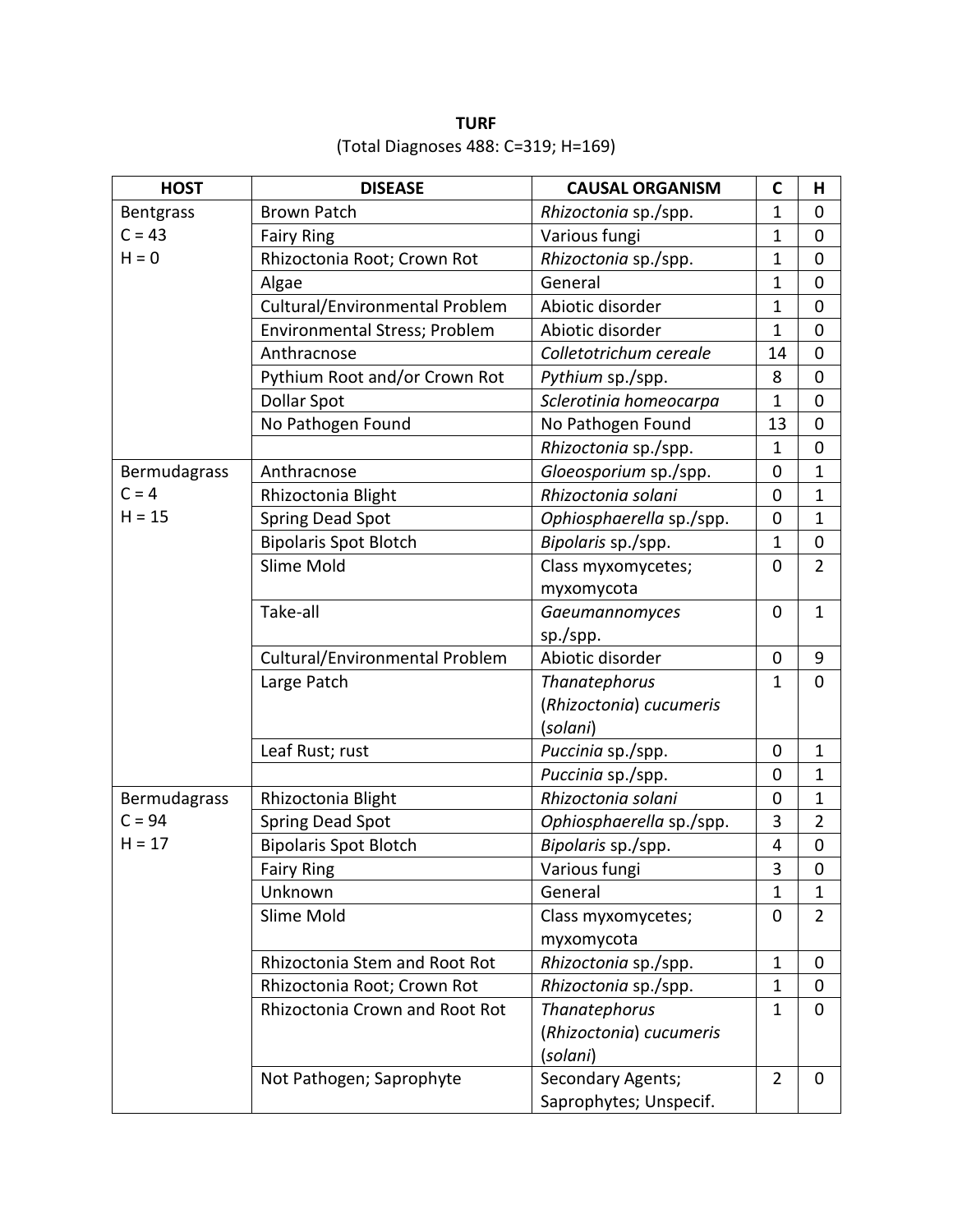**TURF** (Total Diagnoses 488: C=319; H=169)

| <b>HOST</b>  | <b>DISEASE</b>                 | <b>CAUSAL ORGANISM</b>   | C              | н              |
|--------------|--------------------------------|--------------------------|----------------|----------------|
| Bentgrass    | <b>Brown Patch</b>             | Rhizoctonia sp./spp.     | 1              | $\mathbf 0$    |
| $C = 43$     | <b>Fairy Ring</b>              | Various fungi            | $\mathbf{1}$   | $\mathbf 0$    |
| $H = 0$      | Rhizoctonia Root; Crown Rot    | Rhizoctonia sp./spp.     | $\mathbf{1}$   | $\mathbf 0$    |
|              | Algae                          | General                  | 1              | $\mathbf 0$    |
|              | Cultural/Environmental Problem | Abiotic disorder         | 1              | $\mathbf 0$    |
|              | Environmental Stress; Problem  | Abiotic disorder         | 1              | $\mathbf 0$    |
|              | Anthracnose                    | Colletotrichum cereale   | 14             | $\mathbf 0$    |
|              | Pythium Root and/or Crown Rot  | Pythium sp./spp.         | 8              | $\mathbf 0$    |
|              | <b>Dollar Spot</b>             | Sclerotinia homeocarpa   | 1              | $\mathbf 0$    |
|              | No Pathogen Found              | No Pathogen Found        | 13             | $\mathbf 0$    |
|              |                                | Rhizoctonia sp./spp.     | 1              | $\mathbf 0$    |
| Bermudagrass | Anthracnose                    | Gloeosporium sp./spp.    | $\pmb{0}$      | $\mathbf 1$    |
| $C = 4$      | Rhizoctonia Blight             | Rhizoctonia solani       | $\mathbf 0$    | $\mathbf{1}$   |
| $H = 15$     | <b>Spring Dead Spot</b>        | Ophiosphaerella sp./spp. | $\mathbf 0$    | $\mathbf{1}$   |
|              | <b>Bipolaris Spot Blotch</b>   | Bipolaris sp./spp.       | 1              | $\mathbf 0$    |
|              | Slime Mold                     | Class myxomycetes;       | $\mathbf 0$    | $\overline{2}$ |
|              |                                | myxomycota               |                |                |
|              | Take-all                       | Gaeumannomyces           | $\mathbf 0$    | $\mathbf{1}$   |
|              |                                | sp./spp.                 |                |                |
|              | Cultural/Environmental Problem | Abiotic disorder         | $\pmb{0}$      | 9              |
|              | Large Patch                    | Thanatephorus            | $\mathbf{1}$   | $\overline{0}$ |
|              |                                | (Rhizoctonia) cucumeris  |                |                |
|              |                                | (solani)                 |                |                |
|              | Leaf Rust; rust                | Puccinia sp./spp.        | 0              | $\mathbf{1}$   |
|              |                                | Puccinia sp./spp.        | $\mathbf 0$    | $\mathbf{1}$   |
| Bermudagrass | Rhizoctonia Blight             | Rhizoctonia solani       | $\mathbf 0$    | $\mathbf 1$    |
| $C = 94$     | <b>Spring Dead Spot</b>        | Ophiosphaerella sp./spp. | 3              | $\overline{2}$ |
| $H = 17$     | <b>Bipolaris Spot Blotch</b>   | Bipolaris sp./spp.       | 4              | $\mathbf 0$    |
|              | <b>Fairy Ring</b>              | Various fungi            | 3              | $\mathbf 0$    |
|              | Unknown                        | General                  | $\mathbf{1}$   | $\mathbf{1}$   |
|              | Slime Mold                     | Class myxomycetes;       | $\mathbf 0$    | $\overline{2}$ |
|              |                                | myxomycota               |                |                |
|              | Rhizoctonia Stem and Root Rot  | Rhizoctonia sp./spp.     | 1              | $\mathbf 0$    |
|              | Rhizoctonia Root; Crown Rot    | Rhizoctonia sp./spp.     | $\mathbf{1}$   | $\mathbf 0$    |
|              | Rhizoctonia Crown and Root Rot | Thanatephorus            | $\mathbf{1}$   | $\mathbf 0$    |
|              |                                | (Rhizoctonia) cucumeris  |                |                |
|              |                                | (solani)                 |                |                |
|              | Not Pathogen; Saprophyte       | Secondary Agents;        | $\overline{2}$ | $\mathbf 0$    |
|              |                                | Saprophytes; Unspecif.   |                |                |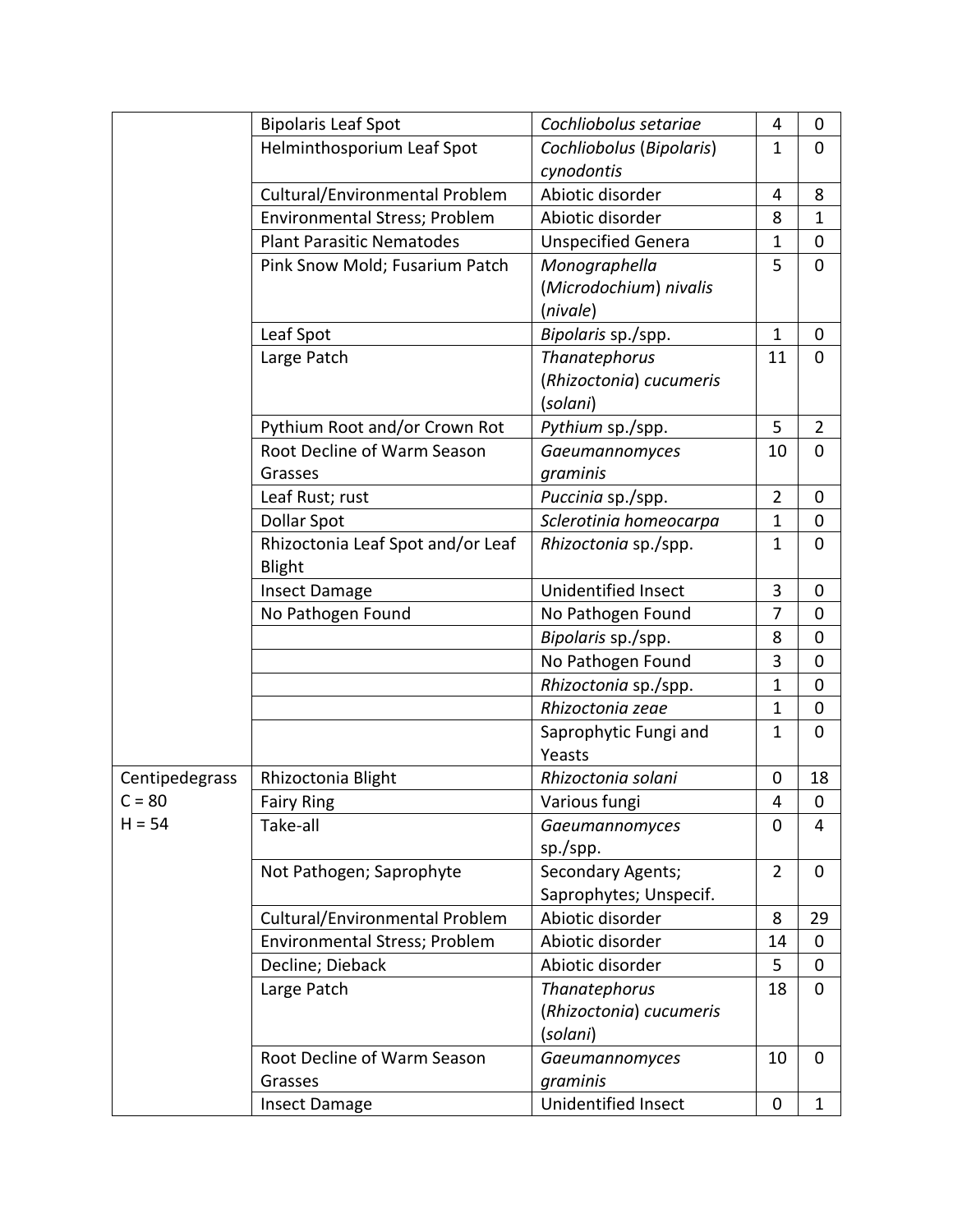|                | <b>Bipolaris Leaf Spot</b>                         | Cochliobolus setariae     | 4              | $\mathbf 0$    |
|----------------|----------------------------------------------------|---------------------------|----------------|----------------|
|                | Helminthosporium Leaf Spot                         | Cochliobolus (Bipolaris)  | $\mathbf{1}$   | $\overline{0}$ |
|                |                                                    | cynodontis                |                |                |
|                | Cultural/Environmental Problem                     | Abiotic disorder          | 4              | 8              |
|                | Environmental Stress; Problem                      | Abiotic disorder          | 8              | $\mathbf{1}$   |
|                | <b>Plant Parasitic Nematodes</b>                   | <b>Unspecified Genera</b> | $\mathbf{1}$   | $\mathbf 0$    |
|                | Pink Snow Mold; Fusarium Patch                     | Monographella             | 5              | $\mathbf 0$    |
|                |                                                    | (Microdochium) nivalis    |                |                |
|                |                                                    | (nivale)                  |                |                |
|                | Leaf Spot                                          | Bipolaris sp./spp.        | $\mathbf{1}$   | $\mathbf 0$    |
|                | Large Patch                                        | Thanatephorus             | 11             | $\mathbf 0$    |
|                |                                                    | (Rhizoctonia) cucumeris   |                |                |
|                |                                                    | (solani)                  |                |                |
|                | Pythium Root and/or Crown Rot                      | Pythium sp./spp.          | 5              | $\overline{2}$ |
|                | Root Decline of Warm Season                        | Gaeumannomyces            | 10             | $\mathbf 0$    |
|                | Grasses                                            | graminis                  |                |                |
|                | Leaf Rust; rust                                    | Puccinia sp./spp.         | $\overline{2}$ | $\mathbf 0$    |
|                | <b>Dollar Spot</b>                                 | Sclerotinia homeocarpa    | $\mathbf{1}$   | $\mathbf 0$    |
|                | Rhizoctonia Leaf Spot and/or Leaf<br><b>Blight</b> | Rhizoctonia sp./spp.      | $\mathbf{1}$   | $\mathbf 0$    |
|                | <b>Insect Damage</b>                               | Unidentified Insect       | 3              | $\mathbf 0$    |
|                | No Pathogen Found                                  | No Pathogen Found         | 7              | $\mathbf 0$    |
|                |                                                    | Bipolaris sp./spp.        | 8              | $\mathbf 0$    |
|                |                                                    | No Pathogen Found         | 3              | $\mathbf 0$    |
|                |                                                    | Rhizoctonia sp./spp.      | $\mathbf{1}$   | $\mathbf 0$    |
|                |                                                    | Rhizoctonia zeae          | $\mathbf{1}$   | $\mathbf 0$    |
|                |                                                    | Saprophytic Fungi and     | $\mathbf{1}$   | $\overline{0}$ |
|                |                                                    | Yeasts                    |                |                |
| Centipedegrass | Rhizoctonia Blight                                 | Rhizoctonia solani        | $\mathbf 0$    | 18             |
| $C = 80$       | <b>Fairy Ring</b>                                  | Various fungi             | 4              | 0              |
| $H = 54$       | Take-all                                           | Gaeumannomyces            | 0              | 4              |
|                |                                                    | sp./spp.                  |                |                |
|                | Not Pathogen; Saprophyte                           | Secondary Agents;         | $\overline{2}$ | $\mathbf 0$    |
|                |                                                    | Saprophytes; Unspecif.    |                |                |
|                | Cultural/Environmental Problem                     | Abiotic disorder          | 8              | 29             |
|                | <b>Environmental Stress; Problem</b>               | Abiotic disorder          | 14             | $\mathbf 0$    |
|                | Decline; Dieback                                   | Abiotic disorder          | 5              | 0              |
|                | Large Patch                                        | Thanatephorus             | 18             | $\overline{0}$ |
|                |                                                    | (Rhizoctonia) cucumeris   |                |                |
|                |                                                    | (solani)                  |                |                |
|                | Root Decline of Warm Season                        | Gaeumannomyces            | 10             | $\mathbf 0$    |
|                | Grasses                                            | graminis                  |                |                |
|                | <b>Insect Damage</b>                               | Unidentified Insect       | $\mathbf 0$    | $\mathbf{1}$   |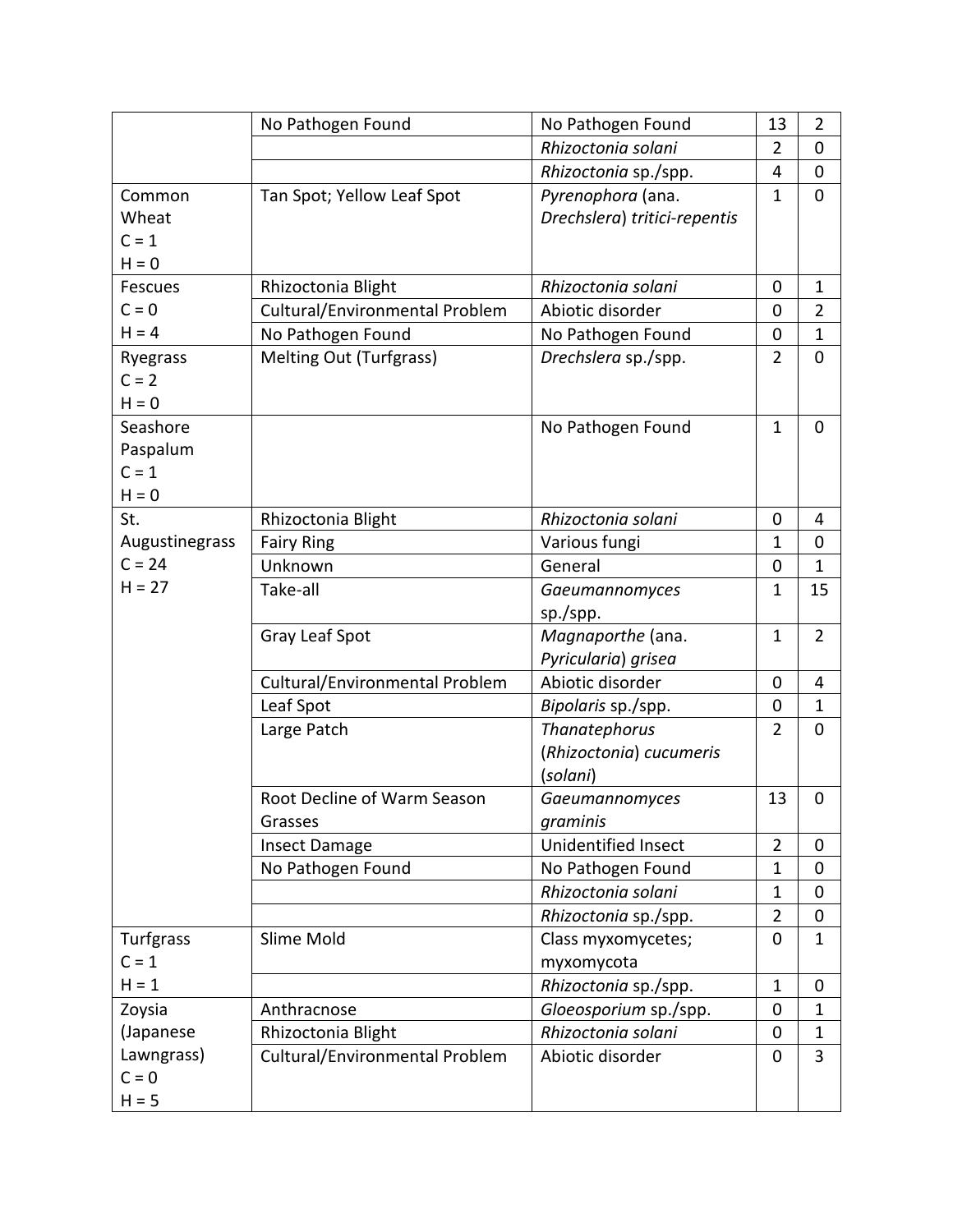|                | No Pathogen Found              | No Pathogen Found            | 13             | $\overline{2}$   |
|----------------|--------------------------------|------------------------------|----------------|------------------|
|                |                                | Rhizoctonia solani           | $\overline{2}$ | $\mathbf 0$      |
|                |                                | Rhizoctonia sp./spp.         | 4              | $\mathbf 0$      |
| Common         | Tan Spot; Yellow Leaf Spot     | Pyrenophora (ana.            | $\mathbf{1}$   | $\overline{0}$   |
| Wheat          |                                | Drechslera) tritici-repentis |                |                  |
| $C = 1$        |                                |                              |                |                  |
| $H = 0$        |                                |                              |                |                  |
| Fescues        | Rhizoctonia Blight             | Rhizoctonia solani           | $\mathbf 0$    | $\mathbf{1}$     |
| $C = 0$        | Cultural/Environmental Problem | Abiotic disorder             | $\mathbf 0$    | $\overline{2}$   |
| $H = 4$        | No Pathogen Found              | No Pathogen Found            | $\mathbf 0$    | $\mathbf{1}$     |
| Ryegrass       | <b>Melting Out (Turfgrass)</b> | Drechslera sp./spp.          | $\overline{2}$ | $\mathbf 0$      |
| $C = 2$        |                                |                              |                |                  |
| $H = 0$        |                                |                              |                |                  |
| Seashore       |                                | No Pathogen Found            | 1              | $\overline{0}$   |
| Paspalum       |                                |                              |                |                  |
| $C = 1$        |                                |                              |                |                  |
| $H = 0$        |                                |                              |                |                  |
| St.            | Rhizoctonia Blight             | Rhizoctonia solani           | $\mathbf 0$    | 4                |
| Augustinegrass | <b>Fairy Ring</b>              | Various fungi                | 1              | $\mathbf 0$      |
| $C = 24$       | Unknown                        | General                      | $\mathbf 0$    | $\mathbf{1}$     |
| $H = 27$       | Take-all                       | Gaeumannomyces               | 1              | 15               |
|                |                                | sp./spp.                     |                |                  |
|                | <b>Gray Leaf Spot</b>          | Magnaporthe (ana.            | $\mathbf{1}$   | $\overline{2}$   |
|                |                                | Pyricularia) grisea          |                |                  |
|                | Cultural/Environmental Problem | Abiotic disorder             | 0              | 4                |
|                | Leaf Spot                      | Bipolaris sp./spp.           | $\mathbf 0$    | $\mathbf{1}$     |
|                | Large Patch                    | Thanatephorus                | $\overline{2}$ | $\mathbf 0$      |
|                |                                | (Rhizoctonia) cucumeris      |                |                  |
|                |                                | (solani)                     |                |                  |
|                | Root Decline of Warm Season    | Gaeumannomyces               | 13             | $\mathbf 0$      |
|                | Grasses                        | graminis                     |                |                  |
|                | <b>Insect Damage</b>           | Unidentified Insect          | $\overline{2}$ | $\mathbf 0$      |
|                | No Pathogen Found              | No Pathogen Found            | 1              | $\boldsymbol{0}$ |
|                |                                | Rhizoctonia solani           | 1              | $\mathbf 0$      |
|                |                                | Rhizoctonia sp./spp.         | $\overline{2}$ | $\boldsymbol{0}$ |
| Turfgrass      | Slime Mold                     | Class myxomycetes;           | $\mathbf 0$    | $\mathbf{1}$     |
| $C = 1$        |                                | myxomycota                   |                |                  |
| $H = 1$        |                                | Rhizoctonia sp./spp.         | $\mathbf{1}$   | $\mathbf 0$      |
| Zoysia         | Anthracnose                    | Gloeosporium sp./spp.        | 0              | 1                |
| (Japanese      | Rhizoctonia Blight             | Rhizoctonia solani           | $\mathbf 0$    | $\mathbf{1}$     |
| Lawngrass)     | Cultural/Environmental Problem | Abiotic disorder             | 0              | $\overline{3}$   |
| $C = 0$        |                                |                              |                |                  |
| $H = 5$        |                                |                              |                |                  |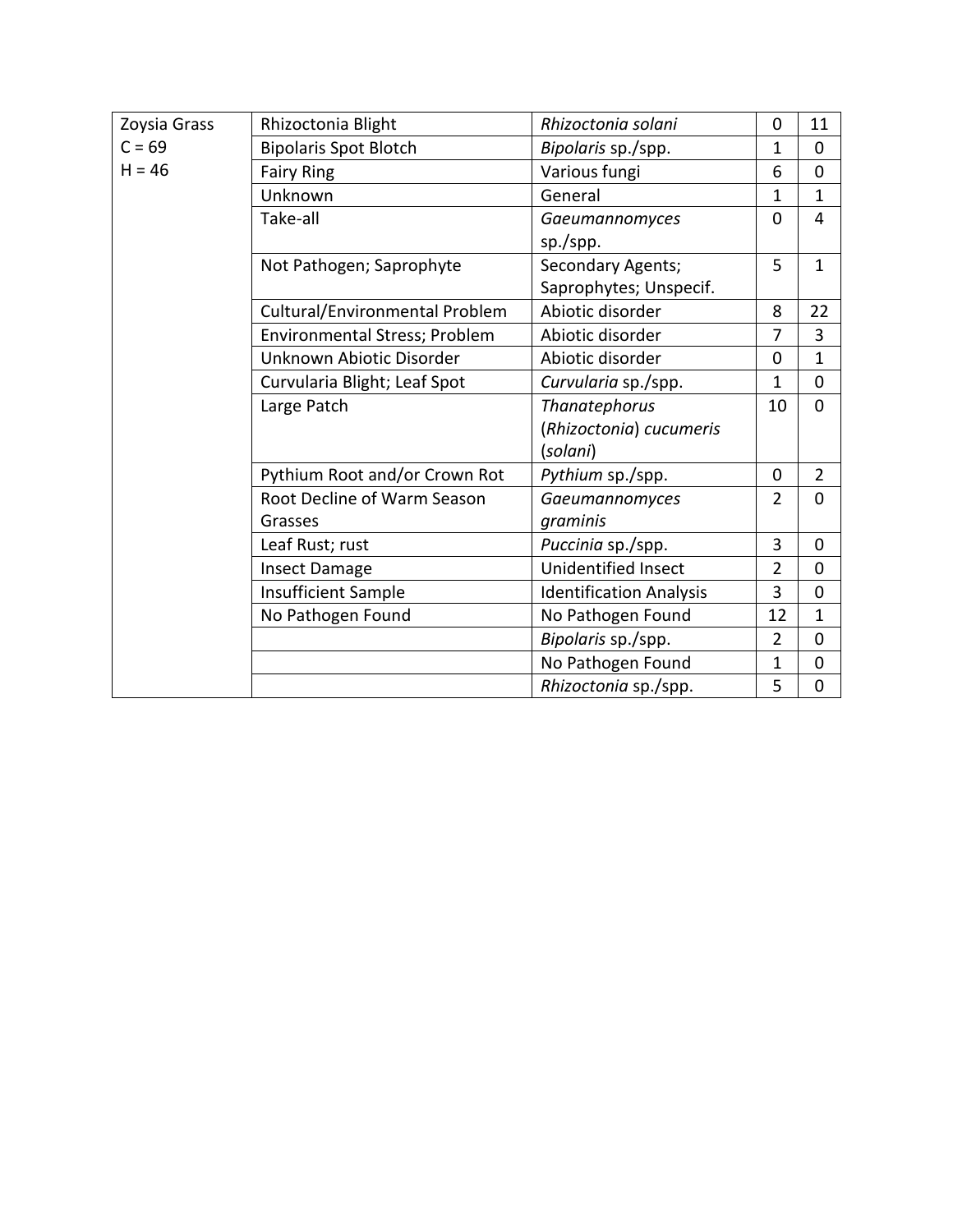| Zoysia Grass | Rhizoctonia Blight             | Rhizoctonia solani             | $\mathbf 0$    | 11             |
|--------------|--------------------------------|--------------------------------|----------------|----------------|
| $C = 69$     | <b>Bipolaris Spot Blotch</b>   | Bipolaris sp./spp.             | $\overline{1}$ | $\overline{0}$ |
| $H = 46$     | <b>Fairy Ring</b>              | Various fungi                  | 6              | $\overline{0}$ |
|              | Unknown                        | General                        | 1              | $\mathbf{1}$   |
|              | Take-all                       | Gaeumannomyces                 | $\mathbf 0$    | 4              |
|              |                                | sp./spp.                       |                |                |
|              | Not Pathogen; Saprophyte       | Secondary Agents;              | 5              | $\mathbf{1}$   |
|              |                                | Saprophytes; Unspecif.         |                |                |
|              | Cultural/Environmental Problem | Abiotic disorder               | 8              | 22             |
|              |                                |                                |                |                |
|              | Environmental Stress; Problem  | Abiotic disorder               | $\overline{7}$ | $\overline{3}$ |
|              | Unknown Abiotic Disorder       | Abiotic disorder               | $\mathbf 0$    | $\mathbf{1}$   |
|              | Curvularia Blight; Leaf Spot   | Curvularia sp./spp.            | $\mathbf{1}$   | $\mathbf 0$    |
|              | Large Patch                    | Thanatephorus                  | 10             | $\Omega$       |
|              |                                | (Rhizoctonia) cucumeris        |                |                |
|              |                                | (solani)                       |                |                |
|              | Pythium Root and/or Crown Rot  | Pythium sp./spp.               | 0              | $\overline{2}$ |
|              | Root Decline of Warm Season    | Gaeumannomyces                 | $\overline{2}$ | $\overline{0}$ |
|              | Grasses                        | graminis                       |                |                |
|              | Leaf Rust; rust                | Puccinia sp./spp.              | 3              | $\mathbf 0$    |
|              | <b>Insect Damage</b>           | <b>Unidentified Insect</b>     | $\overline{2}$ | $\overline{0}$ |
|              | Insufficient Sample            | <b>Identification Analysis</b> | 3              | $\mathbf 0$    |
|              | No Pathogen Found              | No Pathogen Found              | 12             | 1              |
|              |                                | Bipolaris sp./spp.             | $\overline{2}$ | $\overline{0}$ |
|              |                                | No Pathogen Found              | 1              | $\mathbf 0$    |
|              |                                | Rhizoctonia sp./spp.           | 5              | $\mathbf 0$    |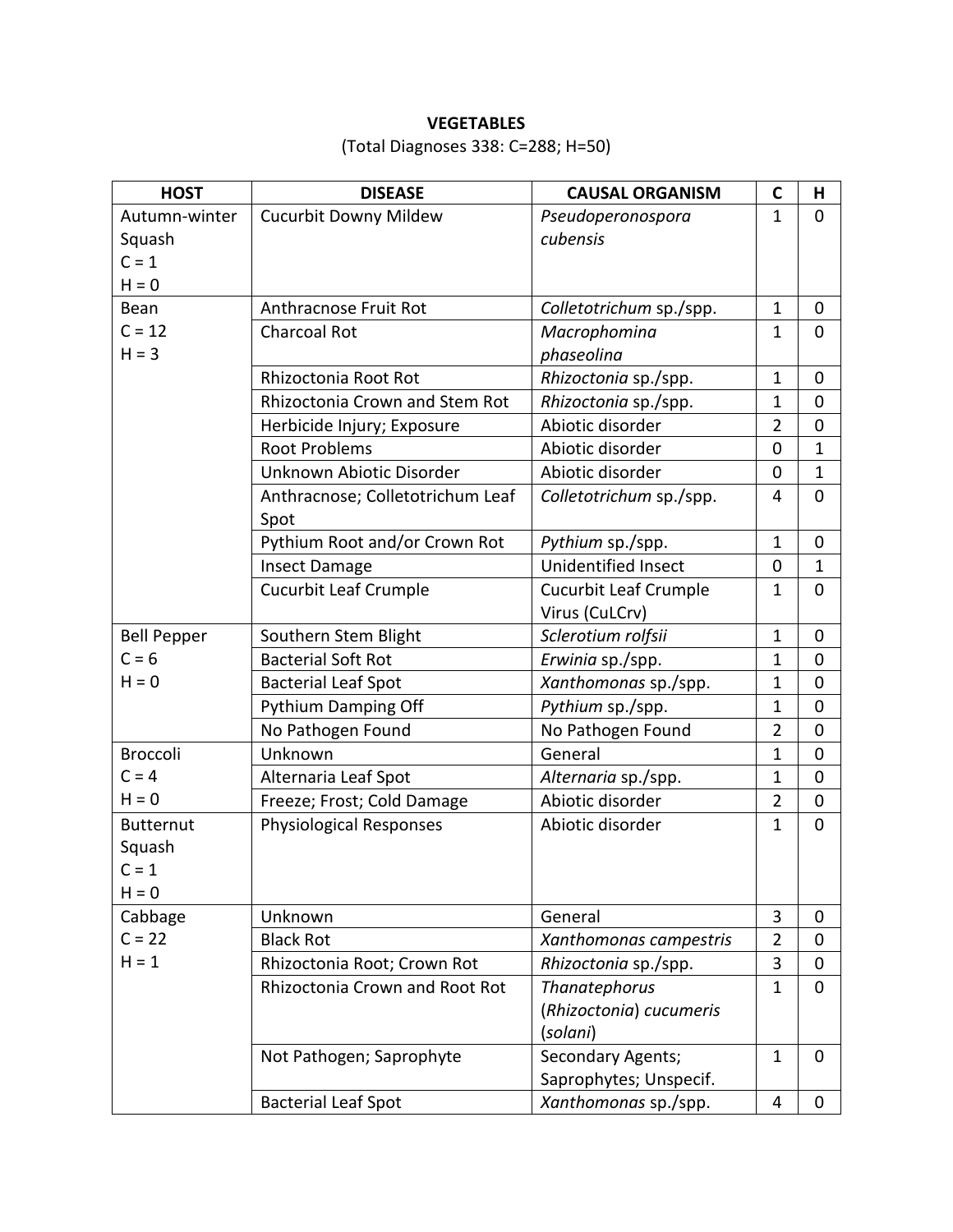## **VEGETABLES**

## (Total Diagnoses 338: C=288; H=50)

| <b>HOST</b>                                      | <b>DISEASE</b>                           | <b>CAUSAL ORGANISM</b>              | $\mathsf{C}$   | Н            |
|--------------------------------------------------|------------------------------------------|-------------------------------------|----------------|--------------|
| Autumn-winter                                    | <b>Cucurbit Downy Mildew</b>             | Pseudoperonospora                   | 1              | $\mathbf 0$  |
| Squash                                           |                                          | cubensis                            |                |              |
| $C = 1$                                          |                                          |                                     |                |              |
| $H = 0$                                          |                                          |                                     |                |              |
| Bean                                             | Anthracnose Fruit Rot                    | Colletotrichum sp./spp.             | $\mathbf{1}$   | $\mathbf 0$  |
| $C = 12$                                         | <b>Charcoal Rot</b>                      | Macrophomina                        | $\mathbf{1}$   | $\mathbf 0$  |
| $H = 3$                                          |                                          | phaseolina                          |                |              |
|                                                  | Rhizoctonia Root Rot                     | Rhizoctonia sp./spp.                | 1              | $\mathbf 0$  |
|                                                  | <b>Rhizoctonia Crown and Stem Rot</b>    | Rhizoctonia sp./spp.                | $\mathbf{1}$   | $\mathbf 0$  |
|                                                  | Herbicide Injury; Exposure               | Abiotic disorder                    | $\overline{2}$ | $\mathbf 0$  |
|                                                  | <b>Root Problems</b>                     | Abiotic disorder                    | $\overline{0}$ | $\mathbf{1}$ |
|                                                  | Unknown Abiotic Disorder                 | Abiotic disorder                    | $\mathbf 0$    | $\mathbf{1}$ |
|                                                  | Anthracnose; Colletotrichum Leaf<br>Spot | Colletotrichum sp./spp.             | 4              | $\mathbf 0$  |
|                                                  | Pythium Root and/or Crown Rot            | Pythium sp./spp.                    | $\mathbf{1}$   | $\mathbf 0$  |
|                                                  | <b>Insect Damage</b>                     | Unidentified Insect                 | $\mathbf 0$    | $\mathbf{1}$ |
|                                                  | <b>Cucurbit Leaf Crumple</b>             | <b>Cucurbit Leaf Crumple</b>        | 1              | $\mathbf 0$  |
|                                                  |                                          | Virus (CuLCrv)                      |                |              |
| <b>Bell Pepper</b>                               | Southern Stem Blight                     | Sclerotium rolfsii                  | 1              | $\mathbf 0$  |
| $C = 6$                                          | <b>Bacterial Soft Rot</b>                | Erwinia sp./spp.                    | 1              | $\mathbf 0$  |
| $H = 0$                                          | <b>Bacterial Leaf Spot</b>               | Xanthomonas sp./spp.                | $\mathbf{1}$   | $\mathbf 0$  |
|                                                  | Pythium Damping Off                      | Pythium sp./spp.                    | $\mathbf{1}$   | $\mathbf 0$  |
|                                                  | No Pathogen Found                        | No Pathogen Found                   | $\overline{2}$ | $\mathbf 0$  |
| <b>Broccoli</b>                                  | Unknown                                  | General                             | $\mathbf{1}$   | $\mathbf 0$  |
| $C = 4$                                          | Alternaria Leaf Spot                     | Alternaria sp./spp.                 | $\mathbf{1}$   | $\mathbf 0$  |
| $H = 0$                                          | Freeze; Frost; Cold Damage               | Abiotic disorder                    | $\overline{2}$ | $\mathbf 0$  |
| <b>Butternut</b><br>Squash<br>$C = 1$<br>$H = 0$ | <b>Physiological Responses</b>           | Abiotic disorder                    | $\mathbf{1}$   | $\mathbf 0$  |
| Cabbage                                          | Unknown                                  | General                             | 3              | $\mathbf 0$  |
| $C = 22$                                         | <b>Black Rot</b>                         | Xanthomonas campestris              | $\overline{2}$ | $\mathbf 0$  |
| $H = 1$                                          | Rhizoctonia Root; Crown Rot              | Rhizoctonia sp./spp.                | $\overline{3}$ | $\mathbf 0$  |
|                                                  | Rhizoctonia Crown and Root Rot           | Thanatephorus                       | $\mathbf{1}$   | $\mathbf 0$  |
|                                                  |                                          | (Rhizoctonia) cucumeris<br>(solani) |                |              |
|                                                  | Not Pathogen; Saprophyte                 | Secondary Agents;                   | $\mathbf{1}$   | $\mathbf 0$  |
|                                                  |                                          | Saprophytes; Unspecif.              |                |              |
|                                                  | <b>Bacterial Leaf Spot</b>               | Xanthomonas sp./spp.                | 4              | $\mathbf 0$  |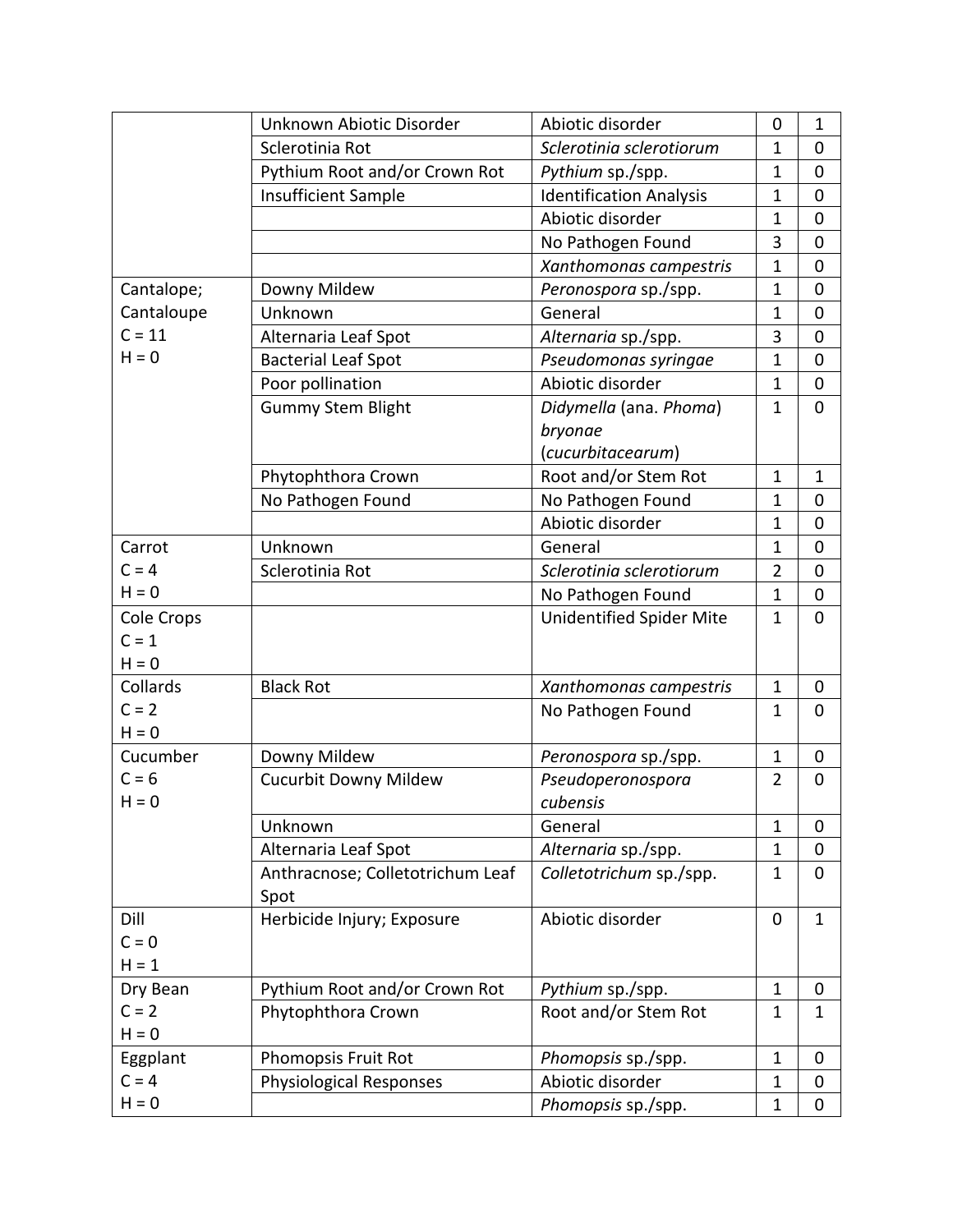|            | Unknown Abiotic Disorder                 | Abiotic disorder                | $\mathbf 0$    | $\mathbf{1}$ |
|------------|------------------------------------------|---------------------------------|----------------|--------------|
|            | Sclerotinia Rot                          | Sclerotinia sclerotiorum        | 1              | $\mathbf 0$  |
|            | Pythium Root and/or Crown Rot            | Pythium sp./spp.                | 1              | $\mathbf 0$  |
|            | <b>Insufficient Sample</b>               | <b>Identification Analysis</b>  | 1              | $\mathbf 0$  |
|            |                                          | Abiotic disorder                | 1              | $\mathbf 0$  |
|            |                                          | No Pathogen Found               | 3              | $\mathbf 0$  |
|            |                                          | Xanthomonas campestris          | $\mathbf{1}$   | $\mathbf 0$  |
| Cantalope; | Downy Mildew                             | Peronospora sp./spp.            | 1              | $\mathbf 0$  |
| Cantaloupe | Unknown                                  | General                         | 1              | $\mathbf 0$  |
| $C = 11$   | Alternaria Leaf Spot                     | Alternaria sp./spp.             | 3              | $\mathbf 0$  |
| $H = 0$    | <b>Bacterial Leaf Spot</b>               | Pseudomonas syringae            | $\mathbf{1}$   | $\mathbf 0$  |
|            | Poor pollination                         | Abiotic disorder                | $\mathbf{1}$   | $\mathbf 0$  |
|            | <b>Gummy Stem Blight</b>                 | Didymella (ana. Phoma)          | $\mathbf{1}$   | $\mathbf 0$  |
|            |                                          | bryonae                         |                |              |
|            |                                          | (cucurbitacearum)               |                |              |
|            | Phytophthora Crown                       | Root and/or Stem Rot            | 1              | $\mathbf{1}$ |
|            | No Pathogen Found                        | No Pathogen Found               | 1              | $\mathbf 0$  |
|            |                                          | Abiotic disorder                | $\mathbf{1}$   | $\mathbf 0$  |
| Carrot     | Unknown                                  | General                         | $\mathbf{1}$   | $\mathbf 0$  |
| $C = 4$    | Sclerotinia Rot                          | Sclerotinia sclerotiorum        | $\overline{2}$ | $\mathbf 0$  |
| $H = 0$    |                                          | No Pathogen Found               | $\mathbf{1}$   | $\mathbf 0$  |
| Cole Crops |                                          | <b>Unidentified Spider Mite</b> | $\mathbf{1}$   | $\mathbf 0$  |
| $C = 1$    |                                          |                                 |                |              |
| $H = 0$    |                                          |                                 |                |              |
| Collards   | <b>Black Rot</b>                         | Xanthomonas campestris          | $\mathbf{1}$   | $\mathbf 0$  |
| $C = 2$    |                                          | No Pathogen Found               | $\mathbf{1}$   | $\mathbf 0$  |
| $H = 0$    |                                          |                                 |                |              |
| Cucumber   | Downy Mildew                             | Peronospora sp./spp.            | $\mathbf{1}$   | $\mathbf 0$  |
| $C = 6$    | <b>Cucurbit Downy Mildew</b>             | Pseudoperonospora               | $\overline{2}$ | $\mathbf 0$  |
| $H = 0$    |                                          | cubensis                        |                |              |
|            | Unknown                                  | General                         | $\mathbf{1}$   | $\mathbf 0$  |
|            | Alternaria Leaf Spot                     | Alternaria sp./spp.             | 1              | 0            |
|            | Anthracnose; Colletotrichum Leaf<br>Spot | Colletotrichum sp./spp.         | 1              | $\mathbf 0$  |
| Dill       | Herbicide Injury; Exposure               | Abiotic disorder                | 0              | $\mathbf{1}$ |
| $C = 0$    |                                          |                                 |                |              |
| $H = 1$    |                                          |                                 |                |              |
| Dry Bean   | Pythium Root and/or Crown Rot            | Pythium sp./spp.                | $\mathbf{1}$   | $\mathbf 0$  |
| $C = 2$    | Phytophthora Crown                       | Root and/or Stem Rot            | $\mathbf{1}$   | $\mathbf{1}$ |
| $H = 0$    |                                          |                                 |                |              |
| Eggplant   | Phomopsis Fruit Rot                      | Phomopsis sp./spp.              | $\mathbf{1}$   | $\mathbf 0$  |
| $C = 4$    | <b>Physiological Responses</b>           | Abiotic disorder                | 1              | $\mathbf 0$  |
| $H = 0$    |                                          | Phomopsis sp./spp.              | $\mathbf{1}$   | $\mathbf 0$  |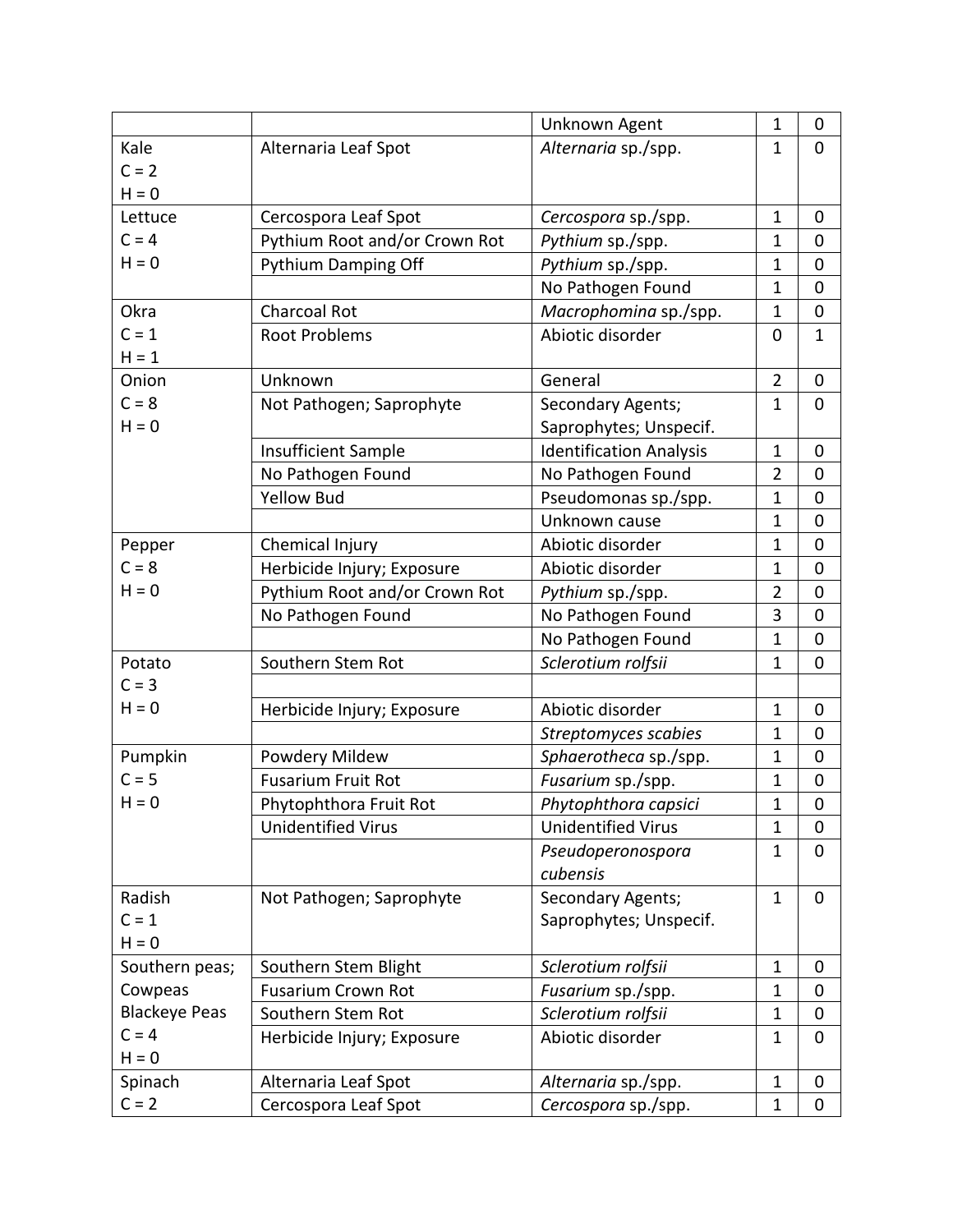|                      |                               | Unknown Agent                  | 1              | $\boldsymbol{0}$ |
|----------------------|-------------------------------|--------------------------------|----------------|------------------|
| Kale                 | Alternaria Leaf Spot          | Alternaria sp./spp.            | 1              | $\mathbf 0$      |
| $C = 2$              |                               |                                |                |                  |
| $H = 0$              |                               |                                |                |                  |
| Lettuce              | Cercospora Leaf Spot          | Cercospora sp./spp.            | 1              | $\mathbf 0$      |
| $C = 4$              | Pythium Root and/or Crown Rot | Pythium sp./spp.               | 1              | $\mathbf 0$      |
| $H = 0$              | Pythium Damping Off           | Pythium sp./spp.               | 1              | $\mathbf 0$      |
|                      |                               | No Pathogen Found              | 1              | $\mathbf 0$      |
| Okra                 | Charcoal Rot                  | Macrophomina sp./spp.          | $\mathbf{1}$   | $\mathbf 0$      |
| $C = 1$              | <b>Root Problems</b>          | Abiotic disorder               | $\mathbf 0$    | $\mathbf{1}$     |
| $H = 1$              |                               |                                |                |                  |
| Onion                | Unknown                       | General                        | $\overline{2}$ | $\mathbf 0$      |
| $C = 8$              | Not Pathogen; Saprophyte      | Secondary Agents;              | 1              | $\mathbf 0$      |
| $H = 0$              |                               | Saprophytes; Unspecif.         |                |                  |
|                      | <b>Insufficient Sample</b>    | <b>Identification Analysis</b> | 1              | $\mathbf 0$      |
|                      | No Pathogen Found             | No Pathogen Found              | $\overline{2}$ | $\overline{0}$   |
|                      | <b>Yellow Bud</b>             | Pseudomonas sp./spp.           | 1              | $\mathbf 0$      |
|                      |                               | Unknown cause                  | 1              | $\mathbf 0$      |
| Pepper               | Chemical Injury               | Abiotic disorder               | 1              | $\mathbf 0$      |
| $C = 8$              | Herbicide Injury; Exposure    | Abiotic disorder               | $\overline{1}$ | $\mathbf 0$      |
| $H = 0$              | Pythium Root and/or Crown Rot | Pythium sp./spp.               | $\overline{2}$ | $\mathbf 0$      |
|                      | No Pathogen Found             | No Pathogen Found              | 3              | $\mathbf 0$      |
|                      |                               | No Pathogen Found              | $\mathbf{1}$   | $\mathbf 0$      |
| Potato               | Southern Stem Rot             | Sclerotium rolfsii             | 1              | $\overline{0}$   |
| $C = 3$              |                               |                                |                |                  |
| $H = 0$              | Herbicide Injury; Exposure    | Abiotic disorder               | 1              | $\boldsymbol{0}$ |
|                      |                               | Streptomyces scabies           | 1              | $\mathbf 0$      |
| Pumpkin              | Powdery Mildew                | Sphaerotheca sp./spp.          | 1              | $\mathbf 0$      |
| $C = 5$              | <b>Fusarium Fruit Rot</b>     | Fusarium sp./spp.              | $\mathbf{1}$   | $\mathbf 0$      |
| $H = 0$              | Phytophthora Fruit Rot        | Phytophthora capsici           | 1              | $\overline{0}$   |
|                      | <b>Unidentified Virus</b>     | <b>Unidentified Virus</b>      | $\mathbf{1}$   | $\overline{0}$   |
|                      |                               | Pseudoperonospora              | 1              | $\mathbf 0$      |
|                      |                               | cubensis                       |                |                  |
| Radish               | Not Pathogen; Saprophyte      | Secondary Agents;              | $\mathbf{1}$   | $\mathbf 0$      |
| $C = 1$              |                               | Saprophytes; Unspecif.         |                |                  |
| $H = 0$              |                               |                                |                |                  |
| Southern peas;       | Southern Stem Blight          | Sclerotium rolfsii             | $\mathbf{1}$   | $\mathbf 0$      |
| Cowpeas              | <b>Fusarium Crown Rot</b>     | Fusarium sp./spp.              | 1              | 0                |
| <b>Blackeye Peas</b> | Southern Stem Rot             | Sclerotium rolfsii             | $\mathbf{1}$   | $\mathbf 0$      |
| $C = 4$              | Herbicide Injury; Exposure    | Abiotic disorder               | 1              | $\mathbf 0$      |
| $H = 0$              |                               |                                |                |                  |
| Spinach              | Alternaria Leaf Spot          | Alternaria sp./spp.            | $\mathbf{1}$   | $\mathbf 0$      |
| $C = 2$              | Cercospora Leaf Spot          | Cercospora sp./spp.            | $\mathbf{1}$   | $\mathbf 0$      |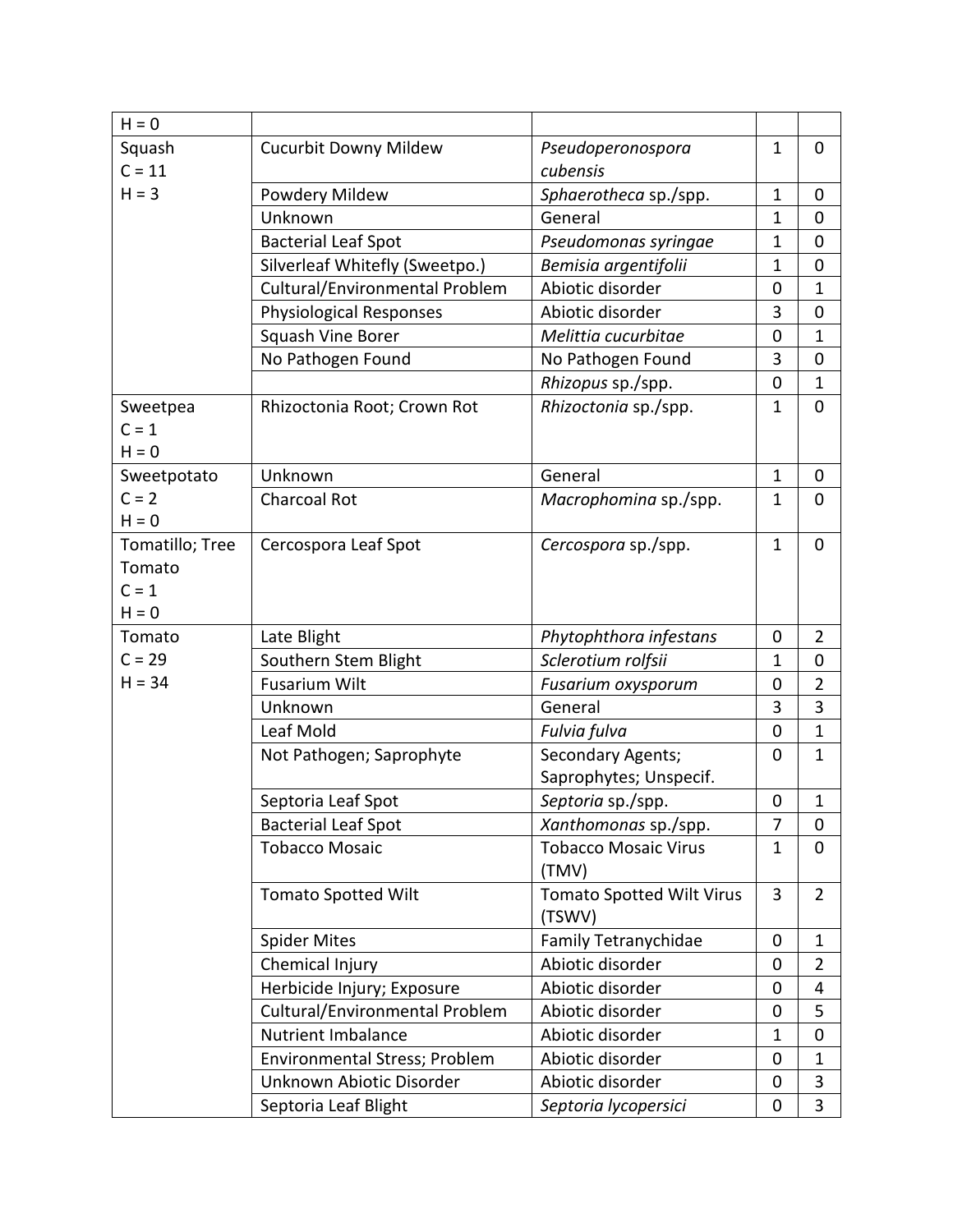| $H = 0$         |                                |                                  |                |                |
|-----------------|--------------------------------|----------------------------------|----------------|----------------|
| Squash          | <b>Cucurbit Downy Mildew</b>   | Pseudoperonospora                | $\mathbf{1}$   | 0              |
| $C = 11$        |                                | cubensis                         |                |                |
| $H = 3$         | Powdery Mildew                 | Sphaerotheca sp./spp.            | $\mathbf{1}$   | 0              |
|                 | Unknown                        | General                          | $\mathbf{1}$   | $\mathbf 0$    |
|                 | <b>Bacterial Leaf Spot</b>     | Pseudomonas syringae             | $\mathbf{1}$   | 0              |
|                 | Silverleaf Whitefly (Sweetpo.) | Bemisia argentifolii             | $\mathbf{1}$   | $\mathbf 0$    |
|                 | Cultural/Environmental Problem | Abiotic disorder                 | 0              | $\mathbf{1}$   |
|                 | Physiological Responses        | Abiotic disorder                 | 3              | $\mathbf 0$    |
|                 | Squash Vine Borer              | Melittia cucurbitae              | $\mathbf 0$    | $\mathbf{1}$   |
|                 | No Pathogen Found              | No Pathogen Found                | 3              | $\mathbf 0$    |
|                 |                                | Rhizopus sp./spp.                | 0              | $\mathbf{1}$   |
| Sweetpea        | Rhizoctonia Root; Crown Rot    | Rhizoctonia sp./spp.             | $\mathbf{1}$   | $\overline{0}$ |
| $C = 1$         |                                |                                  |                |                |
| $H = 0$         |                                |                                  |                |                |
| Sweetpotato     | Unknown                        | General                          | $\mathbf{1}$   | 0              |
| $C = 2$         | <b>Charcoal Rot</b>            | Macrophomina sp./spp.            | $\mathbf{1}$   | $\overline{0}$ |
| $H = 0$         |                                |                                  |                |                |
| Tomatillo; Tree | Cercospora Leaf Spot           | Cercospora sp./spp.              | $\mathbf{1}$   | $\overline{0}$ |
| Tomato          |                                |                                  |                |                |
| $C = 1$         |                                |                                  |                |                |
| $H = 0$         |                                |                                  |                |                |
| Tomato          | Late Blight                    | Phytophthora infestans           | 0              | $\overline{2}$ |
| $C = 29$        | Southern Stem Blight           | Sclerotium rolfsii               | 1              | $\mathbf 0$    |
| $H = 34$        | <b>Fusarium Wilt</b>           | Fusarium oxysporum               | 0              | $\overline{2}$ |
|                 | Unknown                        | General                          | 3              | 3              |
|                 | Leaf Mold                      | Fulvia fulva                     | 0              | $\mathbf{1}$   |
|                 | Not Pathogen; Saprophyte       | Secondary Agents;                | 0              | $\mathbf{1}$   |
|                 |                                | Saprophytes; Unspecif.           |                |                |
|                 | Septoria Leaf Spot             | Septoria sp./spp.                | $\pmb{0}$      | $\mathbf 1$    |
|                 | <b>Bacterial Leaf Spot</b>     | Xanthomonas sp./spp.             | $\overline{7}$ | 0              |
|                 | <b>Tobacco Mosaic</b>          | <b>Tobacco Mosaic Virus</b>      | 1              | 0              |
|                 |                                | (TMV)                            |                |                |
|                 | <b>Tomato Spotted Wilt</b>     | <b>Tomato Spotted Wilt Virus</b> | 3              | $\overline{2}$ |
|                 |                                | (TSWV)                           |                |                |
|                 | <b>Spider Mites</b>            | Family Tetranychidae             | $\mathbf 0$    | $\mathbf{1}$   |
|                 | Chemical Injury                | Abiotic disorder                 | 0              | $\overline{2}$ |
|                 | Herbicide Injury; Exposure     | Abiotic disorder                 | 0              | 4              |
|                 | Cultural/Environmental Problem | Abiotic disorder                 | 0              | 5              |
|                 | <b>Nutrient Imbalance</b>      | Abiotic disorder                 | $\mathbf{1}$   | $\mathbf 0$    |
|                 | Environmental Stress; Problem  | Abiotic disorder                 | 0              | $\mathbf{1}$   |
|                 | Unknown Abiotic Disorder       | Abiotic disorder                 | 0              | 3              |
|                 | Septoria Leaf Blight           | Septoria lycopersici             | $\mathbf 0$    | 3              |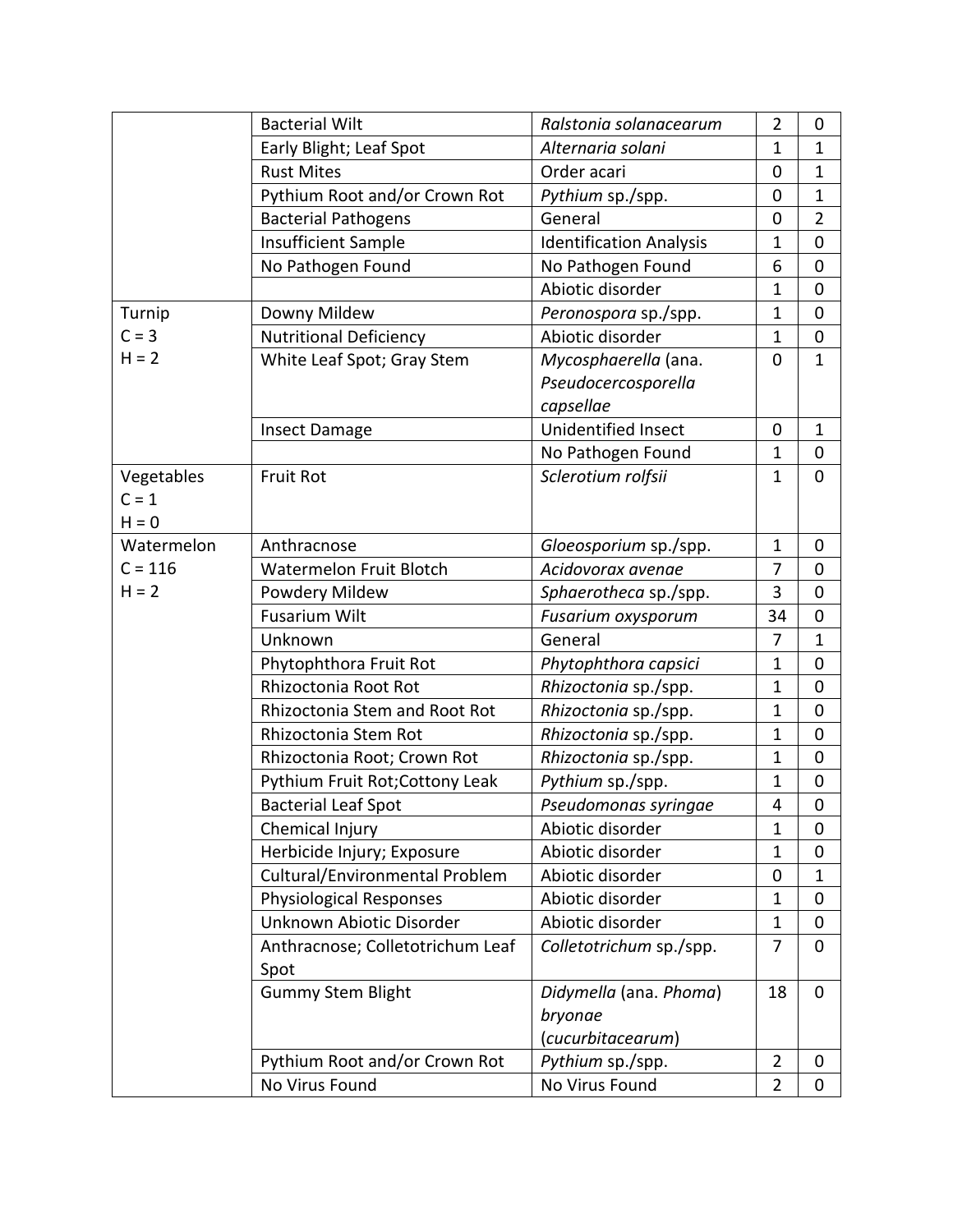|            | <b>Bacterial Wilt</b>                    | Ralstonia solanacearum         | $\overline{2}$ | $\mathbf 0$      |
|------------|------------------------------------------|--------------------------------|----------------|------------------|
|            | Early Blight; Leaf Spot                  | Alternaria solani              | $\overline{1}$ | $\mathbf{1}$     |
|            | <b>Rust Mites</b>                        | Order acari                    | $\mathbf 0$    | $\mathbf 1$      |
|            | Pythium Root and/or Crown Rot            | Pythium sp./spp.               | $\overline{0}$ | $\mathbf{1}$     |
|            | <b>Bacterial Pathogens</b>               | General                        | $\overline{0}$ | $\overline{2}$   |
|            | Insufficient Sample                      | <b>Identification Analysis</b> | $\mathbf{1}$   | $\mathbf 0$      |
|            | No Pathogen Found                        | No Pathogen Found              | 6              | $\mathbf 0$      |
|            |                                          | Abiotic disorder               | 1              | $\mathbf 0$      |
| Turnip     | Downy Mildew                             | Peronospora sp./spp.           | $\mathbf{1}$   | $\mathbf 0$      |
| $C = 3$    | <b>Nutritional Deficiency</b>            | Abiotic disorder               | $\mathbf{1}$   | $\mathbf 0$      |
| $H = 2$    | White Leaf Spot; Gray Stem               | Mycosphaerella (ana.           | $\mathbf 0$    | $\mathbf{1}$     |
|            |                                          | Pseudocercosporella            |                |                  |
|            |                                          | capsellae                      |                |                  |
|            | <b>Insect Damage</b>                     | <b>Unidentified Insect</b>     | 0              | $\mathbf{1}$     |
|            |                                          | No Pathogen Found              | $\mathbf{1}$   | $\mathbf 0$      |
| Vegetables | <b>Fruit Rot</b>                         | Sclerotium rolfsii             | $\mathbf{1}$   | $\mathbf 0$      |
| $C = 1$    |                                          |                                |                |                  |
| $H = 0$    |                                          |                                |                |                  |
| Watermelon | Anthracnose                              | Gloeosporium sp./spp.          | $\mathbf{1}$   | $\mathbf 0$      |
| $C = 116$  | <b>Watermelon Fruit Blotch</b>           | Acidovorax avenae              | 7              | $\mathbf 0$      |
| $H = 2$    | Powdery Mildew                           | Sphaerotheca sp./spp.          | 3              | $\mathbf 0$      |
|            | <b>Fusarium Wilt</b>                     | Fusarium oxysporum             | 34             | $\mathbf 0$      |
|            | Unknown                                  | General                        | $\overline{7}$ | $\mathbf 1$      |
|            | Phytophthora Fruit Rot                   | Phytophthora capsici           | $\mathbf{1}$   | $\mathbf 0$      |
|            | Rhizoctonia Root Rot                     | Rhizoctonia sp./spp.           | $\mathbf{1}$   | $\mathbf 0$      |
|            | Rhizoctonia Stem and Root Rot            | Rhizoctonia sp./spp.           | $\mathbf{1}$   | $\mathbf 0$      |
|            | Rhizoctonia Stem Rot                     | Rhizoctonia sp./spp.           | $\mathbf{1}$   | $\mathbf 0$      |
|            | Rhizoctonia Root; Crown Rot              | Rhizoctonia sp./spp.           | 1              | $\mathbf 0$      |
|            | Pythium Fruit Rot; Cottony Leak          | Pythium sp./spp.               | 1              | $\mathbf 0$      |
|            | <b>Bacterial Leaf Spot</b>               | Pseudomonas syringae           | 4              | 0                |
|            | Chemical Injury                          | Abiotic disorder               | 1              | $\mathbf 0$      |
|            | Herbicide Injury; Exposure               | Abiotic disorder               | $\mathbf{1}$   | $\mathbf 0$      |
|            | Cultural/Environmental Problem           | Abiotic disorder               | 0              | $\mathbf{1}$     |
|            | <b>Physiological Responses</b>           | Abiotic disorder               | 1              | $\boldsymbol{0}$ |
|            | Unknown Abiotic Disorder                 | Abiotic disorder               | $\mathbf{1}$   | $\mathbf 0$      |
|            |                                          |                                | $\overline{7}$ | $\mathbf 0$      |
|            | Anthracnose; Colletotrichum Leaf<br>Spot | Colletotrichum sp./spp.        |                |                  |
|            | <b>Gummy Stem Blight</b>                 | Didymella (ana. Phoma)         | 18             | $\mathbf 0$      |
|            |                                          | bryonae                        |                |                  |
|            |                                          | (cucurbitacearum)              |                |                  |
|            | Pythium Root and/or Crown Rot            | Pythium sp./spp.               | $\overline{2}$ | $\mathbf 0$      |
|            | No Virus Found                           | No Virus Found                 | $\overline{2}$ | $\mathbf 0$      |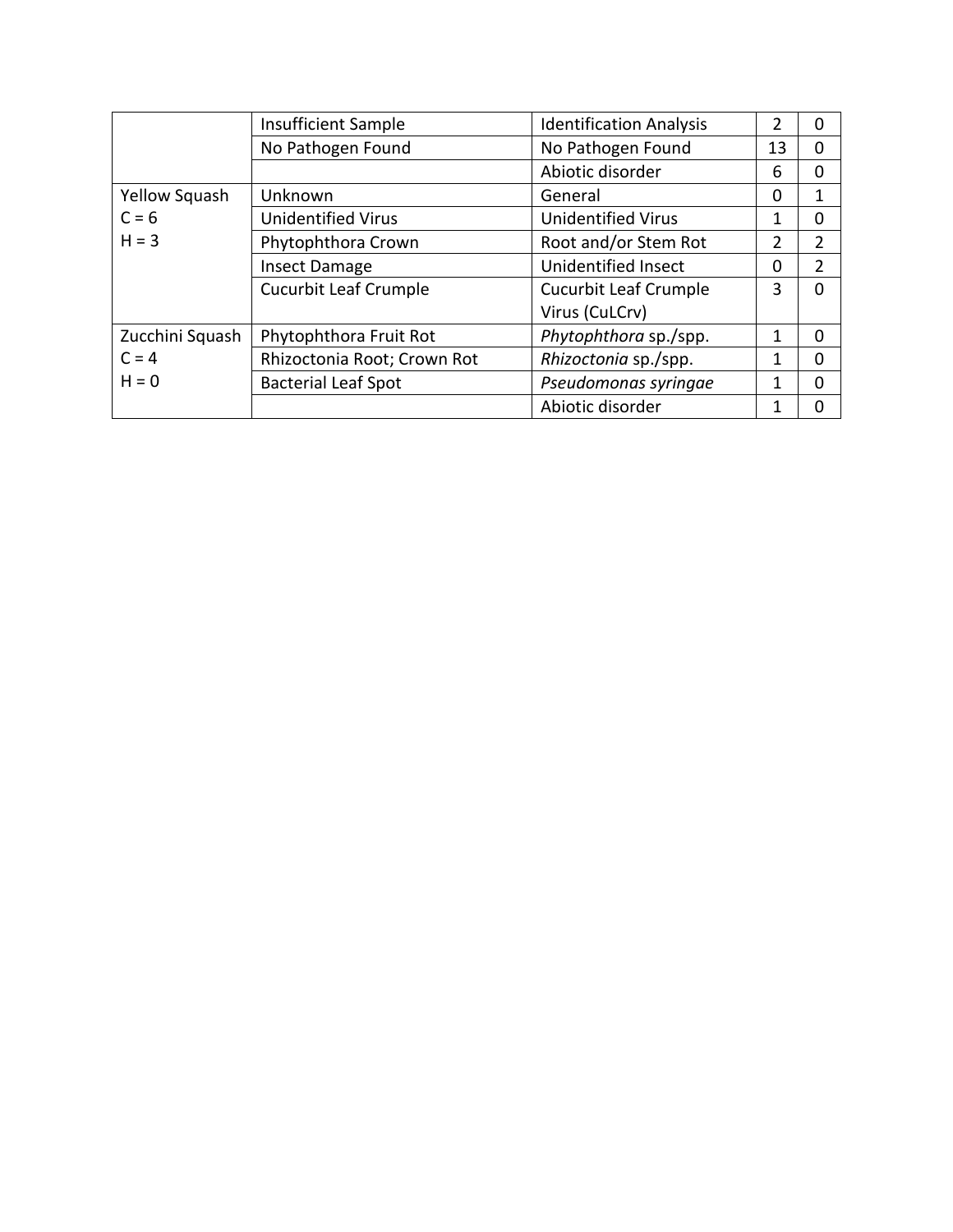|                 | Insufficient Sample          | <b>Identification Analysis</b> | 2        | 0 |
|-----------------|------------------------------|--------------------------------|----------|---|
|                 | No Pathogen Found            | No Pathogen Found              | 13       | 0 |
|                 |                              | Abiotic disorder               | 6        | 0 |
| Yellow Squash   | Unknown                      | General                        | $\Omega$ | 1 |
| $C = 6$         | <b>Unidentified Virus</b>    | <b>Unidentified Virus</b>      | 1        | 0 |
| $H = 3$         | Phytophthora Crown           | Root and/or Stem Rot           | 2        | 2 |
|                 | <b>Insect Damage</b>         | Unidentified Insect            | 0        | 2 |
|                 | <b>Cucurbit Leaf Crumple</b> | <b>Cucurbit Leaf Crumple</b>   | 3        | 0 |
|                 |                              | Virus (CuLCrv)                 |          |   |
| Zucchini Squash | Phytophthora Fruit Rot       | Phytophthora sp./spp.          | 1        | 0 |
| $C = 4$         | Rhizoctonia Root; Crown Rot  | Rhizoctonia sp./spp.           | 1        | 0 |
| $H = 0$         | <b>Bacterial Leaf Spot</b>   | Pseudomonas syringae           | 1        | 0 |
|                 |                              | Abiotic disorder               | 1        |   |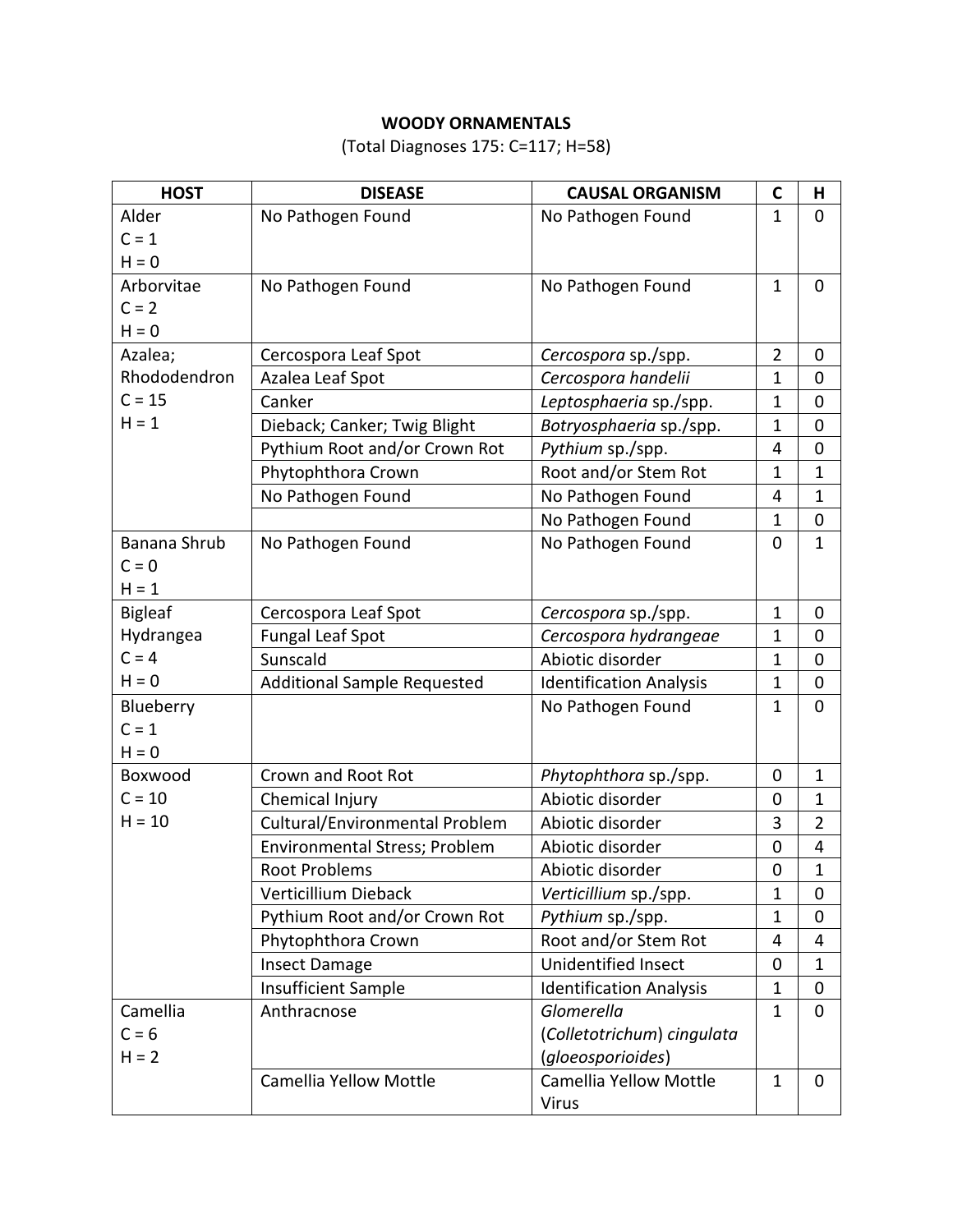# **WOODY ORNAMENTALS**

(Total Diagnoses 175: C=117; H=58)

| <b>HOST</b>    | <b>DISEASE</b>                     | <b>CAUSAL ORGANISM</b>         | C              | н                |
|----------------|------------------------------------|--------------------------------|----------------|------------------|
| Alder          | No Pathogen Found                  | No Pathogen Found              | 1              | $\overline{0}$   |
| $C = 1$        |                                    |                                |                |                  |
| $H = 0$        |                                    |                                |                |                  |
| Arborvitae     | No Pathogen Found                  | No Pathogen Found              | $\mathbf{1}$   | $\mathbf 0$      |
| $C = 2$        |                                    |                                |                |                  |
| $H = 0$        |                                    |                                |                |                  |
| Azalea;        | Cercospora Leaf Spot               | Cercospora sp./spp.            | $\overline{2}$ | $\mathbf 0$      |
| Rhododendron   | Azalea Leaf Spot                   | Cercospora handelii            | 1              | 0                |
| $C = 15$       | Canker                             | Leptosphaeria sp./spp.         | $\mathbf{1}$   | $\mathbf 0$      |
| $H = 1$        | Dieback; Canker; Twig Blight       | Botryosphaeria sp./spp.        | 1              | $\mathbf 0$      |
|                | Pythium Root and/or Crown Rot      | Pythium sp./spp.               | 4              | $\mathbf 0$      |
|                | Phytophthora Crown                 | Root and/or Stem Rot           | 1              | $\mathbf{1}$     |
|                | No Pathogen Found                  | No Pathogen Found              | 4              | $\mathbf{1}$     |
|                |                                    | No Pathogen Found              | $\mathbf{1}$   | $\mathbf 0$      |
| Banana Shrub   | No Pathogen Found                  | No Pathogen Found              | $\mathbf 0$    | $\mathbf{1}$     |
| $C = 0$        |                                    |                                |                |                  |
| $H = 1$        |                                    |                                |                |                  |
| <b>Bigleaf</b> | Cercospora Leaf Spot               | Cercospora sp./spp.            | $\mathbf{1}$   | $\mathbf 0$      |
| Hydrangea      | <b>Fungal Leaf Spot</b>            | Cercospora hydrangeae          | 1              | $\mathbf 0$      |
| $C = 4$        | Sunscald                           | Abiotic disorder               | 1              | $\mathbf 0$      |
| $H = 0$        | <b>Additional Sample Requested</b> | <b>Identification Analysis</b> | 1              | $\mathbf 0$      |
| Blueberry      |                                    | No Pathogen Found              | 1              | $\mathbf 0$      |
| $C = 1$        |                                    |                                |                |                  |
| $H = 0$        |                                    |                                |                |                  |
| Boxwood        | Crown and Root Rot                 | Phytophthora sp./spp.          | $\mathbf 0$    | $\mathbf{1}$     |
| $C = 10$       | Chemical Injury                    | Abiotic disorder               | 0              | $\mathbf{1}$     |
| $H = 10$       | Cultural/Environmental Problem     | Abiotic disorder               | 3              | $\overline{2}$   |
|                | Environmental Stress; Problem      | Abiotic disorder               | $\pmb{0}$      | 4                |
|                | <b>Root Problems</b>               | Abiotic disorder               | $\mathbf 0$    | $\mathbf{1}$     |
|                | Verticillium Dieback               | Verticillium sp./spp.          | 1              | 0                |
|                | Pythium Root and/or Crown Rot      | Pythium sp./spp.               | 1              | $\mathbf 0$      |
|                | Phytophthora Crown                 | Root and/or Stem Rot           | 4              | 4                |
|                | <b>Insect Damage</b>               | Unidentified Insect            | $\mathbf 0$    | $\mathbf{1}$     |
|                | <b>Insufficient Sample</b>         | <b>Identification Analysis</b> | 1              | $\boldsymbol{0}$ |
| Camellia       | Anthracnose                        | Glomerella                     | 1              | $\mathbf 0$      |
| $C = 6$        |                                    | (Colletotrichum) cingulata     |                |                  |
| $H = 2$        |                                    | (gloeosporioides)              |                |                  |
|                | Camellia Yellow Mottle             | Camellia Yellow Mottle         | $\mathbf{1}$   | $\mathbf 0$      |
|                |                                    | <b>Virus</b>                   |                |                  |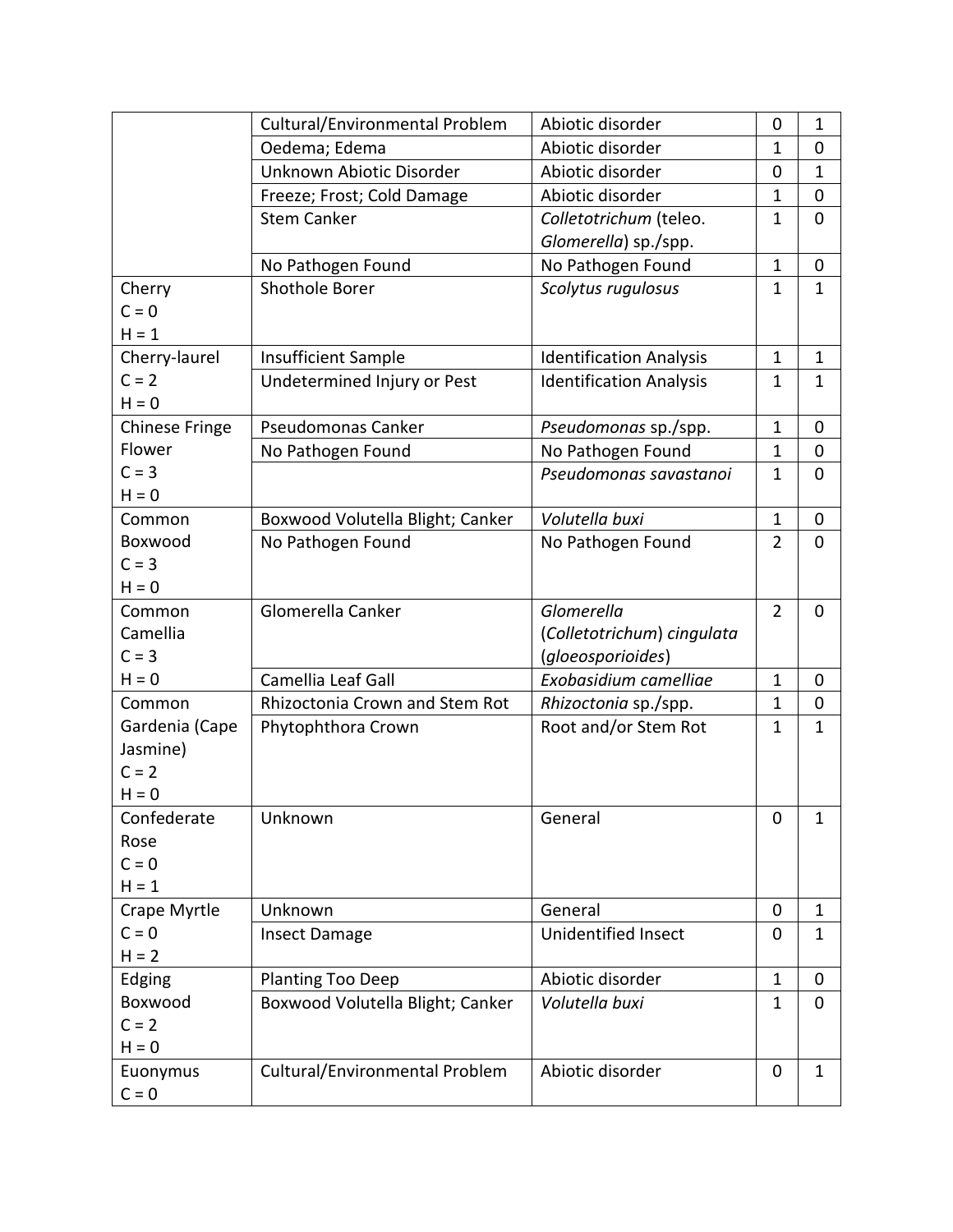|                       | Cultural/Environmental Problem   | Abiotic disorder               | 0              | $\mathbf{1}$   |
|-----------------------|----------------------------------|--------------------------------|----------------|----------------|
|                       | Oedema; Edema                    | Abiotic disorder               | 1              | $\mathbf 0$    |
|                       | Unknown Abiotic Disorder         | Abiotic disorder               | 0              | 1              |
|                       | Freeze; Frost; Cold Damage       | Abiotic disorder               | $\mathbf 1$    | $\mathbf 0$    |
|                       | <b>Stem Canker</b>               | Colletotrichum (teleo.         | $\mathbf{1}$   | $\mathbf 0$    |
|                       |                                  | Glomerella) sp./spp.           |                |                |
|                       | No Pathogen Found                | No Pathogen Found              | $\mathbf{1}$   | $\mathbf 0$    |
| Cherry                | <b>Shothole Borer</b>            | Scolytus rugulosus             | $\mathbf{1}$   | $\mathbf{1}$   |
| $C = 0$               |                                  |                                |                |                |
| $H = 1$               |                                  |                                |                |                |
| Cherry-laurel         | <b>Insufficient Sample</b>       | <b>Identification Analysis</b> | $\mathbf{1}$   | $\mathbf{1}$   |
| $C = 2$               | Undetermined Injury or Pest      | <b>Identification Analysis</b> | $\mathbf{1}$   | $\mathbf{1}$   |
| $H = 0$               |                                  |                                |                |                |
| <b>Chinese Fringe</b> | Pseudomonas Canker               | Pseudomonas sp./spp.           | 1              | $\mathbf 0$    |
| Flower                | No Pathogen Found                | No Pathogen Found              | 1              | $\mathbf 0$    |
| $C = 3$               |                                  | Pseudomonas savastanoi         | $\mathbf{1}$   | $\overline{0}$ |
| $H = 0$               |                                  |                                |                |                |
| Common                | Boxwood Volutella Blight; Canker | Volutella buxi                 | $\mathbf{1}$   | $\mathbf 0$    |
| Boxwood               | No Pathogen Found                | No Pathogen Found              | $\overline{2}$ | $\mathbf 0$    |
| $C = 3$               |                                  |                                |                |                |
| $H = 0$               |                                  |                                |                |                |
| Common                | Glomerella Canker                | Glomerella                     | $\overline{2}$ | $\mathbf 0$    |
| Camellia              |                                  | (Colletotrichum) cingulata     |                |                |
| $C = 3$               |                                  | (gloeosporioides)              |                |                |
| $H = 0$               | Camellia Leaf Gall               | Exobasidium camelliae          | 1              | $\mathbf 0$    |
| Common                | Rhizoctonia Crown and Stem Rot   | Rhizoctonia sp./spp.           | $\mathbf{1}$   | $\mathbf 0$    |
| Gardenia (Cape        | Phytophthora Crown               | Root and/or Stem Rot           | $\mathbf{1}$   | $\mathbf{1}$   |
| Jasmine)              |                                  |                                |                |                |
| $C = 2$               |                                  |                                |                |                |
| $H = 0$               |                                  |                                |                |                |
| Confederate           | Unknown                          | General                        | $\mathbf 0$    | $\mathbf{1}$   |
| Rose                  |                                  |                                |                |                |
| $C = 0$               |                                  |                                |                |                |
| $H = 1$               |                                  |                                |                |                |
| Crape Myrtle          | Unknown                          | General                        | $\mathbf 0$    | $\mathbf{1}$   |
| $C = 0$               | <b>Insect Damage</b>             | <b>Unidentified Insect</b>     | $\mathbf 0$    | $\mathbf{1}$   |
| $H = 2$               |                                  |                                |                |                |
| Edging                | Planting Too Deep                | Abiotic disorder               | $\mathbf{1}$   | $\mathbf 0$    |
| Boxwood               | Boxwood Volutella Blight; Canker | Volutella buxi                 | $\mathbf{1}$   | $\mathbf 0$    |
| $C = 2$               |                                  |                                |                |                |
| $H = 0$               |                                  |                                |                |                |
| Euonymus              | Cultural/Environmental Problem   | Abiotic disorder               | $\mathbf 0$    | $\mathbf{1}$   |
| $C = 0$               |                                  |                                |                |                |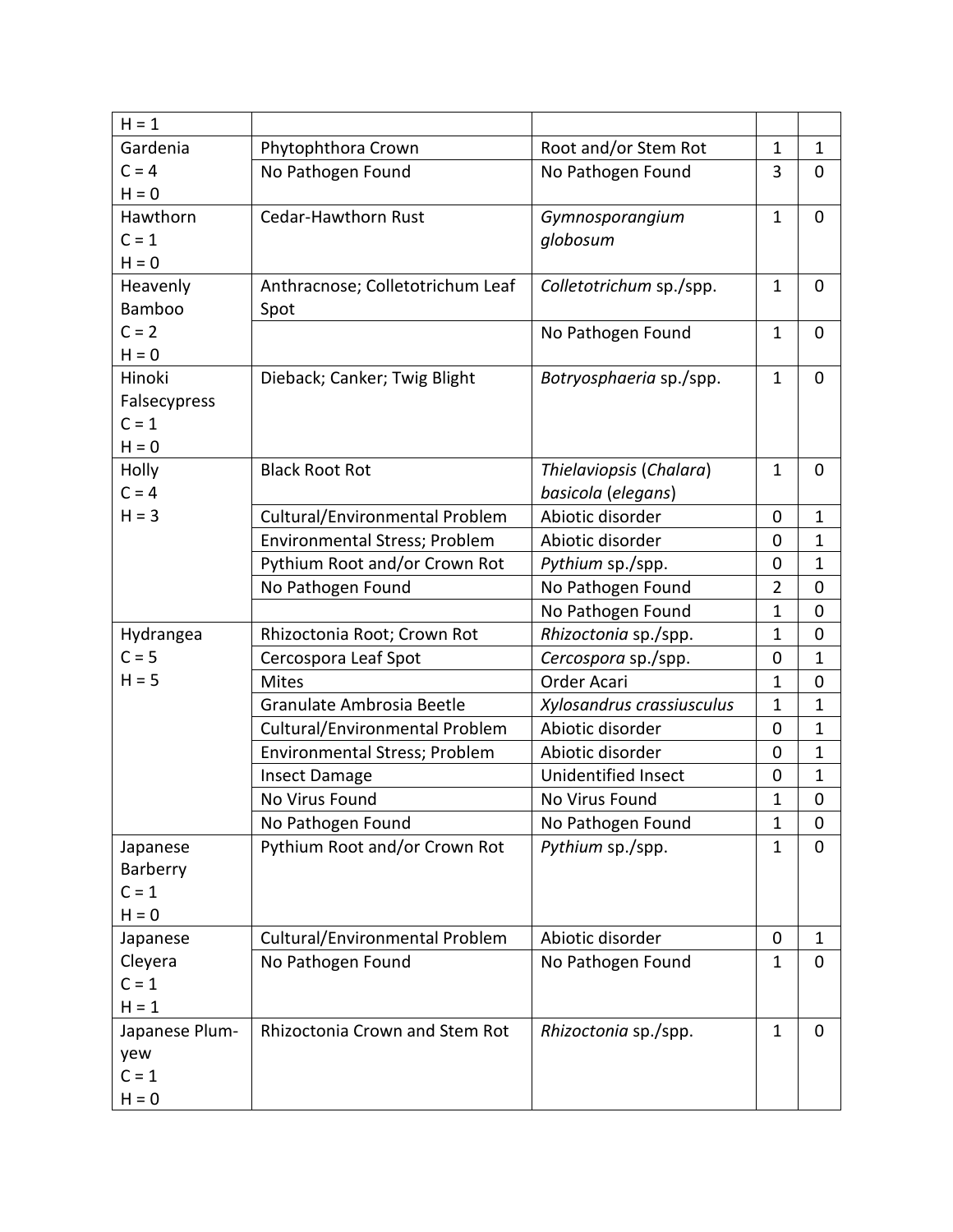| $H = 1$        |                                      |                            |                |                |
|----------------|--------------------------------------|----------------------------|----------------|----------------|
| Gardenia       | Phytophthora Crown                   | Root and/or Stem Rot       | $\mathbf{1}$   | $\mathbf{1}$   |
| $C = 4$        | No Pathogen Found                    | No Pathogen Found          | 3              | $\mathbf 0$    |
| $H = 0$        |                                      |                            |                |                |
| Hawthorn       | Cedar-Hawthorn Rust                  | Gymnosporangium            | $\mathbf{1}$   | $\mathbf 0$    |
| $C = 1$        |                                      | globosum                   |                |                |
| $H = 0$        |                                      |                            |                |                |
| Heavenly       | Anthracnose; Colletotrichum Leaf     | Colletotrichum sp./spp.    | $\mathbf{1}$   | $\overline{0}$ |
| <b>Bamboo</b>  | Spot                                 |                            |                |                |
| $C = 2$        |                                      | No Pathogen Found          | $\mathbf{1}$   | $\overline{0}$ |
| $H = 0$        |                                      |                            |                |                |
| Hinoki         | Dieback; Canker; Twig Blight         | Botryosphaeria sp./spp.    | $\mathbf{1}$   | $\overline{0}$ |
| Falsecypress   |                                      |                            |                |                |
| $C = 1$        |                                      |                            |                |                |
| $H = 0$        |                                      |                            |                |                |
| Holly          | <b>Black Root Rot</b>                | Thielaviopsis (Chalara)    | $\mathbf{1}$   | 0              |
| $C = 4$        |                                      | basicola (elegans)         |                |                |
| $H = 3$        | Cultural/Environmental Problem       | Abiotic disorder           | 0              | $\mathbf{1}$   |
|                | Environmental Stress; Problem        | Abiotic disorder           | 0              | $\mathbf{1}$   |
|                | Pythium Root and/or Crown Rot        | Pythium sp./spp.           | 0              | $\mathbf{1}$   |
|                | No Pathogen Found                    | No Pathogen Found          | $\overline{2}$ | $\mathbf 0$    |
|                |                                      | No Pathogen Found          | $\mathbf{1}$   | $\mathbf 0$    |
| Hydrangea      | Rhizoctonia Root; Crown Rot          | Rhizoctonia sp./spp.       | $\mathbf{1}$   | $\mathbf 0$    |
| $C = 5$        | Cercospora Leaf Spot                 | Cercospora sp./spp.        | $\mathbf 0$    | $\mathbf{1}$   |
| $H = 5$        | <b>Mites</b>                         | Order Acari                | 1              | $\mathbf 0$    |
|                | Granulate Ambrosia Beetle            | Xylosandrus crassiusculus  | $\mathbf{1}$   | $\mathbf{1}$   |
|                | Cultural/Environmental Problem       | Abiotic disorder           | 0              | $\mathbf{1}$   |
|                | <b>Environmental Stress; Problem</b> | Abiotic disorder           | 0              | $\mathbf{1}$   |
|                | <b>Insect Damage</b>                 | <b>Unidentified Insect</b> | 0              | $\mathbf{1}$   |
|                | No Virus Found                       | No Virus Found             | $\mathbf{1}$   | $\overline{0}$ |
|                | No Pathogen Found                    | No Pathogen Found          | $\mathbf{1}$   | 0              |
| Japanese       | Pythium Root and/or Crown Rot        | Pythium sp./spp.           | $\mathbf{1}$   | $\mathbf 0$    |
| Barberry       |                                      |                            |                |                |
| $C = 1$        |                                      |                            |                |                |
| $H = 0$        |                                      |                            |                |                |
| Japanese       | Cultural/Environmental Problem       | Abiotic disorder           | $\mathbf 0$    | $\mathbf{1}$   |
| Cleyera        | No Pathogen Found                    | No Pathogen Found          | $\mathbf{1}$   | 0              |
| $C = 1$        |                                      |                            |                |                |
| $H = 1$        |                                      |                            |                |                |
| Japanese Plum- | Rhizoctonia Crown and Stem Rot       | Rhizoctonia sp./spp.       | $\mathbf{1}$   | $\mathbf 0$    |
| yew            |                                      |                            |                |                |
| $C = 1$        |                                      |                            |                |                |
| $H = 0$        |                                      |                            |                |                |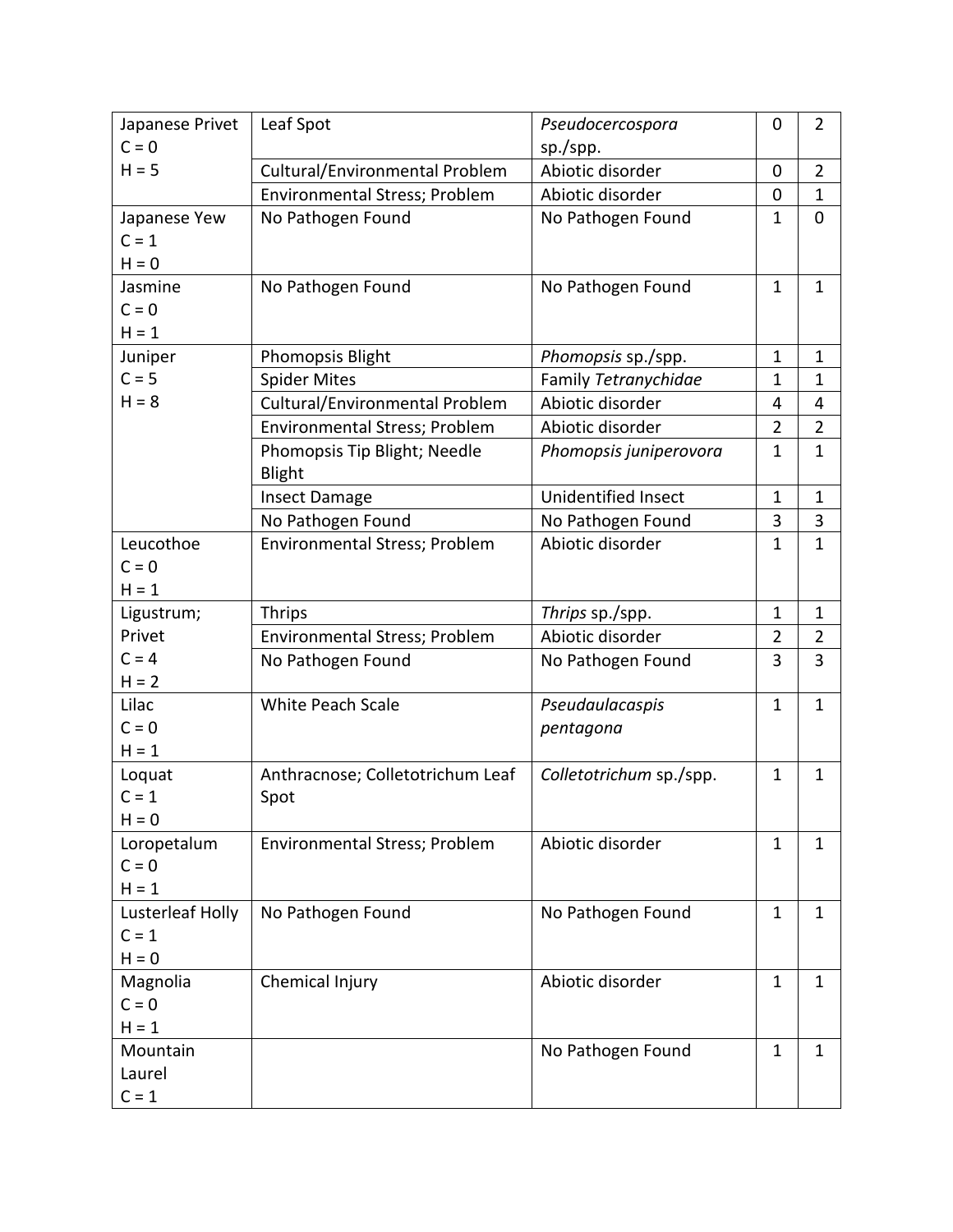| Japanese Privet  | Leaf Spot                              | Pseudocercospora           | 0              | $\overline{2}$ |
|------------------|----------------------------------------|----------------------------|----------------|----------------|
| $C = 0$          |                                        | sp./spp.                   |                |                |
| $H = 5$          | Cultural/Environmental Problem         | Abiotic disorder           | $\mathbf 0$    | $\overline{2}$ |
|                  | Environmental Stress; Problem          | Abiotic disorder           | $\mathbf 0$    | $\mathbf{1}$   |
| Japanese Yew     | No Pathogen Found                      | No Pathogen Found          | $\mathbf{1}$   | $\mathbf 0$    |
| $C = 1$          |                                        |                            |                |                |
| $H = 0$          |                                        |                            |                |                |
| Jasmine          | No Pathogen Found                      | No Pathogen Found          | $\mathbf{1}$   | $\mathbf{1}$   |
| $C = 0$          |                                        |                            |                |                |
| $H = 1$          |                                        |                            |                |                |
| Juniper          | Phomopsis Blight                       | Phomopsis sp./spp.         | $\mathbf{1}$   | $\mathbf{1}$   |
| $C = 5$          | <b>Spider Mites</b>                    | Family Tetranychidae       | 1              | $\mathbf{1}$   |
| $H = 8$          | Cultural/Environmental Problem         | Abiotic disorder           | 4              | 4              |
|                  | Environmental Stress; Problem          | Abiotic disorder           | $\overline{2}$ | $\overline{2}$ |
|                  | Phomopsis Tip Blight; Needle<br>Blight | Phomopsis juniperovora     | 1              | $\mathbf{1}$   |
|                  | <b>Insect Damage</b>                   | <b>Unidentified Insect</b> | $\mathbf{1}$   | $\mathbf{1}$   |
|                  | No Pathogen Found                      | No Pathogen Found          | 3              | 3              |
| Leucothoe        | Environmental Stress; Problem          | Abiotic disorder           | $\mathbf{1}$   | $\mathbf{1}$   |
| $C = 0$          |                                        |                            |                |                |
| $H = 1$          |                                        |                            |                |                |
| Ligustrum;       | <b>Thrips</b>                          | Thrips sp./spp.            | $\mathbf{1}$   | $\mathbf{1}$   |
| Privet           | Environmental Stress; Problem          | Abiotic disorder           | $\overline{2}$ | $\overline{2}$ |
| $C = 4$          | No Pathogen Found                      | No Pathogen Found          | 3              | 3              |
| $H = 2$          |                                        |                            |                |                |
| Lilac            | <b>White Peach Scale</b>               | Pseudaulacaspis            | $\mathbf{1}$   | $\mathbf{1}$   |
| $C = 0$          |                                        | pentagona                  |                |                |
| $H = 1$          |                                        |                            |                |                |
| Loquat           | Anthracnose; Colletotrichum Leaf       | Colletotrichum sp./spp.    | $\mathbf{1}$   | $\mathbf{1}$   |
| $C = 1$          | Spot                                   |                            |                |                |
| $H = 0$          |                                        |                            |                |                |
| Loropetalum      | Environmental Stress; Problem          | Abiotic disorder           | $\mathbf{1}$   | $\mathbf{1}$   |
| $C = 0$          |                                        |                            |                |                |
| $H = 1$          |                                        |                            |                |                |
| Lusterleaf Holly | No Pathogen Found                      | No Pathogen Found          | $\mathbf{1}$   | $\mathbf{1}$   |
| $C = 1$          |                                        |                            |                |                |
| $H = 0$          |                                        |                            |                |                |
| Magnolia         | Chemical Injury                        | Abiotic disorder           | $\mathbf{1}$   | $\mathbf{1}$   |
| $C = 0$          |                                        |                            |                |                |
| $H = 1$          |                                        |                            |                |                |
| Mountain         |                                        | No Pathogen Found          | $\mathbf{1}$   | $\mathbf{1}$   |
| Laurel           |                                        |                            |                |                |
| $C = 1$          |                                        |                            |                |                |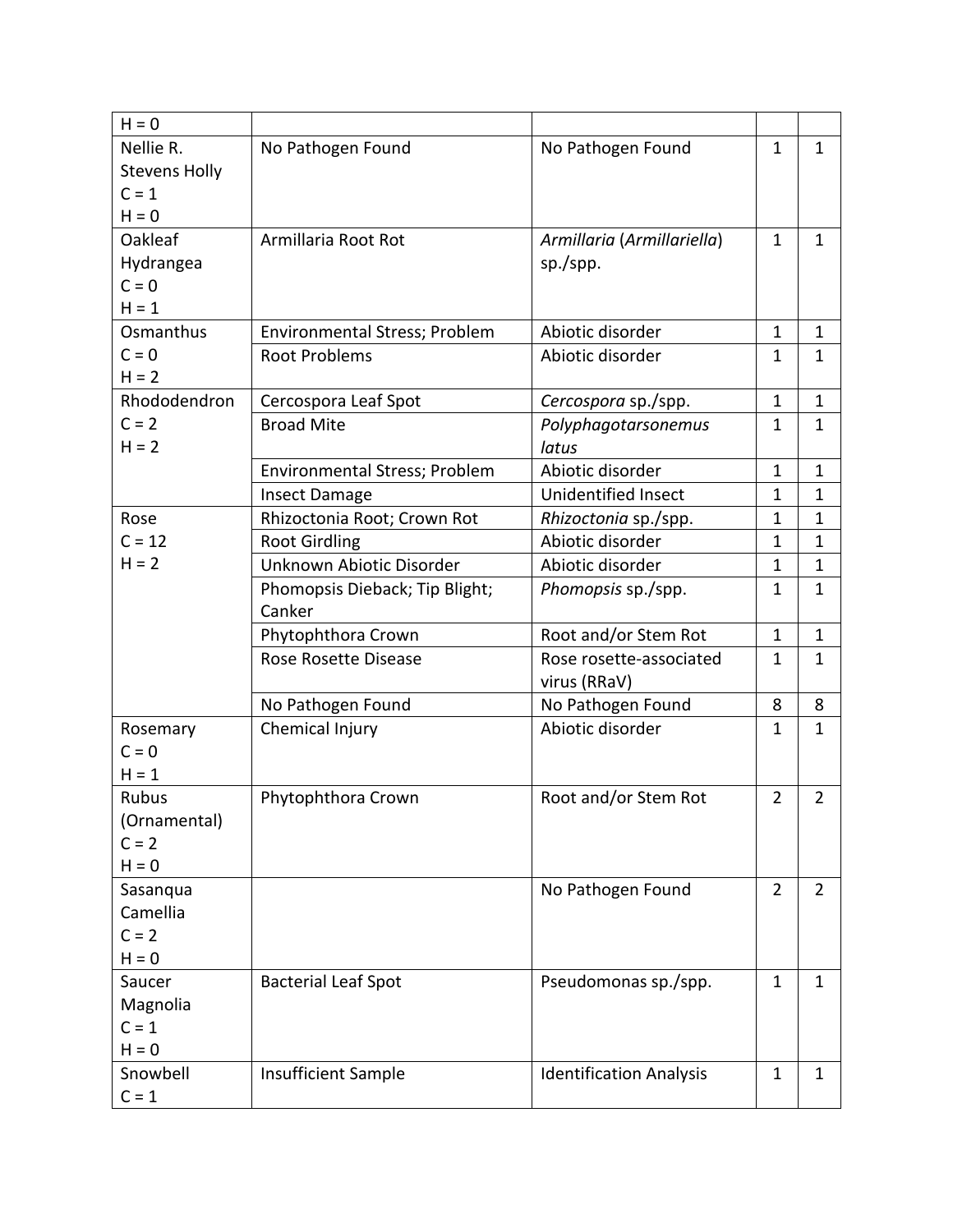| $H = 0$              |                                |                                |                |                |
|----------------------|--------------------------------|--------------------------------|----------------|----------------|
| Nellie R.            | No Pathogen Found              | No Pathogen Found              | $\mathbf{1}$   | $\mathbf{1}$   |
| <b>Stevens Holly</b> |                                |                                |                |                |
| $C = 1$              |                                |                                |                |                |
| $H = 0$              |                                |                                |                |                |
| Oakleaf              | Armillaria Root Rot            | Armillaria (Armillariella)     | $\mathbf{1}$   | $\mathbf{1}$   |
| Hydrangea            |                                | sp./spp.                       |                |                |
| $C = 0$              |                                |                                |                |                |
| $H = 1$              |                                |                                |                |                |
| Osmanthus            | Environmental Stress; Problem  | Abiotic disorder               | $\mathbf{1}$   | $\mathbf{1}$   |
| $C = 0$              | <b>Root Problems</b>           | Abiotic disorder               | 1              | $\mathbf{1}$   |
| $H = 2$              |                                |                                |                |                |
| Rhododendron         | Cercospora Leaf Spot           | Cercospora sp./spp.            | $\mathbf{1}$   | $\mathbf{1}$   |
| $C = 2$              | <b>Broad Mite</b>              | Polyphagotarsonemus            | $\mathbf{1}$   | $\mathbf{1}$   |
| $H = 2$              |                                | latus                          |                |                |
|                      | Environmental Stress; Problem  | Abiotic disorder               | $\mathbf{1}$   | $\mathbf{1}$   |
|                      | <b>Insect Damage</b>           | <b>Unidentified Insect</b>     | $\overline{1}$ | $\mathbf{1}$   |
| Rose                 | Rhizoctonia Root; Crown Rot    | Rhizoctonia sp./spp.           | $\mathbf{1}$   | 1              |
| $C = 12$             | <b>Root Girdling</b>           | Abiotic disorder               | $\mathbf 1$    | $\mathbf{1}$   |
| $H = 2$              | Unknown Abiotic Disorder       | Abiotic disorder               | $\mathbf{1}$   | $\mathbf{1}$   |
|                      | Phomopsis Dieback; Tip Blight; | Phomopsis sp./spp.             | 1              | $\mathbf{1}$   |
|                      | Canker                         |                                |                |                |
|                      | Phytophthora Crown             | Root and/or Stem Rot           | $\mathbf{1}$   | $\mathbf{1}$   |
|                      | Rose Rosette Disease           | Rose rosette-associated        | 1              | $\mathbf{1}$   |
|                      |                                | virus (RRaV)                   |                |                |
|                      | No Pathogen Found              | No Pathogen Found              | 8              | 8              |
| Rosemary             | Chemical Injury                | Abiotic disorder               | 1              | $\mathbf{1}$   |
| $C = 0$              |                                |                                |                |                |
| $H = 1$              |                                |                                |                |                |
| Rubus                | Phytophthora Crown             | Root and/or Stem Rot           | $\overline{2}$ | $\overline{2}$ |
| (Ornamental)         |                                |                                |                |                |
| $C = 2$              |                                |                                |                |                |
| $H = 0$              |                                |                                |                |                |
| Sasanqua             |                                | No Pathogen Found              | $\overline{2}$ | $\overline{2}$ |
| Camellia             |                                |                                |                |                |
| $C = 2$              |                                |                                |                |                |
| $H = 0$              |                                |                                |                |                |
| Saucer               | <b>Bacterial Leaf Spot</b>     | Pseudomonas sp./spp.           | $\mathbf{1}$   | $\mathbf{1}$   |
| Magnolia             |                                |                                |                |                |
| $C = 1$              |                                |                                |                |                |
| $H = 0$              |                                |                                |                |                |
| Snowbell             | Insufficient Sample            | <b>Identification Analysis</b> | $\mathbf{1}$   | $\mathbf{1}$   |
| $C = 1$              |                                |                                |                |                |